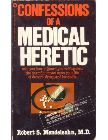tells you how to guard yourself against<br>the harmful impact upon your life of doctors, drugs and hospitals.

## Robert S. Mendelsohn, M.D.

**IN AMERICA TODA** 

**CAUTION:** 

DANGEROUS TO YOUR HEALTH

ACTICED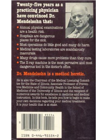## Twenty-five years as a practicing physician have convinced Dr. Mendelsohn that:

- · Annual physical examinations are a health risk.
- · Hospitals are dangerous places for the sick.



- . Most operations do little good and many do harm.
- · Medical testing laboratories are scandalously inaccurate.
- . Many drugs cause more problems than they cure.
- . The X-ray machine is the most pervasive and most dangerous tool in the doctor's office.

## Dr. Mendelsohn is a medical heretic.

He is also the Chairman of the Medical Licensing Committee for the State of Illinois, Associate Professor of Preventive Medicine and Community Health in the School of Medicine of the University of Illinois and the recipient of numerous awards for excellence in medicine and medical instruction. In this book, he tells you how to begin to make your own decisions regarding your medical treatment. It is your health that is at stake.

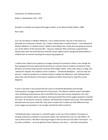Confessions of a Medical Heretic

Robert S. Mendelsohn, M.D., 1979

Numbers in brackets correspond with page numbers in the Warner Books Edition, 1980.

Non Credo

[11] I do not believe in Modern Medicine. I am a medical heretic. My aim in this book is to persuade you to become a heretic, too. I haven't always been a medical heretic. I once believed in Modern Medicine. In medical school, I failed to look deeply into a study that was going on around me, of the effects of the hormone DES -- because I believed. Who could have suspected that twenty years later we would discover that DES causes vaginal cancer and genital abnormalities in children born to women receiving the drug during pregnancy?

I confess that I failed to be suspicious of oxygen therapy for premature infants, even though the best equipped and most advanced [12] premature nurseries had an incidence of partial or total blindness of around ninety percent of all low birth weight infants. A few miles away in a large, less "advanced" hospital, the incidence of this condition -- retrolental fibroplasia -- was less than ten percent. I asked my professors in medical school to explain the difference. And I believed them when they said the doctors in the poorer hospital just didn't know how to make the correct diagnosis.

A year or two later it was proved that the cause of retrolental fibroplasia was the high concentrations of oxygen administered to the premies. The affluent medical centers had higher rates of blinding simply because they could afford the very best nursery equipment: the most expensive and modern plastic incubators which guaranteed that all the oxygen pumped in reached the infant. At the poorer nurseries, however, old-fashioned incubalors were used. They looked like bathtubs with very loose metal lids. They were so leaky that it made very little difference how much oxygen was pumped in: not enough reached the infant to blind it.

I still believed when I took part in a scientific paper on the use of the antibiotic Terramycin in treating respiratory conditions in premature babies. We claimed there were no side effects. Of course there weren't. We didn't wait long enough to find out that not only didn't Terramycin -- or any other antibiotic -- do much good for these infections, but that it -- and other tetracycline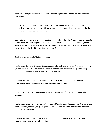antibiotics -- left [13] thousands of children with yellow-green teeth and tetracyeline deposits in their bones.

And I confess that I believed in the irradiation of tonsils, lymph nodes, and the thymus gland. I believed my professors when they said that of course radiation was dangerous, but that the doses we were using were absolutely harmless.

Years later around the time we found out that the "absolutely harmless" radiation sown a decade or two before was now reaping a harvest of thyroid tumors -- I couldn't heip wondering when some of my former patients came back with nodules on their thyroids: Why are you coming back to me? To me, who did this to you in the first place?

But I no longer believe in Modern Medicine.

I believe that despite all the super technology and elite bedside manner that's supposed to make you feel about as well cared for as an astronaut on the way to the moon, the greatest danger to your health is the doctor who practices Modern Medicine.

I believe that Modern Medicine's treatments for disease are seldom effective, and that they're often more dangerous than the diseases they're designed to treat.

I believe the dangers are compounded by the widespread use of dangerous procedures for nondiseases.

I believe that more than ninety percent of Modern Medicine could disappear from the face of the earth -- doctors, hospitals, drugs, [14] and equipment -- and the effect on our health would be immediate and beneficial.

I believe that Modern Medicine has gone too far, by using in everyday situations extreme treatments designed for critical conditions.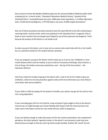Every minute of every day Modern Medicine goes too far, because Modern Medicine prides itself on going too far. A recent article, "Cleveland's Marvelous Medical Factory," boasted of the Cleveland Clinic's "accomplishments last year: 2,980 open-heart operations, 1.3 million laboratory tests, 73,320 electrocardiograms, 7,770 full-body x-ray scans, 24,368 surgical procedures."

Not one of these procedures has been proved to have the least little bit to do with maintaining or restoring health. And the article, which was published in the Cleveland Clinic's magazine, fails to boast or even mention that any people were helped by any of this expensive extravagance. That's because the product of this factory is not health at all.

So when you go to the doctor, you're seen not as a person who needs help with his or her health, but as a potential market for the medical factory's products.

If you are pregnant, you go to the doctor and he treats you as if you're sick. Childbirth is a ninemonth disease which must be treated, so you're sold on intravenous fluid bags, fetal monitors, a host of drugs, the totally unnecessary episiotomy, and -- the top of the line product -- the Caesarean delivery!

[15] If you make the mistake of going to the doctor with a cold or the flu he's liable to give you antibiotics, which are not only powerless against colds and flu but which leave you more likely to come down with worse problems.

If your child is a little too peppy for his teacher to handle, your doctor may go too far and turn him into a drug dependent.

If your new baby goes off his or her feed for a day and doesn't gain weight as fast as the doctor's manual says, he might barrage your breast-feeding with drugs to halt the natural process and make room in the baby's tummy for man-made formula, which is dangerous.

If your are foolish enough to make that yearly visit for the routine examination, the receptionist's petulance, the other patients' cigarette smoke, or the doctor's very presence could raise your blood pressure enough so that you won't go home empty-handed. Another life "saved" by anti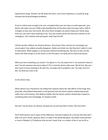hypertensive drugs. Another sex life down the drain, since more impotence is caused by drug therapy than by psychological problems.

If you're unfortunate enough to be near a hospital when your last days on earth approach, your doctor will make sure your \$500-a-day deathbed has all the latest electronic gear with a staff of strangers to hear your last words. But since those strangers are paid to keep your family away from you, you won't have anything to say. Your last sounds will be the electronic whistle on the cardiogram. Your relatives will participate: they'll pay the bill.

[16] No wonder children are afraid of doctors. They know! Their instincts for real danger are uncorrupted. Fear seldom actually disappears. Adults are afraid, too. But they don't admit it, even to themselves. What happens is we become afraid of something else. We learn to fear not the doctor but what brings us to the doctor in the first place: our body and its natural processes.

When you fear something, you avoid it. You ignore it. You shy away from it. You pretend it doesn't exist. You let someone else worry about it This is how the doctor takes over. We let him. We say: I don't want to have anything to do with this, my body and its problems, doc. You take care of it, doc. Do what you have to do.

So the doctor does.

When doctors are criticized for not telllng their patients about the side effects of the drugs they prescribe, they defend themselves on the grounds that the doctor-patient relatlonship would suffer from such honesty. That defense implies that the doctor-patient relationship is based on something other than knowledge. It's based on faith.

We don't say we know our doctors are good we say we have faith in them. We trust them.

Don't think doctors aren't aware of the difference. And don't believe for a minute that they don't play it for all it's worth. Because what's at stake is the whole ball game, the whole ninety percent or more of Modern [17] Medicine that we don't need, that, as a matter of fact is out to kill us.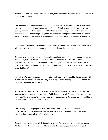Modern Medicine can't survive without our faith, because Modern Medicine is neither an art nor a science. It's a religion.

One definition of religion identifies it as any organized effort to deal with puzzling or mysterious things we see going on in and around us. The Church of Modern Medicine deals with the most puzzling phenomena: birth, death, and all the tricks our bodies play on us -- and we on them -- in between. In "The Golden Bough," religion is defined as the attempt to gain the favor of "powers superior to man which are believed io direct and control the course of nature and of human life."

If people don't spend billions of dollars on the Church of Modern Medicine in order to gain favor with the powers that direct and control human life, what do they spend it on?

Common to all religions is the claim that reality is not limited to or dependent upon what can be seen, heard, felt, tasted or smelled. You can easily test modern medical religion on this characteristic by simply asking your doctor Why? enough times. Why are you prescribing this drug? Why is this operation going to do me any good? Why do I have to do that? Why do you have to do that to me?

Just ask why? enough times and sooner or later you'll reach the Chasm of Faith. Your doctor will retreat into the fact that you have no way of knowing or understanding all the [18] wonders he has at his command. Just trust me.

You've just had your first lesson in medical heresy. Lesson Number Two is that if a doctor ever wants to do something to you that you're afraid of and you ask why? enough times until he says Just Trust Me, what you're to do is turn around and put as much distance between you and him as you can, as fast as your condition will allow.

Unfortuately, very few people do that. They submit. They allow their fear of the witch doctor's mask, the unknown spirit behind it, and the mystery of what is happening and of what will happen to change into respectful awe of the whole show.

But you don't have to let the witch doctor have his way. You can liberate yourself from Modern Medicine -- and it doesn't mean you'll have to take chances with your health. In fact, you'll be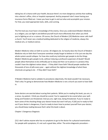taking less of a chance with your health, because there's no more dangerous activity than walking into a doctor's office, clinic or hospital unprepared. And by prepared I don't mean having your insurance forms filled out. I mean you have to get in and out alive and accomplish your mission. For that, you need appropriate tools, skills, and cunning.

The first tool you must have is knowledge of the enemy. Once you understand Modern Medicine as a religion, you can fight it and defend yourself much more effectively than when you think you're fighting an art or a science. Of course, the Church of Modern [19] Medicine never calls itself a church. You'll never see a medical building dedicated to the religion of medicine, always the medical arts, or medical science.

Modern Medicine relies on faith to survive. All religions do. So heavily does the Church of Modern Medicine rely on faith that if everyone somehow simply forgot to believe in it for just one day the whole system would collapse. For how else could any institution get people to do the things Modern Medicine gets people to do, without inducing a profound suspension of doubt? Would people allow themselves to be artificially put to sleep and then cut to pieces in a proeess they couldn't have the slightest notion about -- if they didn't have faith? Would people swallow the thousands of tons of pills every year -- again without the slightest knowledge of what these chemicals are going to do -- if they didn't have faith?

If Modern Medicine had to validate its procedures objectively, this book wouldn't be necessary. That's why I'm going to demonstrate how Modern Medicine is not a church you want to have faith in.

Some doctors are worried about scaring their patients. While you're reading this book, you are, in a sense, my patient. I think you should be scared. You're supposed to be scared when your wellbeing and freedom are threatened. And you are, right now, being threatened. If you're ready to learn some of the shocking things your doctor knows but won't tell you; if [20] you're ready to find out if your doctor is dangerous; if you're ready to learn how to protect yourself from your doctor; you should keep reading because that's what this book is about.

Chapter 1 Dangerous Diagnosis

[21] I don't advise anyone who has no symptoms to go to the doctor for a physical examination. For people with symptoms, it's not such a good idea, either. The entire diagnostic procedure --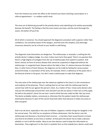from the moment you enter the office to the moment you leave clutching a prescription or a referral appointment -- is a seldom useful ritual.

The mere act of delivering yourself to the priestly doctor and submitting to his wishes presumably bestows the benefit. The feeling is that the more exams you have, and the more thorough the exams, the better off you'll be.

All of which is nonsense. You should approach the diagnostic procedure with suspicion rather than confidence. You should be aware of the dangers, and that even the simplest, [22] seemingly innocuous elements can be a threat to your health or well-being.

The diagnostic tools themselves are dangerous. The stethoscope, or example, is nothing but the priestly doctor's religious badge. As a tool, it does more harm than good. There's no question that there's a high degree of contagion from the use of stethoscopes from patient to patient. And there's almost no form of serious disease that cannot be suspected or diagnosed without the stethoscope. In congenital heart disease where the baby is blue, it's obvious because the baby is blue. In other forms of heart disease, the diagnosis can be made by feeling the various pulses around the body. In coarctation of the aorta, for example, there's a deficiency of the pulse rate in the femoral arteries in the groin, You don't need a stethoscope to make that diagnosis.

The only value of ihe stethoscope over the naked ear applied to the chest is in the convenience and modesty of the physician. There's nothing that he can hear with the stethoscope that he cannot hear with his ear against the person's chest. As a matter of fact, I know some doctors who now put the stethoscope around their neck and don't put the ear pieces in their ears as they apply the bell to the patient's chest! At one time I used to think that was really terrible. Not any more. The doctor probably realizes, consciously or otherwise that the patient needs the stethoscopic examination because it's part of the sacred ritual [23] rather than because it makes any sense or does any good.

And it can do harm, especially in the case of children. Suppose a mother brings her daughter in for her annual exam. The child has no symptoms of illness whatsoever. But the doctor uses the stethoscope and discovers a functional heart murmur -- a harmless heart sound found in at least one third of all children at one time or another. At that point the doctor has to make a decision whether or not to tell the mother. Now at one time doctors used to keep this information to themselves. They might put it in the chart in symbolic form so that nobody but a doctor could read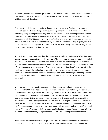it. Recently doctors have been taught to share this information with the parents either because of their belief in the patient's right to know or -- more likely -- because they're afraid another doctor will find it and tell them first.

So the doctor tells the mother. And whether or not he reassures the family that the murmur is innocent, both mother and daughter may suspect -- perhaps for the rest of their lives -- that something really is wrong! Mother may then begin a trek to pediatric cardiologists who will take repeated EKGs, chest x-rays, or even perform cardiac catheterizations to help the mother "get to the bottom of all this." Studies have shown that families of children with heart murmurs tend to do two things: they restrict their child's activity and do not allow them to play in sports, and they encourage them to eat [24] more. Naturally these are the worst things they can do! They literally make cardiac cripples out of their children.

Though it's a lot more impressive than the stethoscope, the electrocardiogram (EKG) is little more than an expensive electronic toy for the physician. More than twenty years ago a survey revealed that the reports of expert EKG interpreters varied by twenty percent among individuals and by another twenty percent when the same individuals re-read the same tracing at another time. Time of day, recent activity, and many other factors besides the condition of one's heart can affect the readings. In one test the EKG delivered a positive finding in only twenty-five percent of cases of proven myocardial infarction, an equivocal finding in half, and a totally negative finding in the rest. And in another test, more than half of the readings taken of healthy people were grossly abnormal.

Yet physicians and other medical personnel continue io increase rather than decrease their reliance on the EKG as a detector of cardlac problems. I have a recurring fantasy of a person lying in an intensive coronary care unit after suffering a heart attack. He is perfectly comfortable -- until he's approached by a nurse with a hypodermic syringe. She explains that his EKG monitor has shown an irregularity that demands immediate treatment. Of course, she is not aware of the studies that show the high degree of error in electronic monitoring equipment, or the studies that show the not [25] infrequent leakage of electricity from one monitor to another in the same ward. My fantasy patient protests and pleads with the nurse: "Please, nurse, feel my pulse. It's alsolutely regular!" The nurse's answer is that there's no point in feeling his pulse. You can't argue with the machine. So she immediately plunges the needle in his arm. You can guess at the outcome.

My fantasy is not so fantastic as you might think. There are electronic monitors in "advanced" coronary units that are equipped to electrically "correct" the heartbeat of patients who, the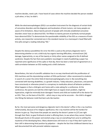machine decides, need a jolt. I have heard of cases where the machine decided the person needed a jolt when, in fact, he didn't.

While the electroencephalogam (EEG) is an excellent instrument for the diagnosis of certain kinds of convulsive disorders and the diagnosis and localization of brain tumors, not many people are aware of its limitations. About twenty percent of people with clinically established convulsive disorders never have an abnormal EEG. Yet fifteen to twenty percent of perfectly normal people have abnormal EEGs! To demonstrate the questionable reliability of the EEG as a measure of brain activity, one researcher connected one in the standard manner to a mannequin's head filled with lime jello and got a reading indicating "life."

Despite the obvious possibilities for error the EEG is used as the primary diagnostic tool in determining whether or not a child truly has organic learning difficulties, minimal brain [26] damage, hyperactivity, or any of the twenty or thirty other names assigned to this ill-defined syndrome. Despite the fact that every pediatric neurologist in need of publishing a paper has reported some significance of this spike or that dip, there has been a total lack of agreement on a valid correlation between an EEG reading and a child's behavior.

Nevertheless, this lack of scientiffc validation has in no way interfered with the proliferation of EEG machines and the skyrocketing numbers of EEGs performed. I often recommend to students in search of a career the entire field of electroencephalography since it, like everything else connected with learning disabilities, is a growth industry. Today educators, physicians, and parents have consciously or otherwise joined in a conspiracy to medicalize almost all behavior problems. What happens is that a child gets sent home with a note asking for a conference. At the conference, the parents are told the child might have an organic brain problem, might be hyperactive, might be minimally brain damaged. Parents and child are hustled off to the doctor for an EEG. Then, on the basis of the EEG -- which may or may not be accurate -- the child is drugged into fitting the behavior mold that best suits tbe teacher.

By far, the most pervasive and dangerous dignostic tool in the doctor's office is the x-ray machine. Unfortunately, because of its religious significance, the x-ray machine will be the hardest for doctors to give up. They know that people are awed by the doctor's power to [27] see right through their flesh, to gaze firsthand at what is afficting them, to see where they cannot. Doctors literally got drunk on this power and started using x-rays on everything from acne to settling the mysteries of the developing fetus. Many obstetricians still insist on x-rays if they don't quite trust their skill in determining fetal position by palpation -- despite the fact that childhood lukemia has a well-documented link with prenatal radiation exposure.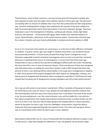Thyroid lesions, many of them cancerous, are now turning up by the thousands in people who were exposed to head, neck and upper chest radiation twenty to thirty years ago. Thyroid cancer can develop after an amount of radiation that is less than that produced bv ten bite-wing dental xrays. Scientist testifying before Congess have emphasized the hazards of low level radiation to both the present generaton and to future generations in the form of genetic damage. They have implicated x-rays in the development of diabetes, cardiovascular disease, stroke, high blood pressure, and cataracts -- all associated with aging. Other studies have matched radiation to cancer, blood disorders, and tumors of the central nervous system. Conservative estimates peg the number of deaths each year directly attributable to medical and dental radiation at 4000.

As far as I'm concerned, these deaths are unnecessary, as is the host of other afflictions attributed to radiation. A quarter century ago I was taught in medical school that x-rays of [28] the breast were practically worthless. A recent survey showed that things haven't changed very much. Physicians supposedly trained to interpret mammograms were no more accurate than untrained physicians in spotting breast cancer on mammograms. A survey more than thirty years ago showed that as many as twenty-four percent of radiologists differed with each other interpreting the same chest film, even in cases of extensive disease. Thirty-one percent of them even disagreed with themselves when re-reading the same films! Another study in l955 showed that thirty-two percent of chest x-rays showing definite abnormalities in the lungs were misdiagnosed as negative. In 1959, thirty percent of the experts disageed with other experts on radiographic readings, and twenty percent disagreed with themselves when rereading the same films! A 1970 Harvard study showed that the going rate of disagreement among radiologists was still at least twenty percent.

Yet x-rays are still sacred in most doctors' and dentists' offices. Hundreds of thousands of women are still lining up every year for breast x-rays, despite the well published scientific evidence that the mammography itself will cause more breast cancer than it will detect! The ritual of the annual x-ray, the pre-employment x-ray, the school entrance x-ray, and the health fair x-ray continue. I hear about and get letters from people whose doctors pronounce them in perfect health, but still insist on a chest x-ray. One man told me about going to the hospital [29] for a hernia operation, where he was given six chest x-rays. From the radiologists conversations, he got the distinct impression they were experimenting with the exposure levels. This same man was given thirty xrays at a local dental school where he went to get a crown replaced.

Many doctors defend their use of x-rays on the grounds that the patients demand or expect x-rays. To that excuse, I reply that if people are addicted to x-rays, the greatest service doctors might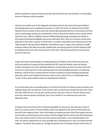perform would be to rig up machines that look and sound like real x-ray machines. A tremendous amount of disease could be avoided.

Lab tests are another part of the diagnostic procedure that do more harm than good. Medical testing laboratories are scandalously inaccurate. In 1975, the Center for Disease Control (CDC) reported that its surveys of labs across the country demonstrated that ten to forty percent of their work in bacteriology testing was unsatisfactory, thlrty to fifty percent failed various simple clinical chemistry tests, twelve to eighteen percent flubbed blood grouping and typing and twenty to thirty percent botched hemoglobin and serum electrolyte tests. Over all, erroneous results were obtained in more than a quarter of all the tests. In another nationwide survey fifty percent of the "high standard" labs licensed for Medicare work failed to pass. A large scale retesting of 25,000 analyses made by 225 New Jersey labs revealed that only twenty percent of them produced [30] acceptable results more than ninety percent of the time. Only half passed the test seventy-five percent of the time.

To get some idea of what people are really getting for \$12 billion worth of lab tests each year, thirty-one percent of a group of labs tested by the CDC could not identify sickle cell anemia. Another test group incorrectly identified infectious mononucleosis at least one third of the time. From ten to twenty percent of the tested groups incorrectly identified specimens as indicating leukemia. And from five to twelve percent could be counted on to find something wrong with specimens which were healthy! My favorite study is one in which 197 out of 200 people were "cured" of their abnormalities simply by repeating their lab tests!

If you think these tests are shocking keep in mind that the Center for Disease Control monitors and regulates fewer than ten percent of the country's labs. So these tests indicate the best work of the best labs. With the rest, you pay your money and you take your chances. And you will pay more and more, because doctors practicing "just in case medicine" are ordering more and more laboratory tests.

As long as these tests have such an immense possibility for inaccuracy, the only way to look at them is as sacred oracles or fortune telling rituals: they depend on the whims of the deities and the skill of the magician-priest. Even if the deities are keeping up their end of the bargain and your tests results are miraculously correct, there is still the danger that the doctor [31] will misinterpret them. One woman wrote me that at her last routine examination, a test revealed blood in her stool. Her doctor subjected her to every possible test, including barium x-rays, all of which proved negative. The doctor did not give up. Though the woman was in real pain because of the tests, he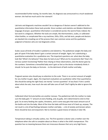recommended further testing. Six months later, his diagnosis was announced to a much weakened woman: she had too much acid in her stomach!

Lab tests and diagnostic machines wouldn't be so dangerous if doctors weren't addicted to the quantitative information these tools provide. Since numbers and statistics are Modern Medicine's language of prayer, quantitative information is considered sacred, the word of God, indeed, the last word in a diagnosis. Whether the tools are simple, like thermometers, scales, or calibrated infant bottles, or complicated like x-ray machines, EKGs, EEGs, and lab tests, people and doctors are dazzled into crowding out of the process their own common sense and the qualitative judgment of doctors who are real diagnostic artists.

Scales cause all kinds of trouble in pediatrics and obstetrics. The pediatician weighs the baby and gets all upset if the baby doesn't gain a certain amount of weight. Again, he's substituting a quantitative evaluation for a qualitative one. The important questions are: what does the baby look like? What's his behavior? How does he look at you? What are his movements like? How's his nervous system functioning? Rather than relying on these observations, [32] the doctor goes by the numbers. Sometimes a breastfed baby won't gain as fast as the doctor mistakenly thinks it should. So he puts the baby on formula -- to the detriment of both mother and baby.

Pregnant women also should pay no attention to the scale. There is no correct amount of weight for any mother to gain. Again, the important evaluations are qualitative rather than quantitative. She should be eating the right food, not merely "correct quantities" of any food. If she's careful about what she eats, how much she eats will take care of itself. She'll rightly be able to ignore the scale.

Calibrated infant formula bottles are another menace. The pediatrician tells the mother to make sure the baby gets "x" amount at every feeding, and, by golly, she's determined to stick to that goal. So at every feeding she cajoles, threatens, and in some way gets that exact amount out of the bottle and into the baby. Most of the time the babv will throw most of it back up, anyway. The net result is a lot of bad feelings between mother and baby -- a lot of anxiety and tension where there should be love and enjoyment. Not to mention a good chance of obesity in later life.

Temperature taking is virtually useless, too. The first question a doctor asks a mother over the telephone when she calls to complain about an illness is what is the child's temperature. This question has no meaning because there are innocuous diseases that carry very high fevers.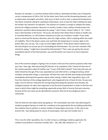Roseola, for example, is a common disease [33] of infancy, absolutely harmless; yet it frequently carries a temperature of 104 or 105. On the other hand, there are life-threatening diseases, such as tuberculous meningitis and others, that carry no fever at all or even a subnormal temperature. The doctor should be asking for qualitative information, such as how the child is feeling and what the mother has noticed in his behavior. The reliance on numbers is simply to validate the whole process for religious purposes. Because it is merely a useless ritual, mothers should answer the physician's question about temperature by saying, "I don't know; I haven't taken it." Or, "I don't have a thermometer in the house." Of course, the doctor then thinks they're kooks or health nuts or mentally deficient, so I tell mothers instead just to pick out a fictitious number. If you really want to command the doctors attention, pick out a high number, 104 or anything within the realm of credibility. Then if the doctor comes over and finds the temperature is normal, right on the button 98.6, you can say, "Oh, it was so much higher before!" If the doctor doesn't believe you, the only thing he can accuse you of is misreading the thermometer. You can even volunteer that remark by saying, "I might have misread the thermometer!" Then, once you get by the sacred quantitative barrier of the thermometer, you and the doctor can move on to more important things.

One of the common dangers of going in for an exam is that you'll be used for purposes other than your own. Years ago, after becoming [34] director of an outpatient clinic I found out that one of the routine questions asked of mothers was "Is your child toilet trained?" Every boy who was not toilet trained by the age of four was separated out and referred for a urological workup, which included, among other things, a cystoscopy. All these four-year-old kids were being cystoscoped! I immediately eliminated the question about toilet training. It didn't take long before I got a call from the chairman of the urology department, who happened to be a friend of mine. He was very angry. First he told me I had done the wrong thing eliminating the question and, thereby, the urological workup. He said it was important to do this kind of examination in order to find the rare cases in which there might be something organically wrong. Well, of course that was nonsense, because all the rare cases can be identified by measures that are far less dangerous than a cystoscopy.

Then he told me more about what was going on. The real problem was that I was destroying his residency program because in order for a residency to be approved by the accrediting authorities, the residents have to perform a certain number of cystoscopies every year. In this case it was around 150. I was taking away his source of cystoscopies, and I got into trouble over it.

This is true for other specialties, too. In order to have a cardiology residency approved, the resident must perform a minimum-number [35] -- 150, 200, 500, whatever it is -- of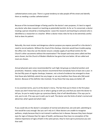catheterizations every year. There is a great tendency to take people off the street and identify them as needing a cardiac catheterization!

Because of the increased danger of being used for the doctor's own purposes, it's best to regard any doctor who does research or teaching as potentially harmful. As far as I'm concerned, a doctor treating a person should be a treating doctor. Leave the research and teaching to someone who is identified as a researcher or a teacher. When a doctor mixes roles he has to be extremely careful. And so does his patient.

Naturally, the most sinister and dangerous ulterior purpose you expose yourself to is the doctor's need to recruit patients. Without the ritual of the checkup, internists would have trouble paying the office rent. How else can the doctor ensure a steady supply of sacrificial victims for the Church's other sacraments without the examination? The Gospel said many were called and few were chosen, but the Church of Modern Medicine has gone that one better: All are called and most are chosen.

Annual physicals were once recommended for such high-risk groups as industrial workers and prostitutes. However, today many doctors recommend that everybody have at least one a year. In the last fifty years of regular checkups, however, not a shred of evidence has emerged to show that those who faithfully submit live any longer or are any healthier than those who [36] avoid doctors. Because of the definite risks involved, I'd say those that stay away are better off.

In no uncertain terms, you're at the doctor's mercy. The fact that you're there in the first place means you don't know how you are or what is going on with you and that you want the doctor to tell you. So you're ready to give up a precious liberty, that of self identification. If he says you're sick, you're sick. If he says you're well, you're well. The doctor sets the limits of what's normal and abnormal, what's good and what's bad.

If you could rely on the doctor's conception of normal and abnormal, sick and well, submitting to him would be scary enough. But you can't rely on it. Most doctors are unable to recognize wellness, simply because they're not trained in wellness but in disease. Because they have sharper eyes for signs of disease than for signs of health, and because they have no conception of the relative importance of signs of both in the same person, they're more apt to pronounce you sick than well.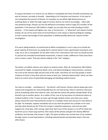As long as the doctor is in control, he can define or manipulate the limits of health and disease any way he chooses, narrowly or broadly -- depending on his intentions and interests. In this way he can manipulate the amount of disease. For example, he can define high blood pressure as anything above or within the high range of normal. And he can treat it accordingly -- often with very powerful drugs. Disease can thus be defined to encompass small or large [37] numbers of the population. If he measures 100 children's height, he can state that any child standing at either extreme -- in the lowest and highest one, two, or five percent -- is "abnormal" and requires further testing. He can set his outer limits of normal blood or urine values or electrocardiogram readings so that a certain percentage of each population is labeled possibly abnormal, requires further investigation.

If he were selling laxatives, he would tend to define constipation in such a way as to include the great majority of Americans, by saying that if a person doesn't have a good bowel movement once a day, he or she is constipated. On the other hand, if he's interested in the truth, he would say that if a person has normally formed bowel movements, it doesn't make a difference if they have them once or twice a week. That puts almost nobody in the "sick" category.

The doctor can define sickness even where no sickness exists. After all, among those 100 children measured for height, among those blood, urine, and electrocardiogram measurements, someone has to be at the extreme high and low ends of the scales. And there are very few people in whom a battery of thirty or forty tests will not reveal at least one "statistical abnormality" which can then lead to an entire series of potentially damaging and disabling medical events.

You have to consider -- and beware of -- the doctor's self interest. Doctors almost always get more reward and recognition for intervening [38] than for not intervening. They're trained to intervene and do something rather than observe, wait, and take the chance the patient will get better all by himself or go to another doctor. As a matter of fact, one of my key pieces of subversive advice to medical students is this: To pass an exam, get through medical school, and retain your sanity, always choose the most interventionist answer on a multiple choice test and you're more likely to be right. For example, suppose somebody says to you that the patient has a pimple on his nose, and asks what should you do? If the first answer is watchful expectancy, wait and see what happens for a few days, that's wrong, reject that. But if one of the answers is cut off his head and hook him up to a heart lung machine, then resew all the arteries and give him twenty different antibiotics and steroids, that answer is right. This piece of advice has carried more of my students through various crucial examinations, including national boards and speciality exams, than any other lesson.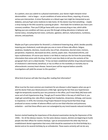As a patient, once you submit to a physical examination, your doctor might interpret minor abnonmalities -- real or bogus -- as pre-conditions of some serious illness, requiring, of course, serious pre-intervention. A minor fluctuation on a blood sugar test might be interpreted as prediabetes, and you'll get some medicine to take home. Or the doctor may find something -- maybe a stray tracing on the EKG caused by a passing jet plane -- that leads him to believe you have a precoronary condition. Then you'll [39] go home with a pre-coronary drug or two, which while fighting your pre-condition will mess up your life through striking alterations in behavior and mental status, including blurred vision, confusion, agitation, delirium, hallucinations, numbness, seizures, and psychosis.

Maybe you'll get a prescription for Atromid S, a cholesterol-lowering drug, which, besides possibly lowering your cholesterol, could also give you one or more of these side effects: fatigue, weakness, headache, dizziness, muscle ache, loss of hair, drowsiness, blurred vision, tremors, perspiration, impotence, decreased sex drive, anemia, peptic ulcer, rheumatoid arthritis, and lupus erythematosis. Of course your doctor is not likely to read you this list from the prescribing information that comes with the drug. And he's even less likely to tell you the contents of the paragraph that's set in a black border: "It has not been established whether drug-induced lowering of cholesterol is detrimental, beneficial, or has no effect on the morbidity or mortality due to atherosclerotic coronary heart disease. Several years will be required before scientific investigations will yield the answer to this question."

What kind of person will take that drug after reading that information?

What must be the most common pre-treatment for pre-disease is what happens when you go in and the doctor finds your blood pressure a little high. Ignoring the fact that your hypertension might be temporarily caused by your very presence in the office, you'll most likely [40] leave with some sort of anti-hypertensive drug. Though you'll receive little in the way of relief from it, you might get something else: side effects ranging from headaches, drowsiness, lethargy, and nausea to impotence. In 1970, the Coronary Drug Project Research Group found that these drugs produced an excess number of adverse effects such as non-fatal infarction and pulmonary embolism -- and that these effects were not outweighed by any trend towards reduced mortality.

Doctors started hawking the importance of the physical examination during the Depression of the 1930s -- for all the obvious reasons. For the same obvious reasons, dentists are beginning to hustle people into their offices for routine checkups. I got an announcement the other day from an establishment dental organization that every child should be examined on his third birthday by a dentist and on his seventh birthday by an orthodontist. These exams certainly will not do very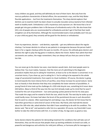many children any good, and they will definitely do most of them harm. Not only from the mercury pollution characteristic of dental offices, the sacramental x-rays, and the Holy Water flouride applications -- but from the treatments themselves. The sharp dental explorer that dentists use to examine teeth has been shown to actually inoculate various bacteria from infected teeth to healthy teeth. Orthodontia is still a mysterious and unproven art. We know that a lot of people get into gum problems later in life because of orthodontia early in life. We also know that [41] a lot of people who are recommended for orthodontia and don't get it find that their teeth straighten out all by themselves. Although the recommended exams most probably won't do you or your child any good, they certainly will be good for the dentist or orthodontist.

From my experience, doctors -- and dentists, especially -- got very defensive about the regular checkup. I've known dentists to refuse to see patients in emergencies because the person hadn't been in for a regular checkup within the past six months. Of course, this attitude gives doctors and dentists the right to play the big game in medicine, Blame the Victim. Rather than admit that their sacraments are useless, the magic nonexistent, they can always tell you that you came to them too late.

You can never go to the doctor too soon, most doctors would claim. And most people seem to believe that. You must realize, however, that the mere act of submitting to the diagnostic procedure implies that you're asking for treatment, at least as far as the doctor is concerned. In no uncertain terms, if you show up, you're asking for it. You're asking to be exposed to the whole range of sacramental treatments, from aspirin to ritual mutilation. Of course, the doctor is going to tend towards the more intense forms of sacrifice, since these increase his sacred stature. Some lean so heavily in that direction that they miss completely the lower extreme of possibilities. A young friend of mine took up the challenge of a 1OO-mile bicycle race, something he'd never done [42] before. About a third of the way into the race he'd already made up his mind that he wasn't trained for this sort of punishment -- but some passing cyclists jeered at him for his slow pace. That made him angry and he vowed to finish the race, which he did. The next day he woke up and could hardly move. His knees had taken the brunt of the punishment.He was in such discomfort that he went to a doctor. After examining him and taking x-rays, the doctor let him know that he had either gonorrhea or some kind of cancer of the knee. My friend, who had told the doctor about the 100-mile ride, asked whether that didn't have something to do with his condition. The doctor said, "Not at all," and wanted to refer him to a specialist. Of course, my friend didn't even bother to take the referral home with him. In a matter of day, his legs were as good as new.

Some doctors blame the patients for demanding treatment for conditions that will take care of themselves, they use the excuse that people show up wanting antibiotics to knock out colds, or powerful and dangerous anti-arthritics for mild joint stiffness, or hormone pills for teenagers to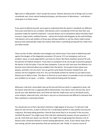fight acne or stifle growth. I don't accept this excuse. Patients demand a lot of things such as more considerate care, more natural healing techniques, and discussion of alternatives -- and doctors rarely give in on these issues.

If you want to defend yourself, you've got to understand that the doctor's standards are different from yours and that his are no better. [43] Doctors aren't considerate of the fact that their very questions imply the need for treatment. I counsel doctors not to tell patients about harmless heart murmurs, large tonsils, umbilical hernias -- almost all of which will disappear by the sixth birthday. I tell doctors not to ask mothers of three-year old boys whether or not the child is toilet trained because that automatically makes the mother think there's something wrong with her child if he's not toilet trained.

There are lots of other attitudes and strategies you need to learn if you want to defend yourself against the dangers of the diagnostic procedure. Of course, if it's an emergency such as an accident, injury, or acute appendicitis, you have no choice. But these situations account for only five percent of medical situations. If you have no symptoms at all, you've got no business going to the doctor in the first place. If you do have symptoms, if you are sick, then your first defense is to become more informed about your problem than the doctor. You've got to learn about your disease, and that's not very hard. You can get the same books the doctor studied from, and chances are he's forgotten most of it. You can find books written for laymen on just about every disease you're likely to have. The idea is to find out as much about it as possible so you can discuss your problem on an equal -- or better -- informational footing with the doctor.

Whenever a lab test is prescribed, look up the test and find out what it's supposed to show. Ask the doctor what the test is supposed [44] to demonstrate. Your doctor won't tell you this, but if you do your own detective work, you'll find out that the simple tests such as the blood counts, urine analysts, tuberculin tests, and chest x-rays are so controversial and difficult to interpret that their usefulness is extremely limited.

You should also try to find a lab which maintains a high degree of accuracy. If a lab won't talk about its rate of errors, scratch it off your list. If a lab boasts perfect or near perfect accuracy be suspicious. But keep asking questions. How do they know they're so accurate? Is the accuracy certified? By whom? You might never find a lab that satisfactorily answers all your questions. If you do, insist that your doctor use that lab. You might have tough going here because a lot of doctors have a financial interest in certain testing laboratories. Insist. If your doctor does all his own testing, ask the same questions that you would ask a lab. Finally, if a serious course of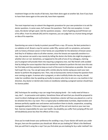treatment hinges on the results of lab tests, have them done again at another lab. Even if you have to have them done again at the same lab, have them repeated.

The most important way to subvert the diagnostic procedure for your own protection is to ask the doctor questions. In some cases, he'll answer the questions. That's the rare exception. In most cases, the doctor will get upset. Ask the questions anyway -- short of getting yourself thrown out of his office. From his attitude [45] and his responses, you can judge him as a human being and get an idea of his expertise.

Questioning can come in handy to protect yourself from x-rays. Of course, the best protection is no radiation at all. Breast x-rays for women under fifty, women with no symptoms, and women with no history of breast cancer in their family are unjustifable for the detection of breast cancer. And they're of dubious value to all other women, since the breasts are especially sensitive to xrays. Any woman can avoid x-rays merely by telling the doctor she thinks she might be pregnant - whether she is or not. Sometimes, as happened to the wife of one of my colleagues, claiming you're pregnant will provoke them into requiring a pregnancy test, too! My friend's wife avoided that by telling the nurse-inquisitor that she wanted her husband to perform the test since this was her first baby and they wanted to keep as much of the event to themselves as possible. She never had to get the x-ray. You can get away with a similar ploy by merely saying you want your own doctor to perform the pregnancy test. Then, rely on bureaucratic inertia to keep the question from ever coming up again. A woman who is pregnant, or who truthfully thinks she may be, should make her condition clear by speaking up loudly to anyone who tries to aim an x-ray machine in her direction. Any doctor or dentist who insists on needlessly radiating a pregnant woman should have his license pulled.

[46] Techniques for avoiding x-rays can range from playing dumb -- Do I really need all those xrays, doc? -- to persuasion and cajolery. Sometimes these will work but you should be prepared to resort to direct challenge and confrontation. Sometimes a doctor will have you placed on a cart to be wheeled into the x-ray room. This is a typical ploy to deliberately humiliate, depersonalize and demean perfectly capable men and women and transform them to docile, cooperative, accepting, manageable patients. If this ever happens to you, jump off the cart and stand on your own two feet. Exercise responsibility for your own health. Any disability you suffer from jumping off the cart will doubtlessly prove less than the effects of the x-rays.

Once you've made known your preference for avoiding x-rays, if your doctor still wants you under the gun, here are the questions you should ask: What are you looking for? What is the likelihood that you will find it using the x-rays? Can you find what you are looking for by a safer method? Are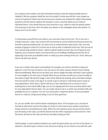you using the most modern and well-maintained machines with the lowest possible dose of radiation? Will you properly shield the rest of my body? In what way will the x-rays change my course of treatment? When was the last time your machine was checked for safety? Keep asking questions until the doctor explains the situation in such a way that allows you to make an informed choice. If you decide that you must have the x-rays, submit to only the specific photos [47] necessary at the time. Don't let either your doctor or the radiologist shoot extra photos "as long as you're on the table."

To fully protect yourself from your doctor, you must learn how to lie to him. This is not such a strange maneuver, really, since anyone who has learned to survive professional bureaucracies has learned to deceive professionals. You learn to lie to school teachers quite early in life, since the purpose of going to school isn't to learn but to end up with a credential at the end. Then you do all your real learning outside of school. I advise medical students to learn the arts of hypocrisy and duplicity, just as Southern blacks once learned the art of shuffling. Shuffling was the fine art of appearing to be active and obedient when in reality you were nothing of the sort. That's what you have to do with your doctor.

If you are a mother who wants to breastfeed, for example, your doctor will almost always be against it, even if he says he doesn't care one way or the other, because doctors know nothing about breastfeeding. What do you do when your doctor weighs the baby and finds it hasn't gained as much weight as his chart says it should? What do you do when he tells you to start hot dogs at two weeks of age? My favorite image is that of the obstetrician waiting, and as the baby emerges from the womb he sticks a hot dog in its mouth to get it started on solid foods and to create an early dependence. Well, when a doctor tells you to start solid food such as cereal or fruit or anything else at one month [48] of age, you can try arguing with him since you know what's best for your baby better than he does. You can simply refuse to do it, in which case he'll get huffy and probably fire you as a patient. You can try to persuade or cajole the doctor, on the assumption that he's a rational, caring human being. If you try that, good luck.

Or, you can shuffle. Don't tell the doctor anything but Yessir. If he has given you a six-pack of formula to take home and start the baby on, throw it in the trash at your earliest convenience. Simply continue to breastfeed your baby. When the next checkup comes around and the doctor puts the baby on the scale, just tell the doctor how the child's enjoying his cereal and fruit. Then the doctor will look at the scale and tell you the baby's doing just fine.

Unfortunately, in some medical situations you reach the point where you can't lie to the doctor. In obstetrics, the doctor gets a chance to see what you're doing. He can check on you with the scale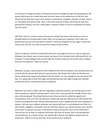and enforce his dangerous ideas of limiting the amount of weight you gain during pregnancy. My women will bring a list of what they want and don't want to the obstetrician on the first visit, They'll tell him they don't want to be shaved, no episiotomy, analgesia, induction of labor, and so on. The doctor will nod his head. Then, in the final moments of labor, she'll find out that she's getting them anyway. You can't really expect a woman in labor to say no to whatever her doctor says she needs.

[49] That's why it's crucial to subvert the process and get the jump on the doctor as much as possible before the situation gets critical. After you've asked your questions, don't take it for granted that you can trust the doctor's answers. Check out whatever he says. Again, read all the sources you can find. You have to know more about it than he does.

Doctors in general should be treated with about the same degree of trust as used car salesmen. Whatever your doctor says or recommends, you have to first consider how it will benefit him. For example, if a neonatologist tells you that high risk nurseries improve the survival rates of babies, find out if he works for a high risk nursery.

Whenever you get a second opinion that is different from the first opinion, you should go back and confront the first doctor with what the second doctor said. People don't often do this because they're afraid of the anger and hostility of the first doctor. It's very valuable to test the doctor this way. It's a good idea to elicit that anger and hostility because that might change your attitude towards the doctor, And towards doctors in general.

Whenever you have to make a decision regarding a medical procedure, you should seek out and talk to people you regard as having wisdom. At one time, if you go back far enough, doctors were wise, cultured people. They knew literature and culture and were marked by sagacity and consideration. That is not the case anymore. People who may be a [50] source of information and counsel are people who have had the same experience as you, people with the same symptoms or disease. Talk over your problem, whatever your doctor tells you it is and whatever you think it is, with friends, neighbors, and family. Find out what their doctors say. Doctors tell you not to do this, not to listen to opinions you hear in the butcher shop or the grocery store or the hairdresser's. They tell you not to listen to relatives and friends. But they are wrong. They're protecting their sacred authority. As a matter of fact, you should talk to friends and relatives, people who live around you, whom you know and trust, at the outset of your symptoms.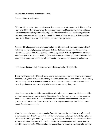You may find you can do without the doctor.

Chapter 2 Miraculous Mayhem

[51] I can still remember how, early in my medical career, I gave intravenous penicillin every few hours to children who were suffering the agonizing symptoms of bacterial meningitis, and then watched miraculous changes occur hour by hour. Children who had been on the verge of death recovered consciousness and began to respond to stimuli within a few hours. A few days later those same children were back on their feet, almost ready to go home.

Patients with lobar pneumonia also would endure terrible agonies. They would enter a crisis of high fever, severe cough, gasping for breath, shaking, chills, and extreme chest pains. Some recovered, but many died. When penicillin came along, people with lobar pneumonia no longer went through a crisis period. Instead, [52] the fever, cough, and other symptoms resolved within days. People who would never have left the hospital alive packed their bags and walked out.

I -- and other doctors -- truly felt that we were witnessing and working miracles.

Things are different today. Meningitis and lobar pneumonia are uncommon. Even when a doctor does come up against such a life-threatening condition, the treatment is so routine that it is mainly carried out by a nurse or a medical technician. While the fascination with the miracle remains, these drugs that were once extremely valuable are now extremely dangerous.

Many doctors prescribe penicillin for conditions as harmless as the common cold. Since penicillin works almost exclusively against bacterial infections, it's useless against viral conditions such as colds and flu. Penicillin and other antibiotics do not shorten the course of the disease, do not prevent complications, and do not reduce the number of pathogenic organisms in the nose and throat. They do no good at all.

What they can do is cause reactions ranging from skin rish, vomiting, and diarrhea to fever and anaphylactic shock. If you're lucky, you'll only be one of the seven to eight percent of people who suffer a rash -- although a much higher percentage of people suffering from mononucleosis have gotten a rash when given ampicillin. For the unlucky five percent who get serious reactions to penicillin, the picture of a [53] patient in anaphylactic shock is not pretty: cardiovascular collapse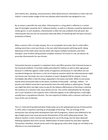with clammy skin, sweating, unconsciousness, fallen blood pressure, disturbance in heart rate and rhythm. It eerily evokes images of the very diseases which penicillin was designed to cure.

By no means is penicillin the only villain. Chloromycetin is a drug which is effective in a certain type of meningitis caused by the H. influenza bacillus, as well as in diseases caused by typhoid and similar germs. In such situations, chloromycetin is often the only antibiotic that will work. But chloromycetin also has the not uncommon fatal side effect of interfering with the bone marrow's production of blood.

When a person's life is at stake anyway, this is an acceptable risk to take. But if a child suffers nothing more than a viral sore throat, is the non-relief chloromycetin will bring worth risking depression of the child's bone marrow which will require multiple transfusions and other therapies, none of which will guarantee complete recovery? Of course it's not; yet doctors do prescribe chloromycetin for sore throats.

Tetracycline became so popular in outpatient clinics and office practices that it became known as the housecall antibiotic. It has been widely prescribed for children as well as other age groups because it is effective against a wide variety of organisms and because it's side effects are not considered dangerous. But there is a fair list of adverse reactions which the informed person might not choose over the drug's non-use in situations it wasn't designed [54] for anyway. A more formidable side effect is that the drug is deposited in the bones and teeth. While no one knows exactly what tetracycline does to the bones, hundreds of thousands -- perhaps, millions -- of parents and children know that it permanently stains the teeth yellow or yellow-green. Though you might feel that's too high a price to pay for the dubious effectiveness of the drug in relieving the symtoms of a common cold, many doctors do not. The current rationalization for the drug's use in such situations is the suspicion that a child who appears to be suffering from a cold might actually have a mycoplasma infection. The vast majority of children with a common cold have no trace of this sort of infection.

The U.S. Food and Drug Administration finally woke up to the widespread overuse of tetracyclines in 1970, when it required a warning on all packages of the drug: "The use of drugs of the tetracycline class during tooth development (last half of pregnancy, infancy and childhood to the age of eight years) may cause permanent discoloration of the teeth yellow-gray-brown. This adverse reaction is more common during long term use of the drugs, but has been observed following repeated short term courses. Malformation of tooth enamel has also been reported. Tetracycline, therefore, should not be used in this age group unless other drugs are not likely to be effective or are contraindicated."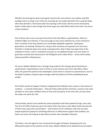Whether this warning has done much good is hard to tell, since doctors very seldom read [55] package inserts on drugs. Even if they do, warnings do not usually stop them from using the drugs when they feel like it. Particularly when the warning on the insert, like the one for tetracycline, doesn't really make it clear enough that these drugs carry side effects which merit their use only in critical situations.

One of those risks is even more grim than that of the side effects: superinfections. When an antibiotic fights one infection, it may encourage an even worse infection by a strain of bacteria that is resistant to the drug. Bacteria are remarkably adaptable organisms. Subsequent generations can develop resistance to a drug as their ancestors are exposed more and more. Penicillin in moderate doses once easily cured gonorrhea. Now it takes two large shots of the antibiotic to treat it, and it's sometimes necessary to use additional drugs! Two new strains of gonorrhea recently were discovered in the Philippines and in West Africa -- strains which totally destroy penicillin's effectiveness.

Of course, Modern Medicine has a stronger drug ready for the stronger gonorrhea bacteria - spectinomycin. Spectinomycin costs six times as much and has even more side effects. Mean while, the gonorrhea bacteria have developed a strain which is resistant to spectinomycin, too! As the battle escalates, the germs grow stronger while the patients and their pocketbooks grow weaker.

All of which would not happen if doctors recognized that antibiotics have a place in the practice of medicine -- a severely limited place -- [56] and if they enforced that restriction. A person may need penicillin or some other antibiotic three or four times during his or her entire life, at times when the stakes are worth the risks.

Unfortunately, doctors have seeded the entire population with these powerful drugs. Every year, from 8 to 10 million Americans go to the doctor when they have a cold. About ninety-five percent of them come away with a prescription -- half of which are for antibiotics. Not only are these people duped into paying for something which has no effectiveness against their problem, but they're set up for the hazards of side effects and the risks of deadlier infections.

The doctor, once the agent of cure, has become the agent of disease. By going too far and diffusing the power of the extreme on the mean, Modern Medicine has weakened and corrupted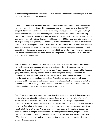even the management of extreme cases. The miracle I and other doctors were once proud to take part in has become a miracle of mayhem.

In 1890, Dr. Robert Koch derived a substance from tuberculosis bacteria which he claimed would cure the disease. When he injected it into patients, however, they got worse or died. In 1928, a drug called thorotrast was first used to aid in obtaining x-ray outlines of the liver, spleen, lymph nodes, and other organs. It took nineteen years to discover that even small doses of the drug caused cancer. In 1937, children who received a new antibacterial [57] drug died because the drug was contaminated with a toxic chemical. In 1955, more than 100 fatal and near fatal cases of polio developed among unsuspecting people receiving certain lots of the Salk vaccine which contained presumably inacivated polio viruses. In 1959, about 500 children in Germany and 1,000 elsewhere were born severely deformed because their mothers had taken thalidomide, a sleeping pill and tranquilizer during the early weeks of pregnancy. In 1962, a cholesterol-lowering drug, triparanol, was removed from the market when it was acknowledged that the drug caused numerous side effects, cataracts among them.

Most of these pharmaceutical backfires were corrected either when the drug was removed from the market or when the manufacturing error was discovered and tighter controls were established. The controls haven't been tight enough though, because drug disasters like these are going on every day. Actually, the only apparatus that has grown stronger seems to be the machinery of keeping dangerous drugs moving from the factories through the hands of doctors into the mouths and bodies of unwary patients. Reserpine, a drug used, against high blood pressure, is still prescribed, even though it was discovered in studies five years ago to triple the risk of breast cancer. Although insulin is turning up in scientific studies as one of the causes of diabetic blindness, its use is still heralded as a medical miracle.

[58] Of course, if drugs were merely products of medical science, dealing with them would be a matter of science, rationality, and common sense. But drugs aren't merely scientific -- they're sacred. Like the communion wafer which Catholics receive on the tongue, drugs are the communion wafers of Modern Medicine. When you take a drug you're communing with one of the mysteries of the Church: the fact that the doctor can alter your inward and outward state if you have the faith to take the drug. And just as an undeniable factor in the healing or the spiritual boost the communicant gets at the altar rail is psychologically determined, the placebo effect - the power of suggestion -- plays a tremendous role in whatever good a drug may do. As a matter of fact there are some drugs and other procedures in which we know the placebo effect is the primary therapeutic agent!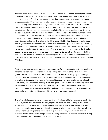The sacraments of the Catholic Church -- or any other real church -- seldom harm anyone. Doctorprescribed sacramental drugs of Modern Medicine kill more people than illegal street drugs. A nationwide survey of medical examiners reported that street drugs cause twenty-six percent of drug abuse deaths. Valuim and barbiturates --prescription drugs -- made up another twenty-three percent of drug abuse deaths. This study did not take into account the 20,000 to 30,000 yearly deaths attributed to adverse reactions to drugs prescribed by doctors. The reason for the wide girth between the estimates is that doctors often fudge [59] in stating whether or not drugs are the actual cause of death. If a patient has a terminal illness and dies during the drug therapy, the death will be attributed to the disease, even if the patient wouldn't normally have died for some time yet. The Boston Collaborative Drug Surveillance Program monitored patients admitted to acute disease medical wards and found the risk of being killed by drug therapy was better than one in 1,000 in American hospitals. An earlier survey by the same group found that the risk among hospitalized pitients with serious chronic diseases such as cancer, heart disease and alcoholic cirrhosis was four in 1,000. Of course, many of these people were in the hospital in the first place because of the effects of drugs prescribed by their doctors. Conservative estimates say that five percent of the people in American and British hospitals are there because of adverse reactions to drugs. Another conservative estimate puts the price tag on this preventable suffering at more than \$3 billion.

Another, even more powerful, group of drugs whose use for the treatment of extreme conditions has shifted to common conditions is the steroid drugs. Steroids mimic the action of the adrenal glands, the most powerful regulators of body metabolism. Practically every organ is directly or indirectly affected by the secretions of the adrenal glands -- as well as by the synthetic chemicals prescribed by the doctor. Once upon a time, steroid drugs were prescribed for severe adrenal insufficiency, for disturbances of the [60] pituitary gland and for certain life-threatening conditions such as lupus erythematosus, ulcerative colitis, leprosy, leukemia, Hodgkin's Disease, and lymphoma. Today steroids are prescribed for conditions as common as sunburn, mononucleosis, acne, and a large variety of skin rashes which are often incorrectly diagnosed.

The entire list of precautions and adverse reactions to Prednisone fills two columns of small print in the Physicians Desk Reference, the enclyclopedia or "bible" of licensed drugs in the United States. Among the adverse reactions are: hypertension, loss of muscle tone, peptic ulcer with possible perforation and hemorrhage, impaired wound healing, increased sweating, convulsions, vertigo, menstrual irregularities, suppression of growth in children, manifesiation of latent diabetes, psychic disturbances, and glaucoma. Is getting rid of some minor skin rash worth risking one of these disasters? Apparently some doctors think it is.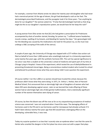For example, a woman from Atlanta wrote me about her twenty-year-old daughter who had never had a menstrual period. At the age of eleven, the girl had developed a rash on her feet. The dermatologist prescribed Prednisone, and the youngster took it for three years. "Can anything be done for our daughter?" the woman asked me. "If only that dermatologist had told us that drug might do this to our daughter's reproductive system, we would have let her keep the rash!"

A young woman from Ohio wrote me that [61] she had gotten a prescription for Prednisone accompanied by shots of another steriod, Kenalog, for poison ivy. "I suffered severe headaches, muscle cramps, swelling of my breasts, and bleeding for twenty-five days." Her gynecologist told her the bleeding was caused by the medications she took for the poison ivy, so she must now undergo a D&C (scraping of the walls of the uterus).

A couple of years ago, the University of Chicago was slapped with a \$77-million class-action suit filed on behalf of more than 1,000 women who unwittingly took part in a University experiment, some twenty-five years ago, with the synthetic hormone DES. This suit has special significance to me since I was then a student at the university's school of medicine and spent part of my time at Chicago Lying-In Hospital. I knew of the experiment, which tested the use of diethylstilbesterol in preventing threatened miscarriages. Being a conscientious medical student who trusted his school and believed his professors knew what they were doing I didn't even question the experiment.

Of course neither I nor the 1,000 or so women should have trusted the school, because the professors didn't know what they were doing. In 1971, Dr. Arthur L. Herbst, then of Harvard Medical School, first announced that an alarmingly high rate of daughters of women who had taken DES were developing vaginal cancer. Later on we learned that male offspring of these women had an alarmingly high rate of [62] genital malformations. And a statistically significant number of the women themselves were dying of cancer.

Of course, by then the bloom was off the rose as far as my unquestioning acceptance of medical science was concerned. I was not surprised when I heard the news. The damaging effects of hormones used in the Pill and in sex hormones used for menopause had already surfaced. If it hadn't been obvious twenty-five years ago that DES would have a damaging effect on the developing, vulnerable fetus, it was now.

Today my surprise quotient is so low that I scarcely raise an eyebrow when I see that the same Dr. Herbst who unveiled the dangers in the first place has since come out with a paper that plays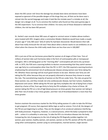down the DES cancer risk! Since the damage has already been done and doctors have been exposed as ignorant of the possible dangers of the drugs they use, all that can be done now is retreat into the sacred language and make it look like the mistake wasn't a mistake at all, the danger not a danger at all. Try to convince the mothers who found out they were guinea pigs in the DES experiment. Try to convince their children. For every one of those diseased or deformed children, the risk has been l0O percent.

Dr. Herbst's own records show 300 cases of vaginal or cervical cancer in babies whose mothers were treated with DES. Imagine what a commotion Modern Medicine would have made a couple of years ago if "only 300 cases" [63] of swlne flu had been discovered. Would doctors then talk about how really miniscule the risk was? How about when a doctor wants to use antibiotics on an infant when the chances the child really needs them are less than one in 100,000?

DES is just one of the sex hormones prescribed for women at all stages of their lives. Tens of millions of women take such hormones daily in the form of contraceptive pills or menopausal estrogens. DES is still being given as the "morning after" contraceptive pill and to dry up breast milk. In 1975, the FDA sent a warning bulletin to doctors recommending that they switch women over age forty to a contraceptive other than the Pill. In 1977, the FDA required a warning brochure emphasizing the astronomical risk of cardiovascular disease among women over forty taking the Pill. Whether these warnings will do much good remains to be seen. Women over forty are still taking the Pill, either because they are not properly informed or because they choose to accept the risks. The overwhelming majority of women on the Pill are under forty. The risks are great for these women, too, and they include not only cardiovascular disease, but liver tumors, headaches, depression and cancer. While taking the Pill over age forty multiplies the risk of dying from a heart attack by a factor of five, from age thirty to forty the PilI multiplies it by a factor of three. All women taking the Pill run a risk of high blood pressure six times greater than women not taking it. [64] Their risk of stroke is four times greater, and their risk of thromboembolism is more than five times greater.

Doctors maintain the enormous market for the Pill by telling women it's safer to take the Pill than to get pregnant. Of course, that argument defies logic as well as science. First of all, the dangers of the Pill are just beginning to surface. They are the dangers of an unnatural substance interfering with body processes. Pregnancy, however, is a natural process, which the body is prepared to deal with -- unless it is unhealthy in some way. To take the Pill is to introduce disease into the body. Comparing the risk of pregnancy to the risk of taking the Pill illogically jumbles together rich women, poor women, healthy women, sick women, women on the Pill, women off the Pill, women using other contraceptives, women using no contraceptives, married women, single women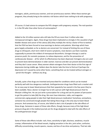teenagers, adults, promiscuous women, and non-promiscuous women. When these women get pregnant, they already bring to the statistics risk factors which have nothing to do with pregnancy.

Of course, it's bad science to compare the Pill's dangers with pregnancy anyway. The real question is: Is the Pill safer than other forms of contraception?

Added to the 10 million women who still take the Pill are more than 5 million who take menopausal estrogens. Again, these drugs have been implicated so strongly in the causation of gall bladder disease and cancer of the utenus [65] (they multiply the risk by a factor of five to twelve) that the FDA has been forced to issue warnings to doctors and patients. Warnings which have gone largely unheeded, as far as doctors are concerned. For instead of limiting the use of these drugs to infrequent, short term relief of severe symptoms, most doctors use them routinely supposedly to prevent the mildest of menopausal discomforts. Estrogen therapy is used to preserve youth, for cosmetic purposes, to relieve depression, and for the prevention of cardiovascular disease -- all for which its effectiveness has been disproved. Estrogens also are used to prevent bone demineralization in older women. Exercise and diet can prevent demineralization and they don't cause cancer. Many women obtain estrogens from their doctor at the first sign of depression during middle age. Seldom does the doctor take the time to find out if perhaps the depression isn't caused by some other factor, something that can be treated without estrogen or - - perish the thought -- without any drug.

Actually, quite a few drugs are invented and prescribed for conditions which can be treated perfectly well with less dangerous methods. Antihypertension drugs have filled such a market void for an easy way to lower blood pressure that their popularity has soared in the few years they've been available. Now a doctor no longer has to tell a person with high blood pressure that his lifestyle is killing him. He can just write a prescription for a drug and use his powers of persuasion to get the patient to take [66] the drug. We even have television, radio, and magazine commercials urging people to take their high blood pressure medication! Somehow, somewhere, someone has convinced enough people that taking these drugs is the only way to lower blood pressure. And someone has, of course, also failed to alert a lot of people to the side effects of these drugs. Someone is aware of those side effects, though, because many of the high blood pressure drug ads in the medical journals are for drugs designed to deal with the side effects of the antihypertension drugs!

Some of those side effects include: rash, hives, sensitivity to light, dizziness, weakness, muscle cramps, inflammation of the blood vessels, tingling sensation in the skin, joint aches, confusion, difficulty concentrating, muscle spasms, nausea, and loss of sex drive and potency. That last side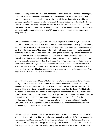effect, by the way, affects both men and, women on antihypertensives. Sometimes I wonder just how much of the middle-aged population suffers from impotency -- not from any psychological cause but simply from their blood pressure medication. All the sex therapy in the world won't correct drug-induced impotence and loss of libido. If doctors aren't aware of the side effects from these drugs, they aren't doing their job, because the manufacturers list them in the Physicians Desk Reference (PDR). If they do know about them and prescribe these drugs anyway, you have to stop and wonder: would a doctor who was [67] found to have high blood pressure take these drugs himself?

Perhaps any doctor foolish enough to prescribe these drugs is also foolish enough to take them himself, since most doctors are aware of the controversy over whether these drugs do any good at all. Even if you assume that high blood pressure is dangerous, doctors are still guilty of being a bit quick with the prescription. Many people who receive high blood pressure medication are really borderline cases: their blood pressure isn't high enough to warrant a drug with the side effects of antihypertensives. Most of these people could more effectively lower their blood pressure through relaxation therapy, dietary or lifestyle changes. In one study, relaxation therapy reduced blood pressure faster and farther than drug therapy. Similar studies have shown that weight loss, reduction of salt intake, vegetarian diet, and exerclse can also lower blood pressure at least as effectively and certainly more safely than drug therapy. There's little doubt that many patients don't need to lower their blood pressure at all, since as soon as they leave the danger zone of the doctor's ofice, their blood pressure returns to normal.

One of the unwritten rules in Modern Medicine is always to write a prescription for a new drug quicky, before all its side effects have come to the surface. Nowhere is this syndrome more evident than in the unleashing of the herd of new antiarthritic drugs on the unsuspecting [68] patients. Nowhere is it more evident that the "cures" are worse than the disease. Within the last few years, a torrent of advertisements in medical journals has heralded the coming of such antiarthritis drugs as Butazolidin alka, Motrin, Indocin, Naprosyn, Nalfon, Toletin, and others, The drug companies have spared neither time nor money in rushing their arthritis "cures" to the marketplace. Millions upon millions of prescriptions have been written. And in just these few years, this new class of drugs has a record of side effects that promises to rival antibiotics and hormones as genuine public health menaces.

Just reading the information supplied by the manufacturer of Butazolidin alka, and thinking that your doctor actually is prescribing the stuff to you is enough to make you ill: "This is a potent drug; its misuse can lead to serious results. Cases of leukemia have been reported in patients with a history of short and long term therapy. The majority of the patients were over forty." If you read further you find that your doctor is setting you up for a possible 92 adverse reactions, including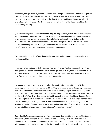headaches, vertigo, coma, hypertension, retinal hemorrhage, and hepatitis. The company goes on to admit: "Carefully instruct and observe the individual patient, especially the aging (forty and over) who have increased susceptibility to the drug. Use lowest effective dosage. Weigh initially unpredictable benefits against risk of severe, even fatal reactions. The disease condition itself is unaltered by the drug."

[69] After reading that, you have to wonder why the drug company would bother marketing the stuff. What doctor would give such poison to his patient? What person would willingly take this drug? You can stop wondering, because Butasolidin alka makes millions of dollars for its manufacturer. Doctors may or may not be aware of the drug's disastrous side effeets. They may not be offended by the admission by the company that the doctor has to weigh unpredictable benefits against the possibility of death. They just may not care.

Or they may be guided by a force that goes beyond logic and consideration -- the rhythm of a religious sacrifice.

In the case of at least one antiarthritis drug, Naprosyn, the sacrifice has graduated into a farce. Though the FDA has discovered that Syntex, the drug's manufacturer, falsified records of tumors and animal deaths during the safety tests for its drug, the government is unable to remove the drug from the market without long and tedious proceedings.

No modern medical procedure better displays the inquisitorial nature of Modern Medicine than the drugging of so called "hyperactive" children. Originally, behavior controlling drugs were used to treat only the most severe cases of mental illness. But today, drugs such as Dexedrine, Cylert, Ritalin, and Tofranil are being used on more than a million children throughout the United States - on the basis of often flimsy diagnostic criteria of hyperactivity and minimal brain damage. Some medical [70] tests, when performed correctly, are conclusive. But there is no single diagnostic test that will identify a child as hyperactive or any of the twenty-one other names assigned to this syndrome. The list of inconclusive tests is at least as long as the list of names. All a doctor has to go on is a list of inconclusive tests and the "educated" guess of an "expert."

One school in Texas took advantage of this ambiguity and diagnosed forty percent of its students as minimally brain damaged in a year when government money was available to treat that syndrome. Two years later, this money was no longer available, but funds for treating children with language learning disabilities were floating around. Suddenly, the minimally brain damaged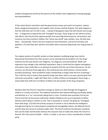students disappeared and thirty-five percent of the children were diagnosed as having language learning disabilities!

If that school district and others took the government money and used it on teachers' salaries, books, playground equipment, and supplies, their larceny could be forgiven. But what happens is that the child who can't sit still in class -- instead of being given tasks that will interest and occupy him -- is diagnosed as hyperactive and "managed" by drugs. These drugs are not without serious side effects. Not only do they suppress growth and cause high blood pressure, nervousness, and insomnia, but they transform children into "brave new world" type zombies. Sure, the kids slow down -- dramatically. They're also less responsive and enthusiastic, and more humorless and apathetic. [71] And they don't perform any better when measured objectively over long periods of time.

The original authors of scientific studies on these behavior modifying drugs have tried to disassociate themselves from their present use by claiming that the problem isn't the drugs' existence but the way doctors over-diagnose, mis-diagnose, and overmedicate. While such arguments may salvage a few individual reputations, keep in mind that the original investigators and authors have made little or no attempt to properly limit the use of their discoveries. On the contrary, we still have three-page ads in the medical journals which picture a school teacher proudly proclaiming, "How wonderful! Andy's handwriting no longer looks like hen scratchings." This is the first time in history that powerful drugs have been sold to cure poor penmanship! And sold quite successfully, I might add. More then a million children are being given these drugs, a yearly habit that stuffs tens of millions of dollars into the pockets of the drug companies.

Nowhere does the Church's Inquisition emerge as clearly as it does through the drugging of children as a means of control. The medieval Inquisition went beyond defining unorthodox beliefs and behavior as a "sin" and started calling them a crime. Criminals were punished, first by the Church and then by the secular authorities. Modern Medicine sets up its Inquisition to define behavior which doesn't conform as sick. Then it proceeds to "punish" the guilty by "managing" them with drugs. [72] Since the primary purpose of schools is not to liberate the intelligence through learning but to create properly socialized and manageable citizens, the Medical Church and the State join forces to maintain public order. The Church enforces the behavior standards that suit the State and the State enforces the exclusive view of reality that allows the Church to flourish. All in the name of Health -- which, in reality, is not even a minor consideration of either party.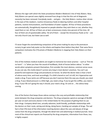Witness the vigor with which the State proselytizes Modern Medicine's line of Holy Waters. Now, Holy Waters are special cases slightly removed from drugs in that the thin veil of diagnostic necessity has been removed. Everybody needs -- and gets -- the Holy Waters: routine silver nitrate in the eyes of the newborn, routine intravenous fluids to laboring mothers and other hospital patients, routine immunizations, and fluoridation of water supplies. All four of these procedures are automatically, thoughtlessly imposed on people whether they wish them or not, whether they need them or not. All four of them are at best unnecessary ninety-nine percent of the time. All four of them are of questionable safety. Yet all of them -- except the intravenous fluids so far -- are not only Church Law, but State Law as well.

I'll never forget the overwhelming compulsion of the priest making his way to the premature nursery to get some holy water on the infants and baptize them before they died. That same fierce compulsion motivates the [73] priests of Modern Medicine in slapping their Holy Waters on their patients.

One of the mottoes medical students are taught to memorize but never practice -- such as "first do no harm" -- is "when you hear the sound of hoofbeats, think of horses before zebras." In other words when symptoms present themselves, first consider the most obvious, common sense cause. As you can see, this motto doesn't survive very long in most doctors' practices. You can't use powerful and expensive drugs and procedures on horses. So what the doctor does is hear a herd of zebras every time, and treat accordingly. If a child is bored or can't sit still, he's hyperactive and needs a drug. If your joints are stiff because you don't exercise them the way you should, you need a drug. If your blood pressure is a little high, you need a drug. If you've got the sniffles, you need a drug. If your life isn't going the way it should, your need a drug. On and on ... the zebras keep coming.

One of the factors that keeps those zebras coming is the cozy and profitable relationship that exists between the drug companies and doctors. The drug companies spend an average of \$6,000 per year on each and every doctor in the United States for the purpose of getting them to use their drugs. Company detail men, actually salesmen, build friendly, profitable relationships with the doctors on their route, wining and dining, doing favors, handing out samples of drugs. The sad fact is that [74] most of the information reaching doctors about the uses and abuses of drugs comes from the drug companies, through the detail men and advertising in medical journals. Since most of the clinical test reports are financed by the drug companies, information from these, too, is highly suspect.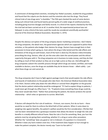A commission of distinguished scientists, including four Nobel Laureates, studied the drug problem and found that the culprits are the doctors and the scientists who test the drugs. They found clinical trials of new drugs were "a shambles." The FDA spot checked the work of some doctors doing such clinical trials and found twenty percent guilty of a wide range of unethical practices, including giving incorrect dosages and falsify records. In a third of the reports checked by the FDA, the trial had not been carried out at all. In another third, the experimental protocol was not followed. In only a third of the tests could the results be considered scientifically worthwhile! [Journal of the American Medical Association, November 3, 1975]

Despite the obvious corruption of the drug company-doctor marketing connection, I don't blame the drug companies, the detail men, the government agencies which are supposed to police these activities, or the patients who badger their doctors for drugs. Doctors have enough facts in their possession to know what's going on. Even where the drug is fully tested and the side effects and limitations of the drug are well known, most of the harm is done by [75] doctors indiscriminately prescribing the drug. Doctors, after all, are the ones who claim the sacred power and the ethical superiority that goes with it. The drug companies are in business to make money, and they do that by selling as much of their product as they can at as high a price as they can. And although the drug companies subvert the scientific process through which drugs are tested, certified, and made available to doctors, once the drugs are available they do let doctors know -- albeit subtly -- just what these drugs can and cannot do.

The drug companies don't have to fight against package inserts that would explain the side effects and hazards of medications to the people who take them: the American Medical Association does it for them. Doctors either play down the side effects or conceal them altogether on the grounds that the doctor-patient relationship would be endangered. "If I had to explain things to patients, I could never get through my office hours." Or, "If patients knew everything these drugs could do, they never would take them." Rather than protecting the patient, the doctor protects the sacred relationship -- which relies on ignorance to survive. Blind faith.

If doctors still obeyed the first rule of medicine -- Primum, non nocere, first do no harm -- there would be no need for them to enforce the blind faith of their patients. When it came down to weighing risks against benefits, the patient's welfare would be the first consideration. [76] But that rule has been rationalized into a grotesque mutation that allows the doctor to weigh the risks and benefits in a totally different ethical frame. Now the rule is First Do something. Now, you hurt the patients most by not giving them something, whether it's a drug or some other procedure. Whether the "something" does any good or not is irrelevant. (To question it is irreverent!) Whether it does any harm matters even less. If the treatment does happen to hurt enough to make the patient complain, the doctor merely says "Learn to live with it."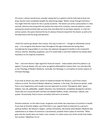Of course, a doctor would never consider saying that to a patient until he had tried at least one drug. Doctors have completely bought the advertising slogan "Better Living Through Chemistry." You might think the reason for this is purely economic. The doctor can write a prescription in a few seconds, whereas discussing with the patient the state of his nutrition, exercise patterns, career, and psyche would certainly take up more time and allow him to see fewer patients. In a fee-forservice system, the quick chemical fix has its obvious financial reward for the doctor as well as for the pharmacist and the drug manufacturer.

I think the reasons go deeper than money. One way to look at it -- though an admittedly cynical way -- is to recognize that doctors have throughout the ages embraced the wrong ideas. Considering the drug problem in our time, the adamant disregard of sterility in the nineteenth century, leeches, bleeding, purgatives, you [77] could make a case that medicine has always been hazardous to the majority of patients.

That -- and most doctors' high regard for financial reward -- helps explain what the patient is up against. If you go deeper still, you come up against philosophical reasons that I can only describe as the Theology of Modern Medicine. Ironically, this theology is a corruption of certain aspects of Christian theology.

If you look at almost any other system of medicine besides the Western, you'll find a heavy reliance on food. The food of Modern Medicine, however, is the drug. The American doctor, aside from a very fragmentary and usually incorrect approach to certain "therapeutic diets" (gout, diabetic, low salt, gallbadder, weight reduction, low cholesterol), completely disregards nutrition. Those who are concerned with nutrition are labeled faddists, freaks, extremists, radicals, and quacks. Occasionally, they're (more correctly) referred to as heretics.

Oriental medicine, on the other hand, recognizes and utilizes the importance of nutrition in health. If you look at Oriental religion, you'll find that it, too, regards food as important to a person's spiritual welfare. But Western religion, namely Christianity, did exactly what Modern Medicine did: substituted as an obiect of reverence a sacramental, symbolic food in place of real food. "What goes into the mouth does not make a man unclean; it is what comes out of the mouth that makes him unclean."(Matthew 15:11)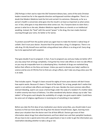[78] Perhaps in their zeal to reject the Old Testament dietary laws, some of the early Christian leaders moved too far in the opposite direction and bypassed nutrition altogether. There's no doubt that Modern Medicine took the hint and carried it to extremes. Obviously, as far as a person's health is concerned, what goes into the mouth is at least as important as what comes out. In fact, what goes in may determine what comes out. Yet, if anyone dares to claim that a person is what he or she eats, Modern Medicine regards them as a heretic or an intellectual weakling. Instead, the "food" with the sacred "power" is the drug, the man-made chemical coursing through your veins, for better or for worse.

To protect yourself from the pusher-priest you again have to make the heretic's radical leap of unfaith. Don't trust your doctor. Assume that if he prescribes a drug, it's dangerous. There is no safe drug. Eli Lilly himself once said that a drug without toxic effects is no drug at all. Every drug has to be approached with suspicion.

That goes double if you're pregnant. In fact, if you're pregnant you and your baby are better off if you stay away from all drugs completely. A drug that has minor side effects or even no side effects on you may do irreparable harm to a developing fetus. Hundreds of drugs are marketed long before their effects on the fetus are known. Unless you want to donate your baby's welfare to science and be one of [79] the first to find out a drug's effects, don't take any drug unless your life is at stake.

That includes aspirin. Though it's been around for eighty of more years doctors still don't know how aspirin works. Because it's been a "friend of the family" for so long, people don't realize that aspirin is not without side effects and dangers of its own. Besides the most common side effect, stomach bleeding, aspirin can cause a hemorrhage under the scalp of a newborn if a mother takes it within seventy-two hours of delivery. I've often wondered why doctors always say to take "two tablets" of five grains each despite the availability of a single, ten-grain aspirin tablet. Could there be some sort of religious significance in receiving ten of something in two tablets?

Before you take the first dose of any medication your doctor prescribes, you should make it your business to find out more about the drug than the doctor himself knows. Again, learning more about your situation than the doctor won't be all that difficult. Doctors get most of their information about drugs from advertisements and from detail men and their pamphlet handouts. All you have to do is spend some time with a good book or two in order to get the information you need before deciding whether to take a drug or not.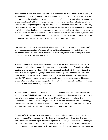The best book to start with is the Physicians' Desk Reference, the PDR. The PDR is the beginning of knowledge about drugs. Although it's easily available now, up until about two [80] years ago the publisher refused to distribute it to other than members of the medical profession. I wasn't aware of this when I gave the PDR many plugs in my column and newsletter. Finally, I got a letter from the publisher telling me to please stop referring people to their book since they distributed it only to professionals. They felt that the public wouldn't understand the PDR and would be confused by it. Well, I published that letter in my column and I commented that it was the first time in history a publisher didn't want to sell his books. Shortly thereafter, without any kind of fanfare, the PDR not only started showing up in bookstores, but it was promoted in bookstores! Now, if you go into the bookstores, you'll see piles of PDR's. I guess the publisher finally got the idea.

Of course, you don't have to buy the book. Almost every public library now has it. You shouldn't worry about understanding it. Anybody with an eighth grade education and a dictionary can read any medical book. Even doctors will testify that patients always seem to be able to pick out and understand the parts that they must know.

The PDR is good because all the information is provided by the drug companies in an effort to protect themselves. Not only does the FDA require them to put in all the information they have, but they also want to ward off any liability claims against them. In effect, they are saying to the doctor: we are telling you everything we know about this drug. What it may be [81] useful for. What it may do to the person who takes it. The wonderful thing that seems to be happening is that the PDR is becoming more and more discreet. For example, the latest issues divide drug side effects into major categories according to how frequently they can occur. Now at least you've got horse race odds when you take your medicine.

The PDR can be considered the "bible" of the Church of Modern Medicine, especially since for a long time it was forbidden literature except to the priesthood. But there are other sources for the kind of drug information you need. The American Medical Association publishes a Drug Evaluations book which in some cases gives even more information than the PDR. For one thing, the AMA book has a list of cross-referenced symptoms in the back. You look up your symptom or your side effect and it will tell you which drugs are indicated or suspected.

Because we're living in an era of poly-pharmacy -- everybody is taking more than one drug at a time -- you've got to become aware of the dangers of combinations of drugs. One drug may have side effects harmful to one organ three or four percent of the time, two percent to another organ, six percent to another. A second drug may have dangers for one organ that occur three percent, dangers for another organ ten percent. If you're taking enough drugs, the danger can easily add up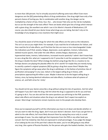to more than 100 percent. You're virtually assured of suffering some toxic effect! Even more dangerous are the [82] potentiating effects of drug combinations. One drug might have only a five percent chance of hurting you. But in combination with another drug, the danger can be multiplied by a factor of two, three, four, five ... who knows? Not only can the risk be multiplied, but so can the strength of the toxic effect! There are books which give lists of drugs which interact with a given drug. (An excellent one which I use is Eric Martin's Hazards of Medications.) Of course, you also should let your doctor know what drugs you are taking. But don't rely on his knowledge of any dangerous cross-reactions that might occur.

You should be aware of all the drugs for which the side effects are the same as the indications. This isn't as rare as you might think. For example, if you read the list of indications for Valium, and then read the list of side effects, you'll find that the lists are more or less interchangeable! Under the indications you'll find: anxiety, fatigue, depression, acute agitation, tremors, hallucinosis, skeletal muscle spasms. And under the side effects: anxiety fatigue, depression, acute hyperexcited states, tremors, hallucinations, increased muscle spasticity! I admit I don't know how to use a drug like this: what am I supposed to do if I prescribe it and the symptoms continue? Stop the drug or double the dose? What strategy lies behind using drugs like this is a mystery to me. Perhaps doctors are playing the placebo effect for all it's worth? Or maybe they are merely trying to sanctify a patient's original symptoms [83] by giving a drug that causes them? Maybe they figure the symptoms will go away when the drug is withdrawn, in the fashion of primitive rites of purification and purging? In any case, Valium is the largest selling drug in history, with prescriptions approaching 60 million a year. Maybe it deserves to be the largest selling drug in history, since, by having identical indications and side effects, it achieves what all systems of science, art, and faith strive for: Unity!

You should not let your doctor prescribe a drug without asking him lots of questions. Ask him what will happen if you don't take the drug. Ask him what the drug is supposed to do for you and how it's going to do it. You can also ask him the same questions you will bring to the PDR, questions about side effects and situations when the drug is not advised. Don't expect too explicit an answer. Most drugs' mechanisms remain mysteries even to the people who develop them.

Once you've exposed yourself to all this information you have to sit down and decide whether or not you want to take the drug. Again, don't trust your doctor's decision. Even if you can get him to admit to the side effects, he'll most likely discount them by saying they occur only in a small percentage of cases. You also might get that impression from the PDR or any other book you consult. Don't be misled by risks that are expressed in small percentages. If you judge the danger of an iceberg by the size of the part that's above the water, you're not [84] going to stay afloat very long. Like a game of Russian Roulette, for the person who gets the loaded chamber, the risk is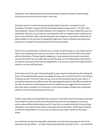100 percent. But unlike that game, for the person taking a drug no chamber is entirely empty. Every drug stresses and hurts your body in some way.

The doctor doesn't consider this because his philosophy of decision is corrupted. First Do Something. The doctor is going to find himself saying ridiculous things such as, "The Pill is safer than pregnancy." Because the doctor believes it, he's dangerous. You have to determine your risk individually. Only you, as you read up on the drug will be able to recognize certain conditions you have or have had which might make the drug even more dangerous. And only you will be able to decide whether or not you want to risk going through one or more of whatever side effects you find there in exchange for the possible benefit the drug may deliver.

Most of all, you should keep in mind that you can refuse to take the drug. It's your health that's at stake. If you read things that make you not want to take the drug, first of all confront the doctor with the information. Through cajolery, badgering, or some process of persuasion, you should convince the doctor that you really want to avoid the drug. As in all confrontations with doctors, his reaction may tell you more than you bargained for. You may once and for all recognize that his opinion is no more valid than yours.

On the other hand if you don't find anything [85] in your research to dissuade you from taking the drug, if the possible benefits appear to outweigh the risks, you're still not home free. You still have to protect yourself. First of all, make sure you carry out the instructions given by your doctor. If you find his instructions are different from the prescribing information in the PDR you should ask him why. He may have a perfectly good reason: his experience may suggest that the drug works best when taken according to his instructions. Or he may be making a mistake that could decide whether or not the drug will help you or hurt you.

Another reason why you should follow the instructions is that often these will include various tests that should be carried out while you're taking the drug, tests that are designed to reveal any serious adverse effects before they go too far. These tests are usually found with the prescribing information. Every doctor knows about or has access to this information. Yet few doctors bother to fulfill this responsibility. So it's up to you to make sure your body's reaction to the drug is tested.

You should also monitor the drugs effect subjectively. How does the drug make you feel? If you experience any side effects -- no matter how unimportant they may seem at first -- you should call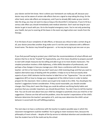your doctor and let him know. Here is where your homework can really pay off, because your doctor may not be aware of certain side effects that are a signal to stop taking the drug. On the other hand, some side effects are temporary, and if you've already [86] made up your mind to take the drug, you may not want to stop as long as the discomfort is temporary. If you're hit by a serious side effect you should immediately seek medical attention. Don't wait too long for your doctor to get in touch with you. Go to the hospital emergency room. You're not only protecting your health, but you're covering all the bases in the event any legal action ever results from the therapy.

If on the basis of your complaints of side effects, or because you refuse to take a certain drug at all, your doctor prescribes another drug make sure it's not the same substance with a different brand name. The doctor may himself be ignorant -- or he may be trying to put one over on you.

If you find yourself having to protect your child from the recommendations of school officials and doctors that he or she be "treated" for hyperactivity, your first move should be to prepare yourself to start with simple measures but be willing and able to go on to more drastic maneuvers. The simplest procedure involves a little diplomacy, a little skillful deception of professionals, and perhaps a few changes in how you manage your child. Have a conference with the classroom teacher. Let him or her know that you don't want your child receiving drugs and that you want to explore alternative ways of dealing with the problem. It helps to try to find out exactly what aspects of your child's behavior led the teacher to label him or her "hyperactive." You can ask for suggestions [87] on how to change your management of the child at home in order to better prepare for the classroom. Here is where you've got to be ready to lie a little. You should give the teacher's suggestions honest consideration. If they sound reasonable, you should consider changes. But if they don't seem like things you could do without sacrificing family habits and practices that you consider important, you should discard them. You don't have to tell the teacher that. You can lie and rave about how your child has changed so positively since you tried his or her suggestions. Chances are that will end the problem, since the teacher's expectations of the child's behavior determine the teacher's perception of it, and may even determine the child's actual behavior in accord with the self-fulfilling prophecy.

The next step is to have a conference with the teacher to explore possible ways in which the classroom management could be modified. You're going to meet resistance here, because the philosophy of most schools -- despite all the lip service to individual attention and consideration is that the student has to fit the mold cast by the school.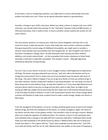At this point, if you're not getting anywhere, you might want to consult with people who have wisdom and whom you trust. These can be special education experts or grandmothers.

Consider a change in your child's classroom. Before you allow a doctor to tamper with your child's chemistry, you should realize that perhaps it's the "chemistry" between child and [88] teacher, or child and classmates, that is really at fault. A move to another school could be the answer for the same reasons.

The most drastic solution is to remove your child from school altogether and have him or her tutored at home, if state law permits. If your child really does seem to have a behavior problem that goes beyond the normal range of childhood intractability, you might want to consider a solution many families have successfully tried: the Feingold diet. Dr. Ben Feingold is the chief of the Kaiser Foundation's allergy clinics. His diet eliminates food coloring and other artificial additives, and certain natural foods -- on the assumption that certain substances in these foods stimulate a child who is especially susceptible. The concept is sound -- although vigorously attacked by advocates of drug therapy.

You can't rely on your doctor to aid you in your struggle to keep a child diagnosed as hyperactive off drugs. the doctor may play along with you and say, "well, let's talk to the teacher and try to change the environment!" but in ninety-nine out of one hundred cases the doctor will return to the drugs. The same is likely to happen if you try to get your doctor to treat you without drugs in any other situation. Doctors simply don't believe in non-drug therapies. For one thing, very few of them know how to treat without drugs. So they don't believe in it. If you have high blood pressure and your doctor wants to put you on drugs but you don't want to take them, he might try by having you [89] lose weight and by exercising. But he'll make only a half-hearted attempt because in the first place he doesn't believe in it and in the second place doctors don't know enough about nutrition and lifestyle to really show a patient how to make a useful change. Maybe one doctor in fifty knows.

From the standpoint of the patient, of course, it makes perfectly good sense to want to be treated without drugs. But from the standpoint of the doctor, it's totally outrageous. Again, the ethics of the doctor and the ethics of the patient conflict. That shouldn't come as too big a surprise. Medical ethics are usually the opposite of traditional ethics. For instance, if you're in the operating room and somebody finds a sponge in the belly left from a previous operation, traditional ethics would make sure that somebody in the family found out about it. Medical ethics tells you to keep your mouth shut about it. The surgeon will say, "I don't want anybody to know about this," and if the nurse tells the family, she'll be out of a job. Medical ethics also waffles on the point of stopping at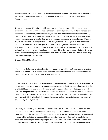the scene of an accident. If a doctor passes the scene of an accident traditional ethics tells him to stop and try to save a life. Medical ethics tells him first to find out if the state has a Good Samaritan law.

The ethics of Modern Medicine are different from traditional religious ethics as well as from traditional social ethics. Religious systems that are in conflict generally try to dissubstantiate the ethics and beliefs of the systems they are at [90] odds with. In the Church of Modern Medicine, the doctor who treats without drugs is regarded as a heretic because he or she appears to have rejected the sacrament of medication. Nondrug healers are regarded as belonging to a different religious system and are thought of as quacks, nuts, or fadists. The religious restrictions are so stringent that doctors are discouraged from even associating with the infidels. The AMA code of ethics says that M.D.s are not supposed to associate with cultists. They're not to talk to them, not to have them in their homes! If you keep in mind that this is the type of person that's advising you to take this or that dangerous substance into your body, you should have no problem mustering the motivation to protect yourself.

Chapter 3 Ritual Mutilations

[91] I believe that my generation of doctors will be remembered for two things: the miracles that turned to mayhem, such as penicillin and cortisone, and for the millions of mutilations which are ceremoniously carried out every year in operating rooms.

Conservative estimates -- such as that made by a congressional subcommittee -- say that about 2.4 million operations performed every year are unnecessary, and that these operations cost \$4 billion and 12,000 lives, or five percent of the quarter million deaths following or during surgery each year. The Independant Health Research Group says the number of unnecessary operations is more than 3 million. And various studies have put the number of useless operations between eleven and thirty percent. [92] My feeling is that somewhere around ninety percent of surgery is a waste of time, energy, money, and life.

One study, for example, closely reviewed people who were recommended for surgery. Not only did they find that most of them needed no surgury, but fully half of them needed no medical treatment at all. The formation of committees to review tissue removed in operations has resulted in some telling statistics. In one case 262 appendectomies were performed the year before a tissue committee began overseeing surgery. During the first year of the committee's review, the number dropped to 178. Within a few years, the number dropped to 62. The percentage of normal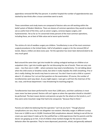appendices removed fell fifty-five percent. In another hospital the number of appendectomies was slashed by two-thirds after a tissue committee went to work.

These committees and study teams are composed of doctors who are still working within the belief system of Modern Medicine. There are dozens of common operations they would no doubt see as useful most of the time, such as cancer surgery, coronary bypass surgery, and hysterectomies. Yet as far as I'm concerned ninety percent of the most common operations, including these, are at best of little value and at worst quite harmful.

The victims of a lot of needless surgery are children. Tonsillectomy is one of the most conmmon surgical procedures in the United States. Half of all pediatric surgery is for the removal [93] of tonsils. About a million are done every year. Yet the operation has never been demonstrated to do very much good.

Back around the same time I got into trouble for cutting urological workups on children at an outpatient clinic, I got into trouble again for not discussing the size of tonsils. There are very rare cases -- less than one in 1,000 -- where someone may need a tonsillectomy. I'm not talking about when the child snores or breathes noisily. But when it really impedes the child's breathing, if he or she is really choking, the tonsils may have to come out. You don't have to ask a child or a parent about it. It's obvious! So I cut out that question on the examination. Of course, the number of tonsillectomies went way down. As you might expect, I soon got a call from the chairman of the ear, nose, and throat department: I was threatening his teaching program.

Tonsillectomies have been performed for more than 2,000 years, and their usefulness in most cases never has been proved. Doctors still can't agree on when the operation should or shouldn't be performed. The best reason doctors and parents can give for the attack on the tonsils is, as if they were some mountain range that had to be conquered, "because they're there."

Parents are lulled into believing that the operation "can't do any harm." Though physical complications are rare, they're not altogether non-existent. Mortality ranges in different surveys from one in 3,000 to one in 10,000. Emotional [94] complications abound. Getting to eat all the ice cream you want doesn't make up for the justified fear a child experiences that his parents and the doctor are ganging up on him. A lot of children show marked changes for the worse in their behavior after the operation. They're more depressed, pessimistic, afraid, and generally awkward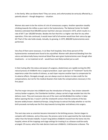in the family. Who can blame them? They can sense, and unfortunatety be seriously affected by, a patently absurd -- though dangerous -- situation.

Women also seem to be the victims of a lot of unnecessary surgery. Another operation steadily climbing towards the million-a-year mark is the hysterectomy. The National Center for Health Statistics estimated that 690,000 women had their uteruses removed in 1973, which results in a rate of 647.7 per 100,000 females. Besides the fact that this is a higher rate than for any other operation, if the rate continued, it would mean half of all women would lose their uterus by age 65! That's if the rate holds steady. Actually, its growing. In 1975, 808,000 hysterectomies were performed.

Very few of them were necessary. In six New York hospitals, forty-three percent of the hysterectomies reviewed were found to be unjustified. Women with abnormal bleeding from the uterus and abnormally heavy menstrual blood flow were given hysterectomies even though other treatments -- or no treatment at all -- would have most likely worked just as well.

In their lusting after the status and power of surgeons, obstetricians are rapidly turning the [95] natural process of childbirth into a surgical procedure. Layer upon layer of "treatment" buries the experience under the mantle of sickness, as each layer requires another layer to compensate for its adverse effects. Strangely enough, you can always count on doctors to take credit for the compensations, but not for the medical disasters that make the compensations necessary in the first place!

The first major intrusion into childbirth was the introduction of forceps. Two sinister sixteenthcentury barber-surgeons, the Chamberlen brothers, always carried a huge wooden box into the delivery room. They sent everyone else out of the room and blindfolded the mother in labor before opening the box. It wasn't until the nineteenth centurv that the contents of the box became widely known: obstetrical forceps. Using forceps to extract the baby whether or not the birth proceeds normally was the first step towards turning labor and delivery into surgery.

The next step came as scientists became interested in the birthing process. Doctors began to compete with midwives, and as they won, the process came to be supervised by the male doctor rather than the female midwife. It wasn't long before childbirth moved from the home into the hospital, where all the trappings and stage settings for treating it as a disease could be easily arranged. Of course, when the male doctors took over childbirth, it did become a disease. The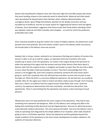doctors did something the midwives never did: they went right from the [96] autopsy labs where they were handling corpses to the maternity wards to attend births. Maternal and infant death rates skyrocketed far beyond where they had been when midwives delivered babies. One courageous doctor, Ignaz Philipp Semmelweis, pointed out the deadly connection and was hounded out of medicine, and into an insane asylum for suggesting that doctors were the agents of disease. Once Semmelweis' suggestion that doctors wash their hands before attending a birth was adopted, maternal and infant mortality rates dropped -- an event for which the profession predictably took credit.

Once it became possible to drug the mother into a state of helpless oblivion, the obstetrician could become even more powerful. Since the mother couldn't assist in the delivery while unconscious, the forceps place in the delivery room was assured.

Sedated, feet in stirups, shaven, attached to an intravenous fluid bag and a battery of monitors the woman in labor is set up so well for surgery, an operation had to be invented so the scene wouldn't go to waste. Enter the episiotomy. So routine is this surgcal slicing of the perineum to widen the opening of the vagina that few women and even fewer doctors think twice about it. Doctors claim that the surgical incision is straighter and simpler to repair than the tear that is likely to occur when the baby's head and shoulders are born. They fail to acknowledge that if the woman is not drugged silly, and if she's properly coached by someone [97] who knows what's going on, and if she's prepared, then she will know how and when to push and not push to ease the baby out. When the birth is a conscious deliberate experience, the perineal tear can usually be avoided. After all, the vagina was made to stretch and allow a baby to pass through. Even if tearing does occur, there's no evidence that the surgical incision heals better than a tear. Quite the contrary, my experience demonstrates that tears heal better, and with less discomfort, than episiotomies. There is some feeling that the episiotomy may lead to a later lessening of sexual pleasure.

Obstetricians were not long satisfied by the minor surgery of the episiotomy. They had to have something more awesome and dangerous. After all, the delivery room setting only adds to the feeling that something terribly abnormal must be happening here. And such an abnormal process surely demands medical intervention. The more extreme the better. And since the delivery room is really an operating room disguised by the simple addition of an incubator, what really should be going on here is a full blown operation. Hence the obstetrical sacrifice graduates beyond the simple mutilation of the episiotomy to the most sinister development of modern obstetrics, the epidemic of Caesarean deliveries.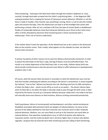Fetal monitoring -- listening to the fetal heart either through the mother's abdomen or, most recently, through electrodes screwed into the infant's scalp during labor -- is the diagnostic [98] sowing procedure that is reaping the harvest of Caesarean section deliveries. Whether or not the fetus is really in trouble, if the monitor says something is wrong, there's a rush to slice the mother open and remove the baby. Then the obstetrician can bask in all the limelight that comes with performing a miracle. After all, he's snatched a life from the jaws of certain death or disablement. Studies of comparable deliveries show that Caesarean deliveries occur three to four times more often in births attended by electronic fetal monitoring than in those monitored with a stethoscope. That's not so hard to understand.

If the mother doesn't want the operation, all the obstetrician has to do is point to the distressed blips on the monitor screen. That's reality, what appears on the cathode ray tube, not what the woman feels and wants.

A woman has plenty of other reasons not to want her delivery electronically monitored. In order to attach the electrodes to the fetus' scalp, the bag of waters must be artificially broken. This results in an instant depression of the fetal heart rate. In one study, children whose birth was electronically monitored were sixty-five percent more likely to suffer behavioral or developmental problems later in life.

Of course, what the woman feels and wants is secondary to what the obstetrician says must be. And that includes scheduling the delivery according to the doctor's convenience. In many hospitals the induced, "nine-to-five" delivery has become the rule. Working only from his [99] calculations of when the baby is due -- which can be off by as much as six weeks! -- the doctor induces labor when he feels like it, not when the baby is naturally ready to pass through the birth canal. A labor induced by the doctor can end up a Caesarean delivery because a baby that's not ready to be born will naturally show more distress on fetal monitors, distress at being summoned prematurely.

Fetal lung disease, failure of normal growth and development, and other mental and physical disabilities associated with premature birth are dangers of induced delivery. As many as four percent of the babies admitted to new-born-intensive care nurseries come in after medically induced deliveries. Mothers, too, are more likely to end up in the intensive care ward after an induced delivery. Post operative complications occur in half of all women who deliver by Caesarean section. And the maternal death rate is 26 times higher than in women who deliver vaginally. I propose that we drop the term fetal monitoring and start calling it fatal monitoring!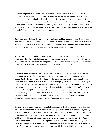Full-term, regular size babies delivered by Caesarean section are also in danger of a serious lung condition known as hyaline membrane disease or respiratory distress syndrome. This poorly understood, sometimes fatal, and usually unresponsive to treatment condition was once found almost exclusively in premature infants. If a baby delivers normally, the compressing action of the uterus squeezes the chest and lungs as the baby emerges. The fluids [100] and secretions that accumulate in the lungs are then propelled through the bronchial tubes and expelled through the mouth. This does not take place in Caesarean babies.

One study concluded that the incidence of this disease could be reduced at least fifteen percent if obstetricians were more careful about Caesarean deliveries. The same report stated that at least 6,000 of the estimated 40,000 cases of hyaline membrane disease could be prevented if doctors didn't induce delivery until the fetus was mature enough to leave the womb.

Yet the rates of induced deliveries and Caesarean sections are going up, not down. I can remember when if a hospital's incidence of Caesarean deliveries went above four or five percent, there was a full scale investigation. The present level is around twenty-five percent. There are no investigations at all. And in some hospitals the rate is pushing fifty percent.

We tend to get the idea that medicine is always progressing and that surgical procedures are developed, proved useful, and incorporated into everyday practice at least until they are supplanted by the next miracle. But that's not the way it happens at all. Surgery goes through three phases, but none of them has the least to do with progress. The first phase a new surgical procedure goes through is enthusiastic acceptance. Of course, the natural order of things says that a new development should be treated with skepticism before enthusiasm. But that's not the way things work in [101] Modern Medicine. Once an operation is proved possible, its enthusiastic acceptance is guaranteed. Only after an operation has been around for some time and the real usefulness and ob-usefulness have had plenty of chances to emerge from the fog of early enthusiasm, does skepticism begin to seep in from around the edges.

Coronary bypass surgery enjoyed unbounded acceptance for the first five or six years. Everyone acted like the operation, in which a blood vessel clogged by fat deposits is surgically "bypassed," was the answer to the catastrophic rate of death by heart attack in the United States. But the lily hasn't been able to stand up to the gilding process. Though tens of thousands of men and women still line up for this operation every year, more and more people are getting skeptical. Apparently, the operation doesn't work as well as surgeons would like to think. A seven-year study by the Veterans Administration of more than 1,000 people found that except for high-risk patients with rare left-main artery disease, the coronary bypass provided no benefit. Mortality rates for surgery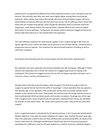patients were not significantly different from those medically treated. In fact, among the low-risk patients, the mortality rates after four years were slightly higher among those receiving the operation. Other studies have shown that people who have coronary bypass surgery still show abnormalities on exercise EKG tests and that they have no less risk of suffering a heart attack than those who are treated nonsurgically. [102] Though the operation seems to provide relief from angina pain, some doctors believe this may be either a placebo affect or the result of surgical destruction of nerve pathways. Furthermore, the bypass itself can become clogged and leave the patient right back where he or she started before the operation.

The most effective treatment for heart disease appears to be a radical change in diet from the typical high fat to one in which fat makes up ten percent or less of total calories, combined with a progressive exercise regimen. This treatment has demonstrated evidence of healing as well as relief from symptoms.

All of which will eventually push the coronary bypass into the third phase: abandonment.

But operations die hard, especially enormously profitable ones like the bypass. Although it's fairly obvious that replacing a two or three inch section of a clogged large vessel isn't going to do anything for 99.9 percent of clogged arteries that are left, the bypass operation still packs 'em in. Fortunes, careers, and lives still depend on it.

Perhaps what it will take to put the bypass under for good is the kind of courage it took one surgeon to pound the last nail into the coffin of "poudrage," a heart operation that was popular a few decades ago. In this operation, they would open up the chest and simply sprinkle talcum powder on the outside of the heart. Presumably, this would irritate the linings and the vessels so they would develop [103] new blood vessels and increase circulation. Poudrage was all the rage until a surgeon took a series of patients for the operation, opened all their chests, but sprinkled the powder on only half of them. The results were exactly the same. They all felt the same after surgery!

Once a surgical procedure is abandoned by all rational pretense, it isn't necessarily abandoned by Modern Medicine. If you take the major categories of surgery, most reached this point years ago. Their real usefulness is hard to find, but they overflow with sacramental benefits. As rituals of the Church, they never die. Although tonsillectomies should have been for all practicol purposes abandoned for 2,000 years, they're still quite popular as a medical ceremony. Ophthalmologists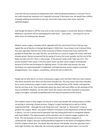scare the hell out of parents by telling them their child will develop blindness in one eye if his or her mild crossed eye syndrome isn't surgically corrected. If that were true, we would have millions of people walking around blind in one eye, since that's how many cases never reach the ophthalmologists.

And though the bloom is off the rose as far as the coronry bypass is concerned, doctors in Modern Medicine's sacrament mill are developing the same basic -- and useless -- technique for use on other forms of cardiovascular disease!

Modern cancer surgery someday will be regarded with the same kind of horror that we now regard the use of leeches in George Washington's [104] time. It was shown to be irrational thirtyfive years ago when Warren Cole at the University of Illinois showed that if you examine the peripheral blood after you open the skin, you find that as a result of surgery the tumor cells have already spread. Doctors answered that by saying of course the tumor spreads, but the rest of the body can take care of it. That's a silly answer. If the person's body could "take care of it," the person wouldn't have cancer in the first place! Some say that cancer surgery is threatened because of all the new techniques for fighting cancer. It's the other way around: the new techniques are capturing people's imagination and hope because cancer surgery is proving a disappointment. Your surgeon, nonetheless, will be the last to admit this.

People ask me why there's so much unnecessary surgery, and I tell them there are more reasons why there should be than there are that there shouldn't be. The only reason why there shouldn't be so much unnecessary surgerv is that it causes suffering and loss of life, health, and expenses that do not have to be. That consideration alone has never had much effect on the workings of the Church of Modern Medicine. On the other hand, the reasons why there should be unnecessary surgery are legion, and quite compelling within the ethical framework of the Church.

The simplest reason is that surgery can be put to many uses besides the stated purpose of [105] correcting or removing a disease process. Surgery is a geat teaching tool as well as a fertile experimental field -- although the only thing that's ever "learned" or "discovered" is how to perform the surgery. When I was Senior Pediatric Consultant to the Department of Mental Health in Illinois, I cut out a certain kind of operation that was being performed on mongoloid children with heart defects. The stated purpose of the operation was to improve oxygen supply to the brain. The real purpose, of course, was to improve the state's residency programs in cardiovascular surgery, because nothing beneficial happened to the brains of mongoloid chilren - and the surgeons knew that. The whole idea was absurd. And deadly, since the operation had a fairly high mortality rate. Naturally, the university people were very upset when I cut out the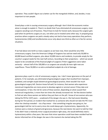operation. They couldn't figure out a better use for the mongoloid children, and, besides, it was important to train people.

Greed plays a role in causing unnecessary surgery although I don't think the economic motive alone is enough to explain it. There's no doubt that if you eliminated all unnecessary surgery, most surgeons would go out of business. They'd have to look for honest work, because the surgeon gets paid when he performs surgery on you, not when you're treated some other way. In prepaid group practices where surgeons are paid a steady salary not tied to how many operations they perform, hysterectomies [106] and tonsillectomies occur only about one-third as often as in fee-for-service situations.

If we had about one-tenth as many surgeons as we have now, there would be very little unnecessary surgery. Even the American College of Surgeons has said we need only 50,000 to 60,000 board certified surgeons, plus about 10,000 interns and residents, to provide amply for the country's surgical needs for the next half century. According to their projections -- which we would expect to be considerate of the financial plight of surgeons if their suggestions were taken seriously -- almost half of the 100,000 or so surgeons we actually do have right now are superfluous. Those 50,000 or so extra unsheathed scalpels do a lot of damage.

Ignorance plays a part in a lot of unnecessary surgery, too. I don't mean ignorance on the part of patients. If, for example, you eliminated all gynecological surgery that resulted from improper, outdated, and outright stupid obstetrical-gynecological practice, there wouldn't be much gynecological surgery left. Doctors know full well, for instance, that women who experience menstrual irregularities are more prone to develap vaginal or cervical cancer if they take oral contraceptives. In fact, the risk for some of these women, depending on what caused their menstrual irregularities, is more than ten times the already increased risk. Yet few doctors bother to find out who these women are before they put them on the pill. I know of one woman who was taking the Pill for [107] years -- unadvised of the danger she was in. She had severe bleeding during her first period, an incident that marked her as someone who should not take the Pill. Even when her checkup revealed -- via a Pap smear -- that something irregular was going on, her gynecologist told her not to worry since she could always get a hysterectomy. Apparently, his motives were a mixture of greed and ignorance, because the next doctor she went to told her that if she didn't have a relatively minor surgical procedure right away, she would definitely need a hysterectomy within a few years. But even that minor operation could have been avoided had her doctor informed her of the danger she was in the moment she started taking the Pill.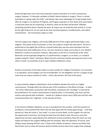Greed and ignorance aren't the most important reasons why there is so much unnecessary surgery, however. It's basically a problem of belief: doctors believe in surgery. There's a certain fascination in "going under the knife," and doctors take every advantege of it to get people there. After all, surgery is an element of Progress, and Progess separates us from those who came before us and from those we are surpassing. In America, what can be done will be done. Whether something should be done is beside the point. As long as we can build the tools and do it, it must be the right thing to do. So not only do we have coronary bypasses, tonsillectomies, and radical mastectomies -- but transsexual surgery as well.

The first surgery was religious, and ninety [108] percent of the surgery performed today is also religious. The Jewish ritual circumcision, or bris, has a place in Jewish law and culture. The bris is performed on the eighth day of life by a trained mohel who uses the same technique that has withstood more than 4,000 years of use. Ten men stand by to make sure he does it, too. Modern Medicine's routine circumcision, however, takes place on the first or second day of life, when blood loss can be especially dangerous. It's performed by a surgeon, or an intern, or a medical student using the "latest" technique. Where the bris ceremony includes pouring some wine in the infant's mouth, no anesthetic at all is used in Modern Medicine's ritual.

Routine circumcision of all males makes no sense outside of a religious framework. A circumcision is an operation, and its dangers are not inconsiderable. It's not altogether rare for a surgeon to get smart and use cautery instead of a knife -- and to slip and burn off most of the penis.

In some primitive religions submitting to ritual mutilation elevates the victim to a higher consciousness. Through either the intense pain of the mutilation or the effects of drugs -- or both - - the victim hallucinates communion with the deities. Sometimes this "privilege" is reserved for the priesthood or for ceriain communicants of special status. In Christianity, only Jesus and the martyrs were graced with mutilation -- except for a dubious mystic every [109] now and then who miraculously bears the "stigmata," or the wounds of Christ.

In the Church of Modern Medicine, no one is excluded from the sacrifice. Until the invention of anesthesia, victims gritted their teeth and saw their gods with the clarity agony brings -- until they passed out. Now the victim is "put under" in a form of mock death, so the surgeon not only has the opportunity to heal him, but bring him back from the dead as well. Of course, even that opportunity has been superceded by the refinement of local anesthesia, Now the victim can stay awake and observe the surgeon fiddling with his mortality. After the operation, of course, even children enjoy showing off their scars. If they're the children of doctors, chances are better that they'll have scars to show off, because doctors families tend to have more surgery than anybody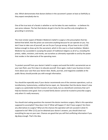else. Which demonstrates that doctors believe in the sacrament's power at least as faithfully as they expect everybody else to.

One of the true tests of a fanatic is whether or not he takes his own medicine -- or believes his own press releases. The fact that doctors do get in line for the sacrifice only strengthens its grounding in ceremony.

The most sinister aspect of Modern Medicine's belief in surgery is the presumption that lies behind that belief, that the priest can overcome anything because he can operate on you. You don't have to take care of yourself, we can fix you if you go wrong. All you have to do is [110] believe enough to show up for the sacrament, which in this case is a ritual mutilation. Modern Medicine has succeeded in usurping the power of traditional religions so all of us, including the priests, rabbis, ministers, and monks, see ourselves as ultimately repairable to and by the power that resides in the tabernacle of the operating room.

To protect yourself from your doctor's belief in surgery and avoid the knife's sacramental use on your own flesh, your first step is to educate yourself. Once again, make it your business to learn more about your case than your doctor does. Books, journals, and magazines available at the public library should provide you with enough information.

You should be especially wary if your doctor recommends one of the common operations, such as tonsillectomy, hysterectomy, umbilical hernia repair, etc. Remember that the doctor doesn't view surgery as a potentially harmful invasion of your body, but as a beneficent ceremony that can't help but bestow some good. Even a trusted family doctor cannot be trusted to prescribe surgery only when it's really necessary.

You should start asking questions the moment the doctor mentions surgery. What is this operation supposed to accomplish? How does it do it? What will happen if I don't have surgery? Are there any alternatives to surgery? What are the chances the operation will not succeed in what it's supposed to do? After [111] you've obtained your doctor's answers, you should check out everything he says on your own. Chances are good that you will find conflicting information if you dig deep enough. That's the idea.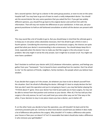Get a second opinion. Don't go to a doctor in the same group practice, or even to one on the same hospital staff. You may have to go out of town to reach a really independent doctor. You should ask the second doctor the very same questions that you asked the first. If you get two widely different opinions, you should first go back to the original doctor and confront him with the information. That still may not resolve the differences to your satisfaction. In that case, ask your general practitioner to hold an old fashioned consultation at which all the doctors are present with you.

This may sound like a lot of trouble to go to. But you should keep in mind that the ultimate goal is to keep you in one piece unless absolutely necessary. Don't be afraid to get a third or even a fourth opinion. Considering the enormous quantity of unnecessary surgery, the chances are quite good that what your doctor's recommending is also unnecessary. You should always keep this in mind, especially when the doctor tries to make you feel like surgery is the only answer to your problem. Not only might it not be the only answer, but it might be no answer at all. You might not even have a problem!

Don't hesitate to confront your doctor with [112] whatever information, opinions, and feelings you gather from your "homework." You're bound to learn something from his reaction. Don't be afraid to rely "on the opinions of friends, neighbors, family members, the people whom you believe have wisdom.

If you decide that surgery isn't the answer, do whatever you have to do to detach yourself from the situation. Don't be afraid of offending the doctor. Although it's best to simply declare the fact that you don't want the operation and you're not going to have it, you may feel better playing the "I'll think about it" game. Once your doctor has tried to persuade you to have surgery, he may not be able to retreat from that position and continue as your doctor. After all, if he has told you that surgery is the only avenue, he can't very well treat you some other way can he? One way or the other, if your decision to stay in one piece means you lose a doctor, you're better off.

If, on the other hand, you decide to have the operation, you still shouldn't lie back and let the ceremony proceed quite yet. Contrary to what most doctors would have you believe it does make a lot of difference who performs the surgery. Why shouldn't it? It makes a difference who paints your house or fixes your car doesn't it? Isn't it reasonable that talent should also make a difference in who removes your gall bladder?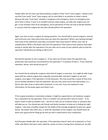People often ask me how to go about picking a surgeon if they "must" have surgery. I always [113] say that if you really "must" have surgery, you're most likely in no position to make a choice because the only "must have" situation I recognize is the emergency. And in an emergency you don't have a choice. If your in an accident and you need surgery, you take any surgeon you can get. In any situation short of an emergency, you've got plenty of time not only to decide whether or not you need the surgery but also who should perform the operation.

Again, you start to pick a surgeon by asking questions. You should talk to several surgeons, and ask each and every one: How many times have you done this operation? What's your batting average? How many of the operations have been successful? How many haven't? What's your rate of complications? What is the death rate from this operation? How many of your patients have died during or shortly after this operation? Can you refer me to some of your patients who've had this operation? Would they be willing to talk to me?

My favorite question to ask a surgeon is, "If you were out of town when the operation was performed, who would you recommend for the operation?" A variation of that is, "If you need the operation, doctor, who would you go to?"

You should also be asking the surgeons what kind of surgery is necessary. You might be able to get away with less radical surgery than originally recommended. And don't neglect to ask each surgeon, once again, if the operation is [114] necessary. This may sound like a waste of time once you've already decided to have the operation. But you may come across new information, or a doctor who does have an alternative treatment. In any case, if you are exposed to new information, hit the books again and check it out.

If the surgical procedure is extremely complex, it might be a good idea to call whatever surgeon has a reputation for the operation. If he is in another city and you don't want to travel -- or he doesn't want to take on another case -- ask him to refer you to someone closer or someone who will take you on. You should also ask friends and family members to help out in finding the right surgeon. I also have a healthy respect for the ability of the average clergyman to pick out a good doctor. No matter who refers you, or what the reputation of the surgeon, you should never let down your guard and let things go by that you don't understand to your satisfaction.

And that goes double after the operation. If the operation doesn't work out as planned, or if you suffer side effects that don't seem called for, waste no time in having them checked out. As with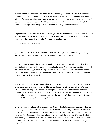the side effects of a drug, the discomfort may be temporary and harmless. Or it may be deadly. When you approach a different doctor with post-operative problems, you should challenge him with the following questions: Can you give me an honest opinion with regard to the other doctor's performance on this operation? Would you give me an honest opinion [115] even though it were to result in a malpractice suit against the other doctor? Or against your hospital?

Depending on how he answers these questions, you can decide whether or not to trust him. In this and any other medical situation, your reluctance to give away your trust is your first defense. Make every doctor earn it, especially if he wants to mutilate you.

Chapter 4 The Temples of Doom

[117] A hospital is like a war. You should try your best to stay out of it. And if you get into it you should take along as many allies as possible and get out as soon as you can.

For the amount of money the average hospital stay costs, you could spend an equal length of time at just about any resort in the world, transportation included. And unless your condition required emergency treatment, your health might be better off if you spent the time and money at the resort, too. For the hospital is the Temple of the Church of Modern Medicine, and thus one of the most dangerous places on earth.

When a culture develops to the point where its citizens live in houses, the gods of the people have to reside somewhere, too. A temple is [118] built to house the spirit of the religion. Whatever vision informs the religion is present in the temple, and the building becomes the center of prophecy, the place where the gods speak to the people. When I hear someone -- usually an older person who wasn't born in this country -- say that the hospital is "where you go to die," I say to myself that he or she has been hearing what the gods are saying.

Children, again, provide us with a message from their unclouded perception: kids are unabashedly afraid of golng to the hospital. Just as their fear of doctors is something we could all cultivate to our advantage, so is their fear of hospitals. Of course, a child would be hard pressed to articulate his or her fear, Even most adults would have a hard time isolating and describing exactly what specific things he or she is afraid of in the hosiital. Besides, adults are afraid to admit fear. Priests of the Temple take advantage of ignorance and reticence by assuring us, "There is nothing to be afraid of."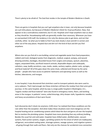There's plenty to be afrald of. The God that resides in the temple of Modern Medicine is Death.

There are germs in hospitals that you can't get anywhere else in town, not only because hospitals are such dirty places, but because of Modern Medicine's fetish for ritual purification. Now, that appears to be a contradictory statement, but it's not. Hospitals aren't kept anywhere near as clean as they should be. Housekeeping staffs are generally smaller than necessary. Whenever you have an overworked [119] staff, the tendency is for only the obvious jobs to get done, and not that carefully, either. So what you're liable to find if you look closely is dust and dirt in corners and other out of the way places. Hospital dust and dirt isn't the kind of dust and dirt you find anywhere.

Where else can you find all in one building: animal and vegetable waste from food preparation, rubbish and trash, biological wastes from diagnostic, medical, surgical, autopsy, and wound dressing activities, bandages, discarded tissues from surgery and autopsy, sputum, placentas, organs, amputated limbs, sacrificed research animals, disposable diapers and underpads, catheters, soap, bodily secretions, cups, masks, swabs, sanitary napkins, plaster casts, syringes, and fecal material? All of this goes down the same chute, collected and thrown by the same people -- people who have access to patients' bedrooms and operating rooms as well as the kitchen, laboratories, and morgue.

In one hospital, it was discovered that stretchers used to transport patients also were used to carry cadavers. That's bad enough, but these stretchers still bore the residue from their prior grim journeys. In this same hospital, which by way is a large public hospital in Washington, D.C., "organic residue and fecal material" were also found in emergency rooms, floors, and working areas in the morgue. In patients' rooms, soiled dressings, dirty shower stalls, hypodermic needles, and heavy accumulations of dust were found.

Such discoveries don't shock me anymore, [120] since I've realized that these conditions are the rule rather than the exception. And what makes these situations even more dangerous are the hospital heating and air conditloning systems which blow the dust and germs all over the hospital. Not to mention the plumbing system. Hospitals have more plumbing than any ordinary building. Besides the usual hot and cold water, hospitals have chilled water, distilled water, vacuum systems, fluid suction systems, oxygen, sprinkling systems for fire (most of which are inadequate), refrigerant, recirculated cooling water, drainage systems, sewage systems, and irrigation systems - - all going through their walls and floors. Not only are the chances for accidental cross connection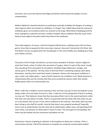enormous, but so are the chances that illegal connections will increase the dangers of crosscontamination.

Modern Medicine's fanatical devotion to purification ironically multiplies the dangers of creating a class of germs which are resistant to antibiotics. In Chapter Two I talked about how the overuse of antibiotics gives rise to bacteria which are resistant to the drugs. What better breeding ground for these supergerms could there be than a modern hospital, where antibiotics flow like soup? Some bacteria even adapt to the point where they feed on the antibiotics.

Then what happens, of course, is that the hospital staff becomes a walking culture dish for these germs. Since they're exposed to them every day, however, they aren't harmed by [121] them. But that doesn't do you any good when the housekeeper or the nurse handles your bedding your food, your clothes, and you.

The priests of the Temple, the doctors, are even worse spreaders of disease. Doctors neglect to wash their hands, unless it's before the sacrament of surgery, where it's part of the ritual. Usually they casually go from sick patient to sick patient, handling tongue depressors, syringes, and various parts of the patients. Yet they seem to feel that there's something uniquely clean about themselves, and they don't wash their hands in between. Doctors also have great confidence in caps, masks, and rubber gloves -- none of which deserves any confidence at all. Masks become so contaminated after just ten minutes that they serve as bacterial cultures rather than shields. Rubber gloves often are contaminated, too.

When I walk into a newborn nursery wearing a clean suit that I just put on that morning the nurses always make a fuss and make me put on a robe. I make fun of it by asking them if they're insulting my new suit. Their behavior shows that they have placed their trust in the sacred vestments rather than their own perception of reality. There's no guarantee that the white robe they make me put on is any cleaner than my suit. In fact, there's evidence to the contrary. That white robe may have been sitting on the shelf for months. How do they know it was properly laundered? Especially since it was no doubt thrown into the same tub as soiled sheets, pillow cases, and operating [122] room linens. Just because it's white doesn't mean it's clean. The same goes for the bedding. The linens may be washed, but the mattresses and pillows are not.

Overall your chances of getting an infection in the hospital are about one in twenty. That's a conservative estimate. Half of the infections in hospitals are caused by contaminated medical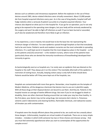devices such as catheters and intravenous equipment. Before the explosion in the use of these devices around 1965, device-related infections were virtually nonexistent. About 15,000 people die from hospital-acquired infections every year. As in the case of drug deaths, hospital staff will fudge statistics when a seriously ill patient succumbs to a hospital-acquired infection. Your chances also depend on what you're in the hospital for. If you go for an operation, you're not only going to be exposed to the operating room dangers, but your body will be seriously weakened by the surgery and won't be able to fight off infections as well. If you've been burned or wounded, you'll also be weakened and therefore more likely to get an infection.

In my experience, a one in twenty risk would have to be the base line risk representing the minimum danger of infection. I've seen epidemics spread through hospitals so fast that everybody had to be sent home. Pediatric wards and newborn nurseries are the most vulnerable to spreading infections. It's a well-kept secret in hospitals that the most dangerous place in the hospital -- as far as the patients are [123] concerned -- is the newborn nursery, where none of the patients have (particularly those who are denied the immunity-transference of breastfeeding) developed their immunity to germs.

As bacteriologically overrun as hospitals are, I've rarely seen an epidemic that was blamed on the hospital or the staff. They always pin it on the visitors! The inevitable aftermath of the epidemic is restriction of visiting hours. Actually, keeping visitors away is only half of what should done. Patients would be better off if they were kept out of the hospitals, too.

Hospitals are contaminated with more than germs. Remember, since hospitals are the temples of Modern Medicine, all the dangerous chemicals that doctors love to use are in plentiful supply. With all those drugs at their disposal doctors are bound to use them. And they do. Patients in the hospital receive an average of twelve different drugs. But even if you're not drugged to death or disability, there are other chemicals floating around that can make your stay less than healthy. In the first place, your doctor may not be using drugs, but everyone else's doctor is. Poisonous solvents used in laboratories and cleaning facilities, flammable chemicals, and radioactive wastes all threaten you with contamination.

If hospitals were the sharply efficient places they pretend to be, we could rest less uneasily about those dangers. Unfortunately, hospitals are virtual models of ineptitude. There are so many simple mistakes -- mistakes in which [124] someone has two or three choices and chooses wrong -- that you must feel extremely apprehensive when you start to contemplate all the opportunities for complex errors!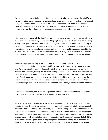Everything gets mixed up in hospitals -- including patients. My brother went to the hospital for a hernia operation many years ago. He was scheduled for surgery at 11 a.m. I went up to his room at 9:30, but he wasn't there. I knew right away what had happened. I ran down to the operating room, and sure enough, there he was. They'd taken him instead of another patient. The only reason he escaped was that the other patient was supposed to get a hysterectomy.

Mixups occur in hospitals all the time. Surgeons operate on the wrong leg. Medicines are given to the wrong patients. The wrong food is served to people on special diets. Even babies are mixed up. Hardly a year goes by without some story appearing in the newspapers about a colossal mixup of babies and mothers at a local hospital. No doctor who has had any experience in maternity wards has not seen the wrong baby brought to the mother by the nurse and the nurse corrected by the mother. There are twenty to thirty babies in the average nursery. Every doctor knows footprints are not reliable, and those arm bands are always falling off. So who knows one from the other?

Not only are people mixed up in hospitals, they're lost, too. Newspaper stories have told of patients found dead in hospital elevators and [125] little-used bathrooms. Two years ago a baby was stolen from the University of Chicago Hospital. Every time I go by the newborn nusery at Michael Reese Hospital, I stir up the nurses by asking if anyone there has heard from the Fronzack baby. More than a decade ago, the Fronzack baby simply disappeared from their nursery and was never found. About a year ago, there was a case in Israel in which two mothers were given the wrong babies. It wasn't found until the babies were two months old. At first, neither mother would exchange "her"baby. What do you call someone who's been your mother for two months?

As far as I'm concerned, one of the best arguments for having your baby at home is the distinct possibility that you'll go home from the hospital with the wrong baby.

Another hazard that threatens you in the hospital is the likelihood of an accident. In a suburban hospital in Pennsylvania, it was discovered that oxygen and nitrous oxide labels were accidentally switched when a construction crew installed gas lines in the emergency room. Until the mixup was discovered, people who should have been getting nitrous oxide were getting oxygen and people who were supposed to get oxygen were getting nitrous oxide. It took six months for the hospital to discover the error. The hospital admitted to five deaths from the accident, but said that all thirtyfive deaths in the emergency room during that period were not caused by the switch because some of those were dead on arrival and some [126] were too far gone to benefit from oxygen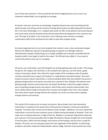even if they had received it. If that sounds like the kind of fudging doctors use to cover up a treatment-related death, you're getting my message.

As doctors rely more and more on technology, hospitals become more and more littered with electronic gear and wiring, and the chances of being electrocuted rise right along with the electric bill. In the same Washington, D.C., hospital cited earlier for filth, three patients and several doctors and nurses were severely shocked and burned by faulty electrical equipment in the coronary care unit. This type of accident is not uncommon, and it will grow more common as hospital maintenance staffs shrink and become less able to cope with complex wiring.

So loosely organized and run are most hospitals that murder is even a clear and present danger. Witness the deliberate injection of paralyzing drugs to patients at a Michigan Veterans Administration hospital. Deadly drugs are so widely available and so loosely controlled that the hospital couldn't even begin to look for the culprit. The FBI had to be called in. If you want to commit the perfect crime, do it in a hospital.

Of course, you could make a case that hospitals are already getting away with murder. If the drugs, the germs, the surgery, the chemicals, or the accidents don't get you, you still stand, a good chance of starving to death. One of the first major studies of the scandalous state of hospital nutrition examined every surgery [127] patient in a large Boston municipal hospital. They were tested for protein-calorie malnutrition, a minimal standard which tells only whether the person is getting enough protein and calories every day over a period of time. Whether the patients were getting enough vitamins and minerals was not tested. Nontheless, half of the surgery patients were not getting enough protein and calories. Half of these were severely malnourished: they were malnourished enough to threaten their recovery and lengthen their stay in the hospital. Since they weren't given enough food by the hospital, you can be sure they weren't getting enough vitamins and minerals.

The results of this study are by no means uncommon. Many studies since have discovered malnutrition in anywhere from twenty-five to fifty percent of patients in American and British hospitals. The doctor who carried out the Boston study, George L. Blackburn, has since stated that malnutrition is one of the most common causes of death among old people in hospitals. That's not really such a startling statement, in light of facts Dr. Blackburn uncovered. Malnutrition obviously puts a person in the worse possible state to fight off whatever disease brought him to the hospital in the first place. Add to that the dangers and stresses of the hospital, and you have a recipe for disaster. Of course, we can only guess about the true magnitude of that disaster. As with drugs, accidents, and other treatment-related deaths, doctors fudge. We don't know exactly how many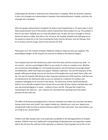[128] people die directly or indirectly from malnutrition in hospitals. What we do know, however, is that a lot of people are malnourished in hospitals, that malnourishment is deadly, and that a lot of people die in hospitals.

Why are people malnourished in hospitals? As bad as most hospital food is, if it were eaten it most likely would prevent most of the protein-calorie malnutrition these studies turn up. The problem is that it's not eaten. Nobody sees to it that the patient eats. At best, the tray is brought in and set beside the bed on a table. And there it sits. At worst, the hospital schedule and staff gang up on the patient to keep him or her from touchlng the food: time for lab tests, time for therapy, time for an enema, time for drugs, time for this and time for that.

Plenty goes on in the Temple of Modern Medicine simply to make you lose your appetite. The psychological dangers of the hospital are every bit as deadly as the physical dangers.

Your hospital stay from the moment you walk in the front door until the moment you walk -- or are carried -- out has a psychological effect on you similar to a hex or a voodoo curse. Whether you consciously acknowledge it or not hospital procedures and environment encourage despair and debilitation rather than hope and support. Nobody's optimistic. You see the long faces of the people suffering and dying, and you see the faces of the people who must watch them suffer and die. You see the hospital staff denature their responses and become [129] machines. And then you are denatured at the admissions desk as you are reduced to a collection of numbers and symptoms belonging not to you but to the doctor. You leave your former world and identity behind. You're literally stripped of your former life as you take off your clothes and hide them and your personal belongings in a closet -- artifacts of your real life. That past life is kept from reasserting its ties with you -- your relatives are restricted from spending more than token amounts of time with vou.

The effect of all these psychological pins is that you relinquish any notion you may have had about having control over your health. Your captors isolate you, alienate you, scare you, depress you, and generally make you feel so anxious that you submit to their every wish. Your spirit broken, you are ready to be a Good Patient.

Children and older people seem to be especially susceptible to the damaging effects of hospital voodoo. Children react very rapidly with strong feelings of abandonment and separation anxiety. Add to this the fear the child has of the operation or whatever they're going to do to him or her.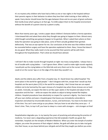It's no mystery why children who have had as little as one or two nights in the hospital without their parents regress in their behavior to where they lose their toilet training or their ability to speak. Every doctor should know that the ages between three and six are years of great confusion. Kids hardly know what's going on at that age. To [130] subject them to the hospital environment without the benefit of a parent close by is patent cruelty.

More than twenty years ago, I wrote a paper about children's fantasies before a hernia operation. I interviewed kids and asked them what they thought was going to happen to them. Almost every child thought something was going to happen to his genitals. When I asked them where on their body the operation was going to take place, some of them actually grabbed their genitals defensively. That was an eye-opener for me. Our conclusion at the time was that children should be counseled before surgery and have the operation explained to them. Now, I know that doesn't do any good. What they really need is to be assured that their parents will be with them throughout the hospitalization. That's what we should have advised.

I still don't like to make rounds through hospitals at night: too many crying babies. I always have a lot of trouble with crying babies -- I can't ignore them. When I used to make night rounds regularly I would pick up the crying babies or the little kids and carry them out to the nurses' station. If they could sit on the nurses' laps or on the edge of the desk they wouldn't cry.

Adults and the elderly also suffer from a hospital stay. Dr. David Green has called hospitals "the worst place in the world for aged people." I don't disagree with him, except that I would say that hospitals are the worst place [131] in the world for everybody. I don't know how we can expect children not to be harmed by the super stresses of a hospital stay when those stresses are so hard on adults. Ironically, we expect the kids to act like super adults in the hospital and adjust to the separation and the fear -- while we expect the adults to adjust to being treated like helpless children. Hospital procedures have absolutely no respect for a person's dignity. You have to take off your own clothes and wear a hospital gown that leaves you immodestly vulnerable to inspection and attack by innumerable doctors, nurses, and technicians. You have to lie down most of the time. You can't come and go as you please. And you have to eat what they serve you -- if there's time. Then, to top it off, you have to sleep in a room with strangers -- sick strangers at that!

Hospitalization degrades you. In my twenty-five years of practicing and witnessing the practice of medicine, I've never seen a degrading experience that did anybody's health any good. But remember, hospitals are the temples of Modern Medicine. When you enter the temple of another religion, you enter the presence of that religion's deities. No gods will allow you to take rival gods into their house, so you leave behind your old gods and all that they taught you before you enter.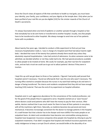Since the Church views all aspects of life that contribute to health as rival gods, you must leave your identity, your family, your confidence, and your dignity at the temple door. Only when you've been purified of your real life can you be eligible [132] for the sinister rewards of the Church of Death's sacraments.

I'm always fascinated when one kind of epidemic or another spreads through a hospital so fast that everybody has to be sent home or transferred to another hospital. Usually, very few people have to be transferred to other hospitals. We always manage to send nine out of ten patients home with no problems.

About twenty-five years ago, I decided to conduct a little experiment to find out just how necessary hospitalization really is. I was in charge of a hospital ward that had about twentv-eight beds. I decided that none of the twenty-four patients already there would stay unless they absolutely required hospitalization. I also had control of admissions. So when someone came to be admitted, we decided whether or not they really had to be. We had special procedures available to allow people to be treated at home. We could, for example, pay their taxi fare for outpatient visits, and we had a truck we could use to go out to adiust patients' devices if they were in traction.

I kept this up until we got down to three or four patients. I figured I had pretty well proved that hospitals weren't necessary. I found out afterwards that I was the one who wasn't necessary. The nursing office started to complain because the nurses in my ward had nothing to do and were in danger of being transferred. The interns and residents complained that they did not have enough teaching [133] material. That was the end of my experiment on hospital utilization.

Hospitals exist in such aggressive abundance for the convenience of the medical profession, not for the good of the people they're supposed to serve. Hospitals started out as "poor houses" where doctors could send patients who did't have the money to pay for their services. After awhile, doctors realized that it was much easier for them to have all their patients in one place, with all the machinery right there. Naturally, as medicine becomes less personal and more mechanical, it becomes increasingly convenient for the doctor to manage patients in the hospital. It's a well-known fact that a doctor has to be sharper and more skillful if he treats people on an outpatient basis. As talent and consideration have become rare commodities among doctors, hospitals have burgeoned. Insurance companies drive people into hospitals by refusing to pay for outpatient treatments. If we didn't recognize that hospital and medical insurance payments were really indulgences to keep a corrupt Church solvent, we would bridle at the absurdity of an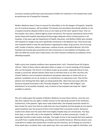insurance company preferring to pay thousands of dollars for treatment in the hospital that could be performed out of hospital for hundreds.

Modern Medicine doesn't have to account for absurdities or for the dangers of hospitals. Hospitals are, for practical purposes, self-accredited. The boards and committees that decide whether or not a hospital should be allowed [134] to carry on are made up of the same "good ol' boys" that run the hospital. Even when a federal agency enters the picture, the massive institutional inertia of the system keeps bad hospitals operating and discourages adequate reform of bad practices in all hospitals. A few years ago the Department of Health, Education, and Welfare (HEW) spot-checked 105 hospitals for dangers that were specifically mentioned in the Medicare law. They found sixtynine hospitals failed to meet the specifications regarding fire safety, drug records, size of nursing staff, number of doctors, dietary supervision, medical records, and medical libraries. All of the hospitals had recently been passed by the Joint Commission on Accreditation of Hospitals, and after the HEW test results were made known, the JCAH refused to withdraw accreditation of the offending hospitals.

Public outcry over hospital conditions have spawned what I call a "haunted house full of ghost reforms." Most of these reforms take place either on paper or in secret meetings of the people who run the hospital. The Church is not about to give up any power, especially where its own temple is concerned. Would Catholics allow Jews to tell them how to run their churches and schools? Reforms such as hospital ombudsmen and patient advocates to review and act on patients' complaints are set up merely to run interference on malpractice suits. They lull the patients into thinking that their rights are being looked after. More than two years after the American Hospital Association [135] "formally adopted" the "Patient's Bill of Rights" and distributed it to all member hospitals, only a fraction of the hospitals had made the "rights" available to patients.

We can't really expect the temples of Modern Medicine to enact these reforms. since the very idea that a patient has any rights is totally contrary to the operating concept of the institution. Furthermore, if the patients' rights were really looked after, the hospitals would be closed! It's been known for some time that we really have too many hospitals and that people do not need to spend anywhere near the amount of time in the hospital that is presently routine. Numerous studies have shown over the years that most lengthy hospital stays are unnecessary. Five days, three days, or even half a day in the hospital for childbirth is at best unnecessary. Usually, it's downright harmful to both mother and baby. The length of time in the hospital that heart patients can profit from is rapidly diminishing, according to the scientific literature. Whereas doctors once could point to studies that showed that a month was the minimum, we're finding out now that a three-week stay is no better than a two-week stay, that a one-week stay might be still better, and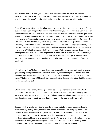that patients treated at home, on their feet do even better! Even the American Hospital Association admits that we've got more hospital beds than we need, so you can just imagine how grossly obvious the superfluous hospitals really are to those who can see what's going on.

[136] Of course, the AHA and other Church agencies do their best to keep the public from finding out what is going on. The privately funded (with the money you pay the hospitals) Commission on Professional and Hospital Activities maintains a computer bank of information on what goes on in American hospitals, including comparative death rates for procedures, accidents, infections, errors -- everything you've got to be afraid of in hospitals. Just try to take a peek at this information. The Commission guards it with a vengeance the government would envy. For good reason. When explaining why the information is "classified," Commission and AHA spokespeople will tell you that the "information could be misinterpreted and could discourage the kind of analysis that leads to improvement." What they mean is that the public would "misinterpret" hospital shortcomings as so dangerous that they wouldn't be caught dead in them. And, of course, that would "discourage improvement" because there wouldn't be anything to improve: the hospitals would close! I suggest that this computer bank contains the potential for a "Pentagon Papers" and "Watergate" combined.

It's well-known that Modern Medicine doesn't act on scientific knowledge until public awareness grows strong enough to demand it. Research is the prayer of the religion of Modern Medicine. Research is OK as long as you don't act on it. A doctor doing research can ruin his career in the eyes of Modern Medicine [137] merely by overstepping that line and advocating that his research results be implemented!

Whether the Temple or any of what goes on inside does good or harm is irrelevant. What's important is that the faithful are faithful and that they show their belief by showing up for the sacraments, which are sold not on the basis of what they do but what they're supposed to do. All their intentions may be good, but everybody knows what the road to hell is paved with.

Besides, Modern Medicine's intentions can be counted on to be corrupt, too. When hospitals started relaxing visiting hours, they didn't do it because they realized that people should be allowed to be with their family. They did it because pediatrics was dying and the beds in the pediatric wards were empty. They would have done anything to get children in there -- let mothers, fathers, siblings, cats, or dogs in for a visit! Obstetrics is dying, too. People want to have their babies at home, not in the hospital. So today they'll let anybody in the delivery room, husband, sister, mother, boyfriend ... anybody! As long as they get the revenue.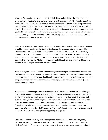What they're counting on is that people will be lulled into feeling that the hospital really is the place for them, that the Temple really can save them. Of course, it can't. The Temple has nothing to do with health. There are no facilities in hospitals for health or for any of the things commonly recognized as contributing to health. The food is as bad as you'd find in the [138] worst fast food drive-in. There are no facilities for exercise. All the personal factors that can make you well or keep you healthy are removed -- family, friends, and sense of self. In no uncertain terms, when you walk into a hospital, you are surrendering -- "Here I am, totally unable to help myself. You must save me. I am without power. All power is yours."

Hospital costs are the biggest single element in the country's total bill for medical "care." That bill is rapidly overtaking defense, the Number One item on the country's total bill for everything. When medicine exceeds defense, the Inquisition will really be unstoppable. No one seriously challenges whatever institution is the first item on the budget. Whatever costs more than anything else gathers bureaucratic inertia of such immense proportions that it controls the destiny of the country. Then the dream of Modern Medicine will be fulfilled: the whole country will become a hospital. We'll all be patients in the Temple of Doom.

The first thing you should do to protect yourself against the dangers of the modern hospital is to resolve to avoid unnecessary hospitalization. Since most people are in the hospital because their doctor put them there, you simply should not let your doctor put you there. That means not taking drugs unless absolutely necessary and not having surgery unless absolutely necessary. (See the previous two chapters.)

There are many common procedures that doctors won't do on an outpatient basis -- unless you insist. Here is where, once again, you have [139] to do some homework that will put you one up on the doctor as far as knowing what can and can't be done. More than ninety-five percent of births to healthy women, for example, can and should be done outside the hospital. Yet doctors still scare young mothers and fathers into the delivery-operating room with horror stories of "complications" which are, in truth, statistical fantasies or complications which result from obstetrical intervention. Now that the scare tactics haven't diminished the home birth movement, we see more and more "birthing rooms" appearing in hospitals.

Don't kid yourself into thinking that birthing rooms made up to look just like a real (motel) bedroom are going to make any difference. Once you allow yourself to be lured onto Modern Medicine's turf, they've got you. I have the recurring dream of a nice young couple going into the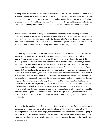birthing room, like the one at Illinois Masonic Hospital -- complete with brass bed and color TV set. The doctor smiles and acts just like a friendly uncle. But once the mother is strapped into the brass bed, the doctor pushes a button on a secret panel and the papered walls slide away, the furniture disappears, and they're suddenly in an operating room under the glare of the operating light with the surgeon standing there scalpel in hand ready to slice her belly from one end to the other.

That fantasy isn't so unreal. Birthing rooms are not so isolated from the operating rooms that the brass bed can't be rolled into action before the young mother and father know [140] what's going on. If you're on the doctor's turf, you play by the doctor's rules. Whereas if you have your baby at home, the doctor has to do his homework. If you need the hospital facilities, you should use them. But if you can have your baby in a birthing room, you can have it in your own bedroom.

In protecting yourself from your doctor's tendency to send you to the hospital unnecessarily, you should use the same tactics discussed in avoiding drugs and surgery. Educate yourself to the possibilities, alternatives, and consequences. If that means going to other doctors, do it. If it means going to healers that aren't medical doctors, do it. Don't be afraid to confront your doctor with the information you gather. Of course, what you're really doing is searching for the right doctor. And that, actually, is exactly how you should go about finding the right hospital -- if you decide that you need one. Conventional wisdom preaches that the best hospital is the one which is heavily involved in teaching, one that has lots of students, lots of house officers, lots of research. That wisdom may have been valid thirty or forty years ago when there were some pretty peculiar things going on in community hospitals. But it's nonsense today -- unless you want to feel like the frogs, crayfish, and fetal pigs in a biology class. If you want to find the hospitals that have the highest rates of nosocomial (doctors' jargon for hospital-acquired) infection, that make the most mistakes regarding lab [141] tests and dispensing drugs, that mix up more patients, and that do more psychological damage -- then go to teaching or research hospitals. If you want to be used for someone else's purpose -- whether it's to demonstrate the right (wrong?) way to perform a procedure or to find out if this or that drug really works -- you couldn't go to a better place than a teaching hospital.

There used to be another piece of conventional wisdom which stated that if you had a very rare or serious condition you were better off in a teaching hospital. That's no longer true, either. The teaching hospitals are there, don't forget, to teach the orthodox treatments. What you're going to get is the orthodox treatment, whether it works or not. If you want to get the latest, unorthodox treatment, you have to go to a smaller hospital or even one outside the reach of the Church -- out of the country.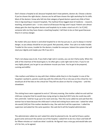Don't choose a hospital at all, because hospitals don't treat patients, doctors do. Choose a doctor. If you've chosen the right doctor, chances are he will have chosen the right workshop for his skills. Most of the doctors I know who fall into that category of good doctors spend very little of their time in big teaching or research hospitals. The mythical three-legged stool of medicine -- research, teaching, and patient care -- is not a stool at all because the legs aren't equal. Patient care almost always gets the short leg when doctors and hospitals try to make a stool out of it. So if [142] someone tells me they have chosen a teaching hospital, I tell them to be on their guard because they're in serious danger.

No matter who your doctor is and what hospital he or she has put you in, you're always in mortal danger, so you always should be on your guard. Not passively, either. Your job is to make trouble. Trouble for the nurses, trouble for the doctors, trouble for everyone. Subvert the system that will steal your dignity and maybe your life if you let it.

That's not always easy to do. If you hold a high rank in society, you can do it fairly easily. When the wife of the chairman of the board goes in, he often gets a suite right next to hers. If you're not very highly placed, you've got to use whatever muscle you have. You've got to be prepared, cunning and skillful.

I like mothers and fathers to stay with their children while they're in the hospital. In one of the hospitals I worked in, parents could stay with the child only if he or she was on the critical list. So I would put all of the kids on the critical list! They left me alone on that for a long time -- until the showdown.

The visiting hours were supposed to end at 7:30 every evening. One mother called me and said her child was crying but that he would stop crying and go to sleep by 8:30 if only she could stay with him until 8:30. I told her to go up to his room and stay. Then the nurse called me and said that this woman has to leave because the child wasn't critical and visiting hours were over. I asked her what she would [143] do if the mother decided to stay. She said she'd call the supervisor. I called the supervisor and asked her the same question. She said she'd call the hospital administrator.

The administrator called me and I asked him what he planned to do. He said he'd have a police guard come and escort the woman out of the hospital. I asked him to do me a favor and hold off for fifteen minutes so I could see what I could do. He figured I was a nice guy and would take care of it for him, so he agreed.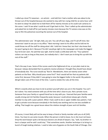I called up a local TV newsman -- an activist -- and told him I had a mother who was about to be thrown out of the hospital because she wanted to stay with her crying child for an extra hour until he went to sleep! He asked me to hold them off for twenty minutes so he could rush cameras to the scene. I said I'd see what I could do and I'd get back to him. Then I called up the administrator and asked him to hold off for just twenty minutes more because the TV camera crew was on the way to film the policeman escorting the woman out of the hospital.

The administrator said, "all right, Bob, you win. You call off your dogs, and I'll call off mine. But tomorrow I want to see you in my office." Next morning I went to his office and he told me he could throw me off the staff for doing what I did. I told him I knew that, but that I also knew that he wasn't going to do it. Because if he did I would go right to the newspaper and make the biggest fuss he'd ever seen. He said that was right. And he made a [144] deal with me: "Your patients' visitors can stay as long as they want, but nobody else's. I don't want you to bring this up with the rest of the staff."

That's the way it was. Some of the nurses used to be frightened of me, or just plain mad at me, because I always demanded that my patients receive whatever I thought they should have ahead of everybody else. The nurse would say "But Dr. Mendelsohn, there are twenty-seven other patients on the floor. Why should yours come first?" And I would tell her that my patients did come first, because if they didn't I was going to raise the biggest holler in the world. My patients did get taken care of first most of the time. I used to violate the rules all the time.

Which is exactly what you have to do to protect yourself when you are in the hospital. You can't do it alone. You need someone with you all the time who's close to you. Not a private nurse. Someone from your family or a good friend has to stay with you. I learned that poor families were usually strong and rich families frequently weak, because I could almost always get a family member to stay with a poor patient. When I had a well-to-do or upper middle class patient, I had to get a private nurse because everybody in the family was working and no one was available or willing. That taught me a great lesson about the relative strength of poor and rich families.

Of course, it most likely will not be easy to keep a friend or family member with you at all [145] times. You have to use some muscle. When the person is told to leave, he or she must not leave. Drop the word lawyer quite a bit because doctors are afraid of lawyers. Say, "well, my brother-inlaw is a lawyer and he said I could stay." That sometimes works. Another technique is to bring in a bunch of tough-looking relatives. I used to take care of gypsies on the South Side of Chicago. One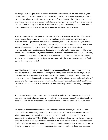day the prince of the gypsies fell out of a window and hurt his head. He survived, of course, and did very well. But he was brought to the hospital by his father, the king of the gypsies, and about two hundred other gypsies. They came in a caravan of cars, all with the little flags on the aerials. It was quite a dramatic sight. All the cars pulled up, and the gypsies got out on the front lawn. About twenty of them went up with this kid to his room. Visiting hours were long over, but there wasn't one nurse or doctor who was going to go in there and tell those gypsies to leave.

The first responsibilty of the friend or relative is to make sure that you are well-fed. If you expect to survive your hospital stay with out starving, you have to take responsibility for your own nutrition. If the hospital food is not up to your standards, you should have food brought in from home. (If the hospital food is up to your standards, either you're in an exceptional hospital or you should seriously reexamine your dietary habits.) Your relative has to be prepared to run interference for you when the nurse or technician tries to interrupt or cancel your meal for a test or some other procedure. [146] In the event that you're too weak or uninterested to feed yourself, your friend is there to feed you. He or she also can monitor your meals and tell the doctor what you've been eating and not eating. If you are on a special diet, he or she can make sure the food is part of the recommended diet.

Your friend or relative has to know what pills you're supposed to get, so that you don't get pills that the patient in the next bed should have gotten. Your partner also can make sure you're not mistaken for the next patient when they come to collect him for his surgery. Your partner can make sure you don't disappear. He or she can go with you for laboratory tests and examinations. If you're taken for x-rays, he or she can go with you to make sure you are brought to the right place, to see to it that you don't sit in a drafty hallway most of the day, to make sure you get the right xrays.

Your partner is there to ask questions and, in general, to make trouble. Your partner should ask the nurse how fast the intravenous drip should be dropping, so that you don't get it too fast. He or she also should make sure they don't put a patient with a contagious disease in the same room.

Your partner should ask the doctor to wash his hands before he touches you. One of the side effects of doctors not making house calls is that they don't wash their hands anymore. I remember when I made house calls, people would politely say when I walked in the door, "Doctor, the bathroom is right this way." They [147] would show me to the washroom where there was a towel and a bar of soap. It was expected that I would wash my hands before I went in to see the patient. I didn't really learn to wash my hands until I started making house calls. Now, if you watch a doctor going from room to room and patient to patient, sometimes he washes his hands and sometimes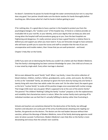he doesn't. Sometimes he passes his hands through the water ceremoniously but not in a way that does any good. Your partner should make sure the doctor washes his hands thoroughly before touching you. Who knows what he's had his hands in before getting to you!

If for nothing else, it's a good idea to have a partner in the hospital to protect you from the psychological dangers, the "voodoo curse" of the hospital stay. A friend or a relative provides an invaluable link to your real life, to your identity, and to your dignity that can keep you alive and strong when the hospital staff and procedures gang up on you. Even the best hospitals are frightening and dangerous. It's really common sense to have a good friend or a relative there to defend you and support you when you most need it. If you are fortunate enough to have someone who will team up with you to cause the nurses and staff to complain that the two of you are uncooperative and trouble makers, then I know that you are well-protected -- and loved.

Chapter 5 Holy War on the Family

[149] If you were set on destroying the family you couldn't do a better job than Modern Medicine. That the family is disintegrating has been common khowledge for years. One child out of every six is now raised by single adult. Every other marriage is doomed.

We've even debased the word 'family" itself. When I say family, I mean the entire collection of blood relatives: children, mothers, fathers, grandparents, aunts, uncles, and cousins. By referring to this as the "extended" family, we attempt to ignore the harm done by having only one family in twenty living with more than two adults under the same roof. On the other hand, the experts gave us the term "nuclear family" to evoke all the positive images once associated with nuclear energy. That image [150] never was any good. What's supposed to be at the core of the atomic family? The parents? The children? Nothing? Calling the family "nuclear" prepares us for the explosiveness and instability that characterizes atoms in nature. When the nuclear family starts spinning off its individual members we can feel that it's actually fulfilling its destiny rather than frustrating it.

Schools and teachers are sometimes blamed for the destruction of the family, but although teachers and educators are surely part of the army of professionals attacking and crippling our families, the generals are the doctors. The doctors are the real leaders because without their sanction, without the blessings of Modern Medicine, none of the family destroying agencies could exist, let alone succeed. Furthermore, Modern Medicine's own Holy War on the family is more devastating and vicious than the schools' ever could be.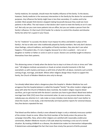Family medicine, for example, should mean the healthy influence of the family. To the doctor, however, family medicine is the necessary intervention in the family by the doctor for sacramental purposes. Any influence the family might have is less than secondary: it's useless and to be avoided. Most people think doctors stopped making housecalls because they could see more patients in the office. The real reason is that doclors don't want to meet the family on on it's own turf. Not only can you cram more patients into an office, but you can isolate a person from the family's influence. It's that much [151] harder for a doctor to control the situation and dissolve family ties when he's a guest in your house.

For his "medicine" to succeed, the doctor must impose his ethics and beliefs in place of the family's. He has to take over roles traditionally played by family members. Not only don't doctors share feelings, cultural traditions, and loyalties of family members, they also don't care what happens. If the patient dies, it's not a tragedy, because he or she is a patient -- not a son or daughter or mother or father or uncle or aunt or cousin. Doctors are carefully taught to distance themselves from their patients.

This distancing comes in handy when the doctor has to step in at times of crisis or stress and "take over." All religions institute sacraments or rituals at certain stressful moments in life that overwhelm us with mystery and tease us with hints of what life's all about, moments such as birth, coming of age, marriage, and death. Where other religions design these rituals to support the family, the Church of Modern Medicine aims only to disrupt.

I've already talked about what a dangerous place the hospital is. Modern Medicine has such arrogance that the hospital platoon is called the hospital "family!" No other modern religion gets away with what the Church of Medicine does routinely. No modern religion requires blood sacrifices, yet to get married with the doctor's sanction you have to give blood. Blood tests before marriage have little [152] more than ceremonial value. As soon as any process becomes routine, nobody pays any attenton to it. Labs make so many mistakes most doctors don't even bother to check the results. In one study, a lab intentionally sent back positive reports for venereal disease. Very few doctors repeated the test.

That blood sacrifice before a family is even allowed to begin is only a relatively innocuous symbol of the sinister rituals to come. When the third member of the family enters the picture the campaign intensiffes. Now, where other religions are satisfied with reasonably unobtrusive ceremonies, Modern Medicine mounts a full scale attack by inventing a crisis out of a normal situation. By treating childbirth as a disease, the obstetrician makes his intervention indispensible. If obstetricians acknowledged the fact that more than ninety-five percent of births proceed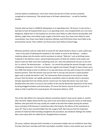entirely without complications, more than ninety-five percent of their services would be recognized as unnecessary. That would mean a lot fewer obstetricians -- as well as heathier families.

Instead, what we have is childbirth taking place in an operatlng room. Of course, it may not be a bad idea to have all hospital births occur in an operating room, since hospital births are a lot more dangerous. Babies born in the hospital are six times more likely to suffer distress during labor and delivery, eight times more likely to get caught in the birth canal, four times more likely to need resuscitation, four times more likely to become infected, and [153] thirty times more likely to be premanently injured. Their mothers are three times more likely to hemorrhage.

Whereas primitive cultures make birth an event for the whole family to share in some useful way - - even to the point of allowing the husband or the mother to assist at the delivery -- modern medicine allows only the doctor and his assistants to attend. "Reforms" such as birthing rooms, husbands in the delivery rooms, and prenatal discussions of what the mother-to-be wants and doesn't want are little more than marketing come-ons. Once the obstetrician has you on his turf, he's in control. He demonstrates -- or flaunts -- his control by putting the woman through a series of debasing maneuvers. First she must have her vaginal area shaved, though it's been known since the 1930s that doing so prior to delivery in no way decreases and may well increase the number of bacteria present. Then the woman must put her feet in stirrups and assume a supine position again only to satisfy the doctor's will. The intravenous fluid connection to the woman's body ensures that the doctor can rapidly administer anesthetics when he decides they're necessary. Already separated from her family and her control over her body (the doctor may even have decided when the event is to occur), the mother-to-be may be denied the experience of the event by being drugged senseless and memoryless. Of course the doctor may be forced to put her to sleep in order to perform his coup de grace: the Caesarean delivery. [154]

One of the side effects of a Caesarean delivery sometimes doesn't show up for weeks or months after the birth: babies delivered this way seem to be more likely to become victims of child abuse. Mothers who give birth this way usually are unable to be with their babies during the earliest hours and days of life because it sometimes takes that long for the effects of the anesthesia to wear off. They're also uncomfortable from the surgery itself. Not only are the first important periods of maternal-infant bonding mangled by the procedure, but whatever feelings the mother does come away with are sullied by her disappointment and pain.

Of course, mothers who give birth normally or to premature babies also are entitled to have their first few vital hours and days with their new babies unsullied. Unless a new mother puts up a hell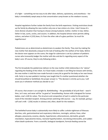of a fight -- something not too easy to do after labor, delivery, episiotomy, and anesthesia -- her baby is immediately swept away to that concentration camp known as the newborn nursery.

Hospital regulations further isolate the family from the birth experience. Visiting restrictions break up the family by allowing the new mother only one or two visitors at a time. I don't know of a more divisive situation than having to choose among husband, mother, mother-in-law, father, father-in-law, aunts, uncles, and cousins. In addition, the hospital almost never permits sibling visitors, and when it [155] does, it's from the other side of a glass partition. So much for togetherness!

Pediatricians are as determined as obstetricians to weaken tho family. They start by making the new mother feel absolutely unequal to the task of looking after the welfare of her baby. Before the doctor even appears on the scene, the stage for submission is set by a platoon of pediatric nurses who incessantly badger the mother with dos and don'ts regarding every aspect of the baby's care. Of course, they're only following orders.

The first broadside the pediatrician delivers to the new mother-child relationship is his "advice" regarding the feeding of the infant. As if God made a mistake in not filling her breasts with Similac, the new mother is told that man-made formula is every bit as good for the baby as her own breast milk. Early in my own pediatric training I was taught that if a mother questioned whether she should breastfeed or bottlefeed, the proper answer is: "The decision is strictly up to you; I will assist you in whatever method you decide to use."

Of course, that answer is an outright lie. Bottlefeeding -- the grandaddy of all junk food -- wasn't then, isn't now, and never will be "as good as" breastfeeding. Human milk is designed for human babies, cow's milk for calves. The structure and composition of each is suited to the particular need of the intended recipient. Among animals switching milk sources -- say, for example, giving a calf sow's milk -- [156] results in sickness and, often, death for the newborn.

The bottlefed human baby is substantially more likely to suffer a whole nightmare of illnesses: diarrhea, colic, gastrointestinal and respiratory infections, meningtis, asthma, hives, other allergies, pneumonia, eczema, obesity, hypertension, atherosclerosis, dermatitis, growth retardation, hypocalcemie tetany, neonatal hypothyroidism, necrotizing enterocolitis, and sudden infant death syndrome. From a scientific, biological standpoint, formula feeding cannot be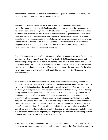considered an acceptable alternative to breastfeeding -- especially since more than ninety-nine percent of new mothers are perfectly capable of doing it.

Even premature infants should get breastmilk. When I had my pediatric training more than twenty-five years ago, I was strongly (and thankfully) influenced by one of the great nurses in the field of premature babies, Evelyn Lundeen. Miss Lundeen not only encouraged but insisted, that mothers supply breastmilk to their premies, even to those who weighed only two pounds. I can remember watching husbands deliver the bottles of milk their wives had pumped. There's no doubt in my mind that the premature infant fed breastmilk does much better than the premature infant fed formula. In my own practice I have discharged from the hospital many babies who weighed less than five pounds, all breastfed, of course, since now I won't accept a child as a patient unless the mother is determined to breastfeed.

[157] Telling mothers that breastfeeding is superior to formula feeding is my recipe for eliminating a pediatric practice. If a pediatrician tells a mother the truth that breastfeeding is good and bottlefeeding is dangerous, it will lead to feelings of guilt on the part of the mother who chooses not to breastfeed. The guilty mother then will scurry off to a pediatrician who's willing to relieve that guilt by telling her that it makes no difference whether or not she breastfeeds. On the other hand those women who do breastfeed will have babies that never get sick. There goes the pediatrict practice!

You won't find many pediatricians who insist that a woman breastfeed her baby. Instead, you'll find what I call Pediatric Doublethink, the statement that breastfeeding is best, but formula is just as good. You'll find pediatricians who hand out free sample six-packs of infant formula to new mother's; you'll find pediatricians who insist that newborns waste their sucking reflex and energy on sugar-water bottles; you'll find pediatricians who push free "supplementary formula" kits on mothers who are breastfeeding; and you'll find pediatricians who discourage a mother from breastfeeding if her baby doesn't gain as much weight as the manual provided by the formula company says it should. You'll find pediatricians neglecting to inform mothers that infant formula can contain from ten to 1000 times as much lead as breastmilk; neglectihg to tell a mother that breastfeeding protects her infant from all infectious [158] diseases she has had or fought off through her immune system; neglecting to tell mothers that breastfeeding promotes better bone maturation and intellectual development; and neglecting to tell them that breastfeeding will help protect the mothers themselves from cancer of the breast.

Breastfeeding is better for the family, too. The bond between a mother and her child is secure and healthy when the mother breastfeeds. Not only does the sucking of the infant stimulate hormones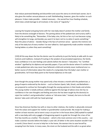that reduce postnatal bleeding and discomfort and cause the uterus to shrink back sooner, but it also gives the mother sensual pleasure as well. Bottlefeeding, however, gives the mother no such pleasure. It does make possible -- indeed necessary -- the sacred four hour feeding schedule, which does untold damage to all involved, in the name of "regularity."

Leaving the hospiial and going home with her new baby doesn't protect the mother and family from the divisive onslaught of doctors. The parting advice of the pediatrician and nursery staff is likely to be something like, "Remember, if the baby cries, let him or her cry it out because crying will strengthen its lungs, and besides you want it to learn not to cry when it wants something." Now this piece of advice -- besides flying in the face of common sense -- ignores the instincts not only of the baby but of every mother I've ever talked to. God apparently made another mistake in having babies cry when they want something!

[159] All the way down the line the doctor uses his authority to put the family at odds with its own instincts and traditions. Instead of trusting in the wisdom of accumulated experience, the family loses confidence in its own feelings and submits before the doctor's "education," his "certified wisdom" signified by his diploma and specialty papers. If you ask the doctor where it's written that a male pediatrician who may never have fathered a child and certainly never mothered one is a better source of information about the needs of a crying baby than the baby's own mother or grandmother, he'll most likely point to the framed diplomas on the wall.

Even though the young mother may spend only a few minutes a month with the pediatrician, a gang of experts endorsed by the doctor -- such as Doctors Spock, Salk, Ginott, and Bettelheim - are prepared to confuse her thoroughty through the varying opinions in their books and articles. The young mother is totally without a defense against this barrage of advice since she has no confidence in her own thoughts and feeling and since she has been taught by the doctor(s) to reject her mother's and grandmother's advice as "old wives tales." Instead, she turns to the old doctors' tales and is left with her head spinning!

Since few American families live with or close to other relatives, the mother is physically removed from the solace and support her mother or grandmother could provide. My recipe for making a mother at least neurotic and at worst crazy is to put her in the house alone [160] eyeball to eyeball with a new baby with only a gaggle of disagreeing experts to guide her through the crises of her first few months as a mother. This situation -- which is the most common one in this country -- can make a woman neurotic before the baby's a year old. (A father in the same situation wouldn't last a month.) Since there's no one to help her in the home, the woman tries to save herself by escaping from the home. In many cases, the strain on the husband and the wife is so great when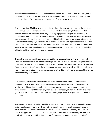they have only each other to look to as both the cause and the solution of their problems, that the marriage ends in divorce. Or, less drastially, the woman wastes no time finding a "fulfilling" job outside the home. Either way, the child is shunted off to a day-care center.

A woman's vision of fulfillment in a job outside the home is more often than not an illusion. Most jobs -- including those performed by men -- are not fulfilling in the least, but rather are dull, routine, mechanized tasks that mean only one thing: a paycheck. Few jobs are as fulfilling as homemaking and childrearing. Women do need and should cultivate activities inside and outside the home that will help them fulfill their personal identity. But precious few paying jobs do that. Even with the best of jobs, a working woman often finds herself juggling her many roles and finds that she has little or no time left for the things she cares about most. Not only must she work, but she also must adopt the goal-oriented attitude of men who compete for success, an attitude [161] which in itself is unhealthy -- for men or women.

The goals of working outside the home may be illusory, but the effects on the family are real. Whereas children used to leave the home at age six, with day-care centers sprouting and mothers filling them as soon as they're allowed, we now have children "starting school" as early as age one! By day-care center I don't mean the old fashioned nursery school in which a child spent only a few hours. Meals were not served in nursery schools, and the child spent most of the day at home. Not so in today's day-care center.

In Europe day-care centers often are located in the same factories, shops, or offices as the mothers' jobs, or at least close enough so the mother can lessen the impact of separation by visiting the child and sharing meals. In this country, however, day-care centers are located too far away for mother and child to share any more than a quick goodbye before mother hustles off to get to work across town and returns tired and grouchy eight, nine, or maybe even ten "fullfilling" hours later.

At the day-care centers, the child is fed by strangers, not by its mother. What is meant by nature to be a subtle mechanism in which a child is nurtured by his or her family becomes instead a situation where the child is influenced at a crucial period in its development by strangers. Of course, to apply the veneer of education to the child s separation from the family, we now have academic departments [162] dedicated to certifying experts in "early childhood education."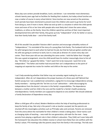Many day-care centers provide breakfast, lunch, and dinner. I can remember most elementary schools twenty years ago had no facilities for feeding their students, but today school lunches are now a matter of course in every school district. Since lunches are now served on the premises, lunch periods have been shortened to prevent even the children who want to go home for lunch from doing so, even if mom is home. What we end up with is a situation in which the child spends more and more of his or her time with people who most likely don't share the same values, traditions, or ethics as the family. Since the children spend less and less of their most important developmental time with their family, they grow up truly "independent" of all, for better or worse, that their family holds dear -- and of the family itself.

All of this wouldn't be possible if doctors didn't sanction and encourage unhealthy notions of "independence." I'm reminded of the story of a young New York family. The husband told me that his wife had gone back to work when he had lost his job, but that be had just gotten another job. His wife was going to continue to work, but in a new job as director of a seven-story day-care center. Their three-year-old son was attending the same center. I told the father that I thought this was a good arrangement, since the child would have his mother reassuringly close to him all day. "Oh [163] no," gasped the father, "I don't want him to be reassured. I want him to be independent." The father and mother had ensured their son's independence to the point of mapping out separate bus routes for mother and child on the way to the center.

I can't help wondering whether that father may not someday regret making his son so independent. After all, isn't dependence the proper business of a three-year-old? Behind that foolish young man I see a pediatrician somewhere, urging him to encourage independence among family members -- starting with the "let him cry it out" admonition -- while discouraging his independence from the doctor's intrusion in the family's responsibilities. The dependence between a mother and her child is the core and the model for a family's health-producing interdependence. Family members are supposed to depend on one another! We should celebrate a Family Declaration of Dependence every day.

When a child goes off to school, Modern Medicine enlists the help of teaching professionals to keep the family at bay. Not only is the parent's role as teacher usurped, but the parents are shunted off into meaningless activities such as PTA bake sales and carnivals. Parents are removed from the arena where the real battle for their children's minds is taking place. Clever tactics such as changing styles of teaching -- new math for one generation, old math for the next -- keep parents from playing a significant role in their children's education. They [164] can't even help with the homework! Sex education the childien receive in school more likely than not conflicts with the family's values. PTA meetings take the parents away from the family in the evenings. The kids start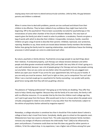staying away more and more to attend extracurricular activities. Little by little, the gap between parents and children is widened.

When it comes time to deal with problems, parents are too confused and distant from their children to be effective. They've been robbed of any confidence they might have had at the beginning. Off to the psychiatrist! They've been successfully recruited for psychotherapy or the ministrations of some other chamber of the Church of Modern Medicine. This new team of experts gives the family just what it needs to solve its problems: a vocabulary. Parents are given a bag of words with which to describe their children: irresponsible, immature, hostile, resentful. Children are give a bag of words to describe their parents: inhibited, repressed, over-protective, rejecting. Needless to say, these words are tossed about between family members like brickbats. Rather than giving the family tools for repairing relationships, stock definitions freeze the thinking processes in which people can come to understand each other.

By nature, psychiatry is family-divisive. Psychiatrists encourage people to say bad things about their relatives. If conducted properly, such therapy can release tensions between and within people and allow greater emotional mobility [165] and health. But very little of it that's going on is very well conducted, because I see a lot of people going in for therapy and very few people coming out any better. How can you come out any better when the psychiatrist has you pegged even before you open your mouth? If you arrive for your appointment late, he'll say you're hostile. If you are early you must be anxious. And if you're right on time, you're compulsive! You can't win! When I see a married couple go to a psychiatrist for family counseling, I can predict with pretty good horse racing odds that they will end up getting a divorce.

The platoons of "helping professionals" that gang up on the family are disabling. They offer few tools to help a family stay together. Because they rob the family of its own tools, the family is left with no effective resources. It's no wonder that by the time the children reach college age they can't wait to get away from the house. Who would want to live in a house where the people were virtually unequipped to relate to one another in any way other than the mechanized, subject-tothe-whims-of-psychiatry fashion advised by magazine experts?

Nowadays, a college education is somehow less than it should be if the student doesn't attend a college at least a day's travel from home. Everybody, ideally, goes to school on the opposite coast. Midwesterners have two coasts to choose from. This wide separation between family members removes any vestiges of influence and leaves the child totally "free" [166] to be influenced by peers and professors. If someone could show me how this does any good for either parents or children, I'd let the subject drop. In my experience, I see a higher rate of illness among first-year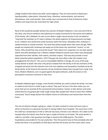college students than almost any other social subgroup. They are more prone to depression, hypothyroidism, tuberculosis, rheumatic fever, infectious, mononucleosis, and menstral disturbances. And, small wonder, their suicide rate is second only to that of American Indian children sent away from the reservation for high school.

None of this would be possible without the sanction of Modern Medicine. From one end of life to the other, the Church interferes and substitutes its empty ceremonies for the bonds and traditions of the family. Life is debased. As soon as you allow a single-natural process to be corrupted or "improved' by treating it as if it were a disease, the whole organism of living processes can begin to rot. Children once performed useful functions within the home. Nowadays their usefulness is related entirely to outside activities. The same fate awaits people when they reach old age. Older people are treated with contempt and swept out of the home into retirement "resorts" or rest homes. Why should they stay around the house? Their advice isn't respected, nor are their special talents and skills developed over a lifetime. Modern Medicine would much rather have old people separated from their families, their talents, and their respect. That way they provide a much better potential patient population. [167] They get sick more often under the voodoo curse propagated by the Church," the curse of unavoidable debility in old age, the curse of the long steady decline to death. Not only is the person isolated from the family at the last moments of life, strapped and wired into the Intensive Care Unit, but sedatives and tranquilizers handed out by the family doctor at the funeral rob mourners of any emotional release they may get from crying. Even there, Modern Medicine, ever on guard against disruptive behavior, dulls the senses to rob participants of precious moments in their lives.

As Modern Medicine gets stronger, more forceful methods are used to attack the family. You have to submit to the Church in order to go to school. They won't let you in the door unless you can prove that you've received all the sacramental immunizations. Sooner or later doctors and some school districts are going to get really rough and go after people who refuse to have their children immunized. They'll simply declare the children victims of child abuse and remove them from the home.

This sort of violence already is going on. Lately, I've been involved in more and more cases in which my function as a physician has been to spring children from hospitals. The usual story is this: the child has a temperature of 103 or 104 and may have a throat or ear infection. He's taken to the hospital where the doctor sees that he's got a couple of bruises on his body. The social worker is called in, and after a few questions the finger is aimed at the [168] parents. The child is hospitalized, presumably for his own protection. Then the parents have to find somebody who will testify that there is no possibility of child abuse and that the bruises are from some other cause.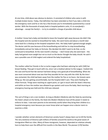At one time, child abuse was obvious to doctors. It consisted of children who came in with multiple broken bones. Today, that definition has been extended so that if you take a child into the emergency room and he or she has a few bruises you're immediately questioned by a social worker. With the thousands of empty beds in hospital pediatric units, it's to everybody's advantage -- except the family's -- to try to establish a charge of possible child abuse.

A mother I know had a baby and decided to leave the hospital right away because she didn't like the hospital and she wanted to breastfeed her baby. She went home and about a month later came back for a checkup at the hospital outpatient clinic. Her baby hadn't gained enough weight. The doctor said this was because of the breastfeeding and told her to stop breastfeeding immediately and put her baby on formula. She decided she didn't want to do that, so she continued to breastfeed. At the next month's checkup -- I don't know why she went back -- the baby had gained more weight but not as much as the doctor thought the baby should. He said it was a possible case of child neglect and ordered the baby hospitalized.

The mother called her friends in the La Leche League who had been advising her with [169] her breast feeding. They got in touch with me, since I am a medical advisor to the League. I looked into the case and found that tbe woman had been doing a very good job of breastfeeding. What she was most concerned about now was that they wouldnt let her stay with the child. By the time I was contacted, the child had been away from the mother for five or six hours. Her breasts were filling up. She was getting uncomfortable, but the hospital didn't care. They were feeding the infant formula. Things were reaching an urgent point, so I got in touch with the State's Attorney and within an hour the mother was allowed to go upstairs and nurse the baby. Next morning an emergency hearing was held and the child was released.

This sort of thing is not a rare incident. As long as Modern Medicine aids the State by sanctioning the State's attack on the family, the State lets Modern Medicine have all the power it needs to enforce its laws. I now warn parents to be extremely careful when they bring their children to a hospital emergency room because you never know what can happen once a doctor starts to examine a child.

I wonder whether certain elements of American society haven't always been out to kill the family. The very existence of America split millions of families around the world as the great waves of immigration filled our cities. Many of these immigrants, however, depended on relatives already here to help them over the difficult first months in the New World. The pioneer [170] families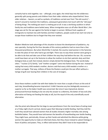certainly had to stick together, too -- although, once again, the initial leap into the wilderness generally split young parents and children from their older relatives who stayed behind. Since older relatives -- bearers, as well as symbols, of traditions carried over from "the old country"- weren't around to maintain the traditions, subsequent generations lost touch with the "old ways" of doing things. The melting pot wasn't a melting pot at all: it was a sterilizing cauldron in which family ties and traditions were boiled away. When immigration was cut off after World War I, the stage was set for the war against the family to begin in earnest. Without fresh supplies of immigrants to maintain ties with families and their traditions, people could at last start not only to escape those traditions but to forget that they ever existed.

Modern Medicine took advantage of this situation to boost the development of pediatrics, my own specialty. During the first four decades of this century pediatrics had no more than a few thousand practitioners. But when World War II started, the country need women in the factories to take the place of men who had to go and fight. There was no way these women were going to be able to do that and take care of their children the way they had before the war. Oh, nurseries could have been set up in the factories to allow the mothers to do their patriotic duty and their biological duty as well. But instead, doctors simply denied the biological duty. The words babysitter," "nuclear [171] family," and "mother surogate" came into fashion during the war. Instead of saying that every child needed a mother, doctors said that every child needed a mother or a mother surrogate. That way, millions of Rosie the Riveters could join the war effort without a twinge of guilt over leaving their children in the care of strangers.

Since these mothers couldn't be with their babies for more than a couple of hours at the end of each day, breastfeeding became impractical. It didn't become any less biologically necessary or superior as far as the baby's health was concerned. But since it was impractical, doctors pronounced formula feeding to be not only the answer to a dilemma, the better of two evils (the alternative evil being not feeding the baby at all), but the equal of the only scientifically sound alternative.

Like the priest who blessed the hot dogs to save parishioners from the moral bane of eating meat at a Friday night church carnival, doctors gave their blessing to bottle feeding. Had they told the truth they would have advised women that all studies showed a higher mortality rate among bottlefed babies. They would have told women the benefits of breastfeeding over bottle feeding. They might have, patriotically, thrown up their hands and admitted the dilemma while giving women the opportunity to make an informed choice, But they chose instead to subvert biology in favor of politics and power; They, in effect told women they didn't have to be responsible to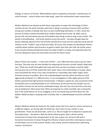biology, to nature's [172] laws. While pediatrics grew in popularity and power, manufacturers of infant formulas -- some of whom also make drugs --grew into multinational super-corporations.

Modern Medicine has teamed up with these corporations to export the technology of infant nutrition all over the world. Actually, what they're doing is carrying on human infant sacrifices among vast numbers of people who have no way of defending themselves. In 1952, ninety-five percent of Chilean mothers breastfed their children beyond the first year. By 1969, only six percent did, and only twenty percent of the babies were being nursed as long as two months. This decline in breasffeeding -- and similar declines across the world -- has been brought about by doctors allowing salesmen from the formula manufacturers to go into the maternity wards and sell mothers on the "modern" way to feed your baby. Of course, free samples are distributed. Doctors carefuIly advise mothers that formula is as good or better than their own milk. No mother wants to be accused of being old-fashioned when her baby's health is at stake, and especially when the formula salesperson wears the same white coat that the doctor wears.

Many of these new mothers -- in fact most of them -- can't afford the extra cash to pay for infant formulas. They also may not have facilities for preparing the formula correctly. Nestle's baby book says, "Wash your hands thoroughly with soap each time you have to prepare a meal for baby." Formula also has to [173] be mixed with clean water. Now in the United States or Europe, where every household has three or four sinks connected to a reasonably clean water supply, these directions present no problem. But in the underdeveloped countries where formulas are most aggressively marketed, it's a different story. In one investigation in Chile, eighty percent of the bottles examined bad high bacterial contamination. In Malawi's capital city, sixty-six percent of the households have no washing facilities at all. Furthermore, by the time the free sample runs out, the mother's breasts are dry and her pocketbook empty. She can't buy more formula so she may end up feeding her infant worse food. When we brag that our infant mortality rate is among the best in the world (which, for all our bragging, it isn't), we should stop and think about the role Modern Medicine plays in keeping infant mortality rates in underdeveloped countries artificially high.

Modern Medicine attacks the family for the simple reason that if you want to convert someone to a different religion, you first go after his family ties. Don't listen to your mother or your grandmother. Those are old wives tales. Listen to us. We are taught not to depend on anyone but the professionals -- the doctors. With the family influence gone, what I call the vertical transmission of values from one generation to the next is gone, too. All you're left with is horizontal transmission of values through the influence of peers and other contemporary sources of information such as [174] research studies, news media, and the entertainment-advertising industry. And doctors.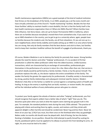Health maintenance organizations (HMOs) are a good example of the kind of medical institution that thrives on the breakdown of the family. In an HMO, people pay a set fee every month and have virtually unlimited use of the Church's "health maintaining" facilities. Besides the fact that those facilities' ability to maintain health is most doubtful, the fact is that the family itself is the best health maintenance organization there is! Where do HMOs flourish? Where families have little influence. Ask Henry Kaiser, who set up his Kaiser-Permanente HMO in California, where there are no families because everybody's moved there from somewhere else. If you want to set up an HMO elsewhere in the country, you've got to go to a university where, again, people have no families because the students and, the faculty, are all from elsewhere. Or you set one up in a slum neighborhood, where family stability and trouble setting up an HMO in an area where family ties are strong. Not only do family members find the best doctors and stick to them, but families tend to keep their members healthier without the benefit of a gaggle of professionals, thank you.

Of course, Modern Medicine is out to destroy the family for precisely that reason. Strong families obviate the need for doctors and other "helping" professionals. It's no accident [175] that prostitution is called the oldest profession rather than the oldest business. Unlike business transactions, which are characterized by an exchange of commodities, professionals give themselves in the performance of a service in return for a fee. More often than not, that service is one which ideally would be performed by a family member, friend, or by the person himself. The prostitute replaces the wife, as, the doctor replaces the entire constellation of the family. The weaker the family the greater the opportunity for professionals. A healthy society is characterized by strong, positive family relationships and subsequent minimal need for doctors. Modern Medicine's Holy War on the family is a battle for survival against a competing system of health and healing. As long as the enemy is anything that can build, maintain, or restore health, the casualty will be the individual welfare of every defenseless person who goes to a doctor.

To protect your family against the attacks of doctors and other "helping" professionals, you first should recognize that experts seldom have a better idea of what's "right" than you do. This becomes quite plain when you look at what the experts were claiming was gospel truth in the past. For example, the standard pediatrics texts during the early 1920s advised: "The practice of playing with infants and exciting them by sights, sounds, and motions until they shriek with apparent delight is often harmful and should be condemned. Never hug and kiss them. Never let them sit on your lap. [176] If you must, kiss them once on the forehead when they say goodnight. Babies under six months old should never be played with. And of kissing, the less the better. Rocking is forbidden. So are pacifiers. Should the child attempt to pacify himself by sucking his thumb, pasteboard splints must be applied to his elbows to prevent him from bending his arms. At night, his arms must be tied to his sides."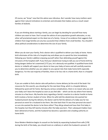Of course, we "know" now that this advice was ridiculous. But I wonder how many mothers went against their natural inclinations to entertain and stimulate their babies and as a result raised families of dullards.

If you are thinking about starting a family, you can begin by deciding for yourself how many children you want to have. Don't accept the advice of zero population growth advocates, or any other self proclaimed expert on the ideal size of a famiiy. I know of no evidence that suggests that children from large families are any less successful than children from small families. You shouldn't allow political considerations to determine the size of your family.

When you do start your family, find a doctor who is qualified to deliver your baby at home. Home birth eliminates all the risks of a hospital stay and allows you to spend the time immediately following your family's addition enjoying yourself rather than defending youself against the intrusions of the hospttal staff. If you find your obstetrician trying to talk you out of home birth by listing dangers before he's examined [177] you, he's obviously not qualified. A qualified home birth doctor or midwife will support your desire to have your baby at home and will carefully examine you to determine whether you are subject to any special risks that make home birth especially dangerous. For the vast majority of families, there is far less risk in a home birth, than in a hospital birth.

If you are unable to find a doctor who will perform a home delivery (at the end of the book I list resources for this search), you should go for the next best thing, which is a hospital delivery followed by quick exit for home. Barring any serious complications, there is no reason why you and your baby can't leave the hospital as soon as you feel able -- which can be any where from twenty minutes to a few hours. My favorite story regarding a family's reaction to a doctor hostile to home birth involves a former student of mine. When his wife told the obstetrician she wanted her husband present during the delivery, the doctor said he felt the delivery of a baby was far too personal an event for a husband to be there. She shot back that if it was that personal she wasn't so sure she wanted the doctor to be there either! They did go ahead and have their first baby in the hospital, but they left twenty minutes after the baby was born. Their subsequent babies have been delivered at home, and the husband has become a specialist and a leading authority on home birth.

Since Modern Medicine begins its assault on the family by separating husband from wife [178] during the birth of the baby, you should insist on a delivery in which the husband is present. Of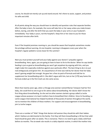course, he should not merely suit up and stand around. He's there to assist, support, and protect his wife and child.

At all points along the way you should learn to identify and question rules that separate families. After the baby is born, for example, the nurse will take him or her away unless you make known before, during, and after the birth that you want the baby in your arms or your husband's immediately. Your baby is yours, not the hospital's. Keep him or her close to you for those important minutes after birth.

Even if the hospital promises rooming-in, you should be aware that hospitals sometimes revoke the privilege without warning. At one hospital, rooming-in disappears every year when the hospital's regular pediatric nurses leave for the summer!

Next you must protect yourself and your baby against your doctor's' prejudice against breastfeeding. Here, again, you are going to have to learn to lie to the doctor. When he says bottle feeding is just as good as breastfeeding you won't get anywhere by arguing with him, and you might make him especially vindictive against your particular effort. The best thing to do is to just nod ambiguously and ignore him. An acquaintance of mine was told by her doctor that her baby wasn't gaining weight fast enough. He gave her a free six pack of formula and told her to supplement her breastfeeding with it. She didn't argue with him, but on her [179] way home the formula ended up in the first trash can she came across.

More than twenty years ago, when a Chicago area woman named Marian Tompson had her first baby, she could find no one to go to for advice about breastfeeding. Her doctor didn't know the first thing about breastfeeding. So she and six other women started a group called La Leche League whose purpose is to teach mothers how to breastfeed their children. Since its founding, La Leche League International has helped hundreds of thousands of women throughout the world, not to mention the children of these mothers. For support and encouragement in breastfeeding, join La Leche League.

There are a number of "little" things that doctors tell women they should do with their babies which I believe are detrimental to the family. First they tell them breastfeeding is OK but that solid food should be given after six weeks. This is nonsense. There is no need to give a baby solid food before six months. The six-week rule results in a daily slapstick routine, in which the mother tries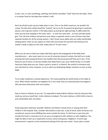to jam, ram, or cram something, anything, that faintly resembles "solid" food into the baby. There is no better food for the baby than mother's milk.

Don't be afraid to pick up your baby when it cries. If he or she didn't need you, he wouldn't be crying. The idea that a baby should be "trained" not to cry for its parents by ignoring it is patently absurd, and it ignores instinct. If the baby wakes up during the night perhaps it [180] needs the extra security that sleeping in the same room -- or even the same bed -- as mom and dad would give. The rule that children and parents must sleep in separate rooms is one of those rules that separate families for all the wrong reasons. I don't know many adults who are really comfortable sleeping alone. How can you expect an infant who has known the warmth and intimacy of its mother's body to adjust to the cold, empty dark of "its own room."

When you do start to feed your baby solid food, ignore the propaganda of the baby food manufacturers -- who never seem to run out of university research centers that will run a study proving that home-prepared food is less healthy than the processed stuff they put in jars. If the food you eat at home is truly less healthy than baby food in jars, your whole family is in trouble. Feed your baby what you eat. Chop it, grind it, puree it, or blend it. Be careful to introduce only one new food at a time, however, so as to catch any developing allergic reactions as soon as they begin.

Try to make mealtimes a shared experience. This means getting the whole family at the table at once. When family members are together for a nice meal, they are automatically encouraged to talk and share themselves with one another.

Stay as close to relatives as you can. Try especially to keep elderly relatives close by, because they need you and you need them. Invite relatives to babysit. The more relatives a [181] child is close to and comfortable with, the better.

Avoid separation whenever possible. Mothers and fathers should insist on staying with their children in the hospital. Also, consider alternatives to day-care. A job at home, when all factors are considered, may be more fullfilling than work outside the home. If a full-time or part-time job outside the home is necessary try to set up an arrangement with relatives or with neighbors. You might be able to start up a cooperative nursery school among your neighbors. A home-type environment is superior to the institutional setting of the day-care center. If your job or school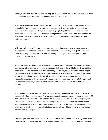keeps you and your children separated during the day, don't participate in organizations that meet in the evening when you should be spending time with your family.

Spend holidays with relatives, friends, and neighbors. Psychiatrists almost never take vacations around Christmas, because the season is marked by great depression and a heightened suicide rate among their patients. Holidays were made for people to get together and celebrate and renew the bonds that have supported them throughout their lives. People who have allowed the war against the family to keep them apart from their family are natural victims of frustrated legitimate needs.

Visit your college-age children who are away from home. Encourage them to come home when their schedule permits and sometimes when it doesn't. Make sure they know [182] that you're there when they need you, because they will need you. Colleges are becoming increasingly competitive, lonely places.

All along the way you have to learn to deal with professionals. Sometimes this means. you have to be practical rather than pure. For example, assume that your doctor will bully you if you let him, especially if you are a woman. Now this is certainly not the way things should be. But as long as things are that way, I advise people, especially women, to go to the doctor in pairs. Wives should go with their husbands, since a doctor will pay more attention to a woman's problem if the husband is along. Sure, doctors shouldn't treat women as second-class humans; but they do and you shouldn't sacrifice your health for an abstract principle. We need successful heretics, not martyrs.

A more humorous -- and less politically charged -- situation where you have to be more practical than pure is when your child goes off to nursery school. I remember a mother phoning me at 11:00 one night to tell me she had an emergency. When I asked her the nature of the emergency, she said her three-year-old boy wasn't toilet trained yet and couldn't enter nursery school until he was. When I asked her why this was an emergency, she told me she lived on the eighteenth floor of a high-rise apartment and was going to jump out the window if I couldn't give her any advice. I ageed it was an emergency.

I have long advised mothers to send their [183] non-toilet trained children to nursery school after lying to the school and saying the child is trained. Many children do, quite mysteriously, become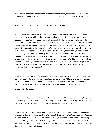toilet trained on the first day of school. In the case of the others, the teacher usually calls the mother after a week of frustration and says, "I thought you told me the child was toilet trained!"

The mother's reply should be: "What have you done to my chiid?"

Sometimes in dealing with doctors, nurses, and other professionals, you have to be down- right indomitable. Or immovable, as the case may be when a nurse tries to remove you from the bedside of a hospitalized relative. First of all, terminally ill relatives should be allowed to die at home. Hospitals don't own people at either end of life. If a relative is in the intensive care unit you have to buck the ten minute rule to remain with him or her. Your first move should be simply to stand still. Don't enforce the hospital's rules for them. When the nurse asks you to leave, ask why. If she says your presence is too much of a strain on the patient, tell her that you are a better judge of whether your relative is strained by your presence. Then challenge the nurse to produce evidence. She may then retreat to a new position: the rules say you have to leave. Ask for a copy of the rules in writing. Her next move will be to summon the doctor. Ask him the same questions. How do you know my presence here causes a strain on my relative? How do you [184] know that the presence of hospital staff is automatically good and the presence of family members automatically bad for the patient?

While you're protecting your family against Modern Medicine's Holy War, recognize that besides being protected, the family should be used as a health resource. At times of crisis, seek out the advice and support of family and friends. When other members of the family need help and support, be there. Because if not, you can be sure that the doctor will, soon enough.

Chapter 6 Doctor Death

[185] Modern Medicine is an idolatrous religion, for what it holds sacred are not living things, but mechanical processes. It doesn't boast of saving souls or lives but of how many times this or that new machine was used and how much money was taken in by the process.

What resides at the core of every religion, the core from which hope radiates when all human attempts to deal with earthly conditions fail, is the Deity, the One Who Transcends it all. To get to the core of Modern Medicine you have to wade through an ocean of man-made drugs and fight your way through endless tons of machinery. If you then don't understand why the Church is savagely idolatrous and must be destroyed, you will when you stare its Deity in the face. [186] The God of Modern Medicine is Death.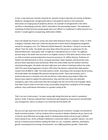In fact, a new word was recently coined by Dr. Quentin Young to describe one activity of Modern Medicine: iatrogenocide. Iatrogenocide (iatros is the greek for doctor) is the systematic destruction of a large group of people by doctors, An example of iatrogenocide is the infant sacrifices in developing countries, which I described in the preceeding chapter. This widespead marketing of infant formula among people who can't afford it or implement it safely amounts to a doctors' crusade against unsuspecting, defenseless infidels.

How truly deadly the Church is comes into stark relief whenever there's a doctors' strike. In 1970 in Bogota, Colombia, there was a fifty-two day period in which doctors disappeared altogether except for emergency care. The "National Catholic Reporter" described a "string of unusual side effects" from the strike. The death rate went down thirty-five percent. A spokesman for the National Morticians' Association said "It might be a coincidence but it is a fact." An eighteen percent drop in the death rate occurred in Los Angeles county in 1976 when doctors there went on strike to protest soaring malpractice insurance premiums. Dr. Milton Roemer, Professor of Health Care Administration at UCLA, surveyed seventeen major hospitals and found that sixty percent fewer operations were performed. When the strike ended and the medical machines started grinding again, the death rate went right back up to where it had been before the strike. [187] The same thing happened in Israel in 1973 when the doctors reduced their daily patient contact from 65,000 to 7,000. The strike lasted a month. According to the Jerusalem Burial Society, the Israeli death rate dropped fifty percent during that month. There had not been such a profound decrease in mortality since the last doctors' strike twenty years before! When the doctors were asked to explain this phenomenon, they said that since they only attended emergency cases, they could invest their best energies into the care of the truly ill people. When they didn't have to listen to the day-to-day, presumably unimportant complaints of the average patients, they could devote themselves to a greater saving of life.

That's not such a bad answer. I've been saying right along that what we need is a perpetual doctors' strike. If doctors reduced their involvement with people by ninety percent and attended only emergencies, there's no doubt in my mind that we'd be better off.

We just can't get away from the fact that a disturbing amount of doctors' energies are devoted to death-oriented activities. I tell my students that to succeed in Modern Medicine all you have to do is look for some field that encourages death or thinking about death and you've got a brilliant future ahead of you. As far as Modern Medicine is concerned, death is a growth industry. You can't pick up a medical journal without reading the latest on: con- traception, abortion, sterilization, genetic counseling and screening, amniocentesis, zero [188] population growth, "death with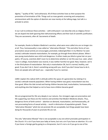dignity," "quality of life," and euthanasia. All of these activities have as their purpose the prevention of termination of life. Things such as mass genetic screening and compulsory amniocentesis with the option of abortion are now merely at the talking stage, but talk is a prelude to action.

In our rush to embrace these activities -- with enthusiasm I can describe only as religious fervor - we are duped into both ignoring their dehumanizing effects and their lack of scientific justification. They are sacraments, after all. Sacraments of death.

For example, thanks to Modern Medicine's sanction, what were once called sins are no longer sins at all. Thus, homosexuality is now called an "alternative lifestyle." This and other forms of nonprocreative sexual activity are encouraged, promoted, indeed glorified. In my lifetime I've seen society's attitudes towards masturbation, for example, go through three distinct phases. When I was young masturbation was sinful and dangerous. It either made you blind or grew hair on your palms. Of course, scientists didn't even try to determine whether or not this was true. Later, when I was in college, masturbation was neutral, it was neither harmful nor good. Now, however, we're in the third phase of masturbation. Not only is masturbation OK, but it's normal, healthy, and good. If you don't do it, there's something wrong with you. And if you don't know how to do it, there are people who will teach you -- especially if you're a woman.

[189] I explain this radical shift in attitude within the space of a generation by relating it to society's attitude towards population. When having children was good, masturbation was less than good. When the tide turned and having children became bad, masturbation, homosexuality - and anything else that helped us not to have more children became good!

We are programmed for life very deeply in our natures. Our strongest urges are procreative and life-supporting, but these are the instincts and activities that Modern Medicine attacks. Thus, dangerous forms of birth control -- abortion on demand, masturbation, and homosexuality, all non-procreating forms of sexual activity -- result in diminution of population growth. These "alternative lifestyles" which do not promote life are acceptable, but things people have been doing for thousands of years to promote life are not.

The only "alternative lifestyle" that is not acceptable is any one which precludes participation in the Church. It's a sin if you have your baby at home, but not a sin if you have an abortion. It's a sin if you honor a foreign god by going to a chiropractor, but it's not a sin if you go to one of the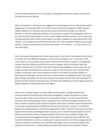shrines of Modern Medicine for a sex change. Any biological stress these activities may have on the body and soul are ignored.

What is wrong here is that the Church exaggerates its encouragement of non-life activities while it exaggerates its contempt for life. The common sense, more human appoach is [190] trampled. Modern Medicine, for example, says that any woman should have the right to an abortion. Whether or not this is politically beneficial, it's important to recognize that biologically there may be more to it than simple freedom of choice. Some traditional ethical systems, such as Jewish law, mandate abortions when the life of the mother is at stake. A judgment is made that the life of the mother is more important than the life of the infant. But in the way Modern Medicine encourages abortion, it doesn't consider life at all, either the mother's or the infant's -- its main interest is its own technology.

One of the sacred catastrophes of the past twenty years is the Church's promotion of birth control at all costs. Here the difference between a moral sin and a biological "sin" is most clear. Birth control, per se, is not morally wrong. Certain methods of birth control, however, are biologically wrong in that their effects on the life of the user are negative. Short of refusing to deal with harmful methods such as the Pill and the IUD, if doctors acknowledged to every woman the real dangers involved and allowed every woman to make an informed choice, there would be little problem. But doctors never allow a patient to choose or not choose a procedure based on a balancing of the biological risk with how much a woman wishes to endanger her life. They simply ignore biology; they ignore the fact that a partlcular procedure may do more harm than good. So profound is their devotion to this ignorance, the [191] only explanation is that the deep purpose of Modern Medicine is being loyally served through it.

When I was a medical student in the late 1940s and early 1950s, I thought medicine was concerned almost exclusively with saving and prolonging life. I hardly remember any serious discussion about what is now referred to as "the quality of dying." I learned to treat death by denying it, by maintaining hope. Denial is supposed to be a bad word nowadays, despite the fact that a number of research studies show that patients with cancer and other serious diseases seem to live longer when they deny and fight their disease than when they "accept" it. In the British Medical Journal (Novemder 22, 1975) there appeared this tidbit: "Evidence from research certainly supports the view that psychological factors can play a part in determining the length of survival. Weisman and Wordan recently compared patients with cancer who survived for longer than survival statistics would suggest with others whose death occured sooner than predicted. They found that motivation to survive, as expressed in 'rising resentment' as the illness progressed and a positive attitude to treatment, was associated with longer survival. Conversely, patients who expressed a wish to die or a ready acceptance of death died sooner than expected. Similarly,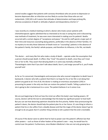several studies suggest that patients with coronary thrombosis who are prone to depression or become depressed after an infarction are less likely to survive than those who are not melancholic. [192] All in all it seems that attitudes of determination and hope prolong life, whereas acceptance of death or attitudes of gloom and despondency shorten it."

I was recently at a medical meeting at which a doctor who treats cancer patients with chemotherapeutic agents admitted that as interested as he was in saving lives and in discovering new methods of treatment, he was even more interested in making sure his patients' deaths occurred with a certain degree of "acceptance and peace." He and his staff spend a major part of their time and resources counseling dying patients, preferably in the absence of their families. It's no mystery to me why these Salesmen of Death insist on "counseling" patients in the absence of the patient's family, the family's whole purpose, and therefore its influence, is for life, not death.

This doctor -- and many like him who make a study of death -- operate under the assumption that a person should accept death. In effect, they "treat" the patient to death, since they can't treat him or her to life. They assert that denying death is in some way mentally unhealthy. Thanatologists claim that if you don't talk about death, face it, and resign yourself to it, you'll make yourself sick!

As far as I'm concerned, thanatologists and everyone else who counsel resignation to death have it backwards. A doctor who tells a patient that there's no hope for his or her life is not doing that patient any good at all. First of all, the doctor is making an enormous assumption [193] in presuming his power is the only one that can restore the patient's health. Telling a patient he or she is going to die is tantamount to a curse. The patient believes it so it comes true.

We are just beginning to find out how the mind can affect the body's own healing powers. Of course, doctors will be the last to acknowledge that the body has significant power to heal itself. But you can see how deserving optimism should be the first priority. Rather than pronouncing the patient's doom, the doctor should help the patient plan his or her future. It's one thing to inform a patient that he or she suffers from a deadly disease and that the magic of the doctor doesn't go far enough to do any good. But it's another thing entirely to tell a patient that the end is inevitable.

Of course if the doctor were to admit that he had no power over the patient's affiction but that other powers -- such as those of other healers of the patient's own -- may, he would lose his control over the patient. Furthermore, since Modern Medicine's rites are not only growing less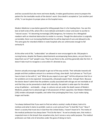and less successful but also more and more deadly, it makes good business sense to prepare the patient for the inevitable results of the doctor's work. Once death is accepted as "just another part of life," it can be given its proper place on the hospital menu.

Modern Medicine is now better geared for killing people than it is for healing them. You see this best at both ends of life, where life is more delicate and death is closer and easier to ascribe to "natural causes." It's becoming increasingly [194] dangerous, for instance; for a Mongoloid newborn with an intestinal obstruction to reside in a nursery. Though the obstruction is surgically correctable, there is an increasing likelihood that he will be deprived of care and allowed to die. The same goes for retarded children in state hospitals who are unfortunate enough to fall seriously ill.

At the other end of life, "undesirables" are allowed or even encouraged to die. Old people in nursing homes, despite the flowery advertisements accompanying these places, are put there to keep them out of "real" people's way. They're put there to die, and they generally take the hint. It doesn't take much to recognize a curse when it's directed at you.

Doctors actually encourage old people to get out of the way and die. Their attitudes towards old people and their problems amount to a sentence of long, slow death. Such phrases as "You'll just have to learn to live with it," and "What do you expect at your age?" tell the old person that his or her problems are to be expected. Consequently, old people expect them. And get them. Because the doctor doesn't admit that the problems usually associated with old age are not inevitable at all and that they can be prevented or dealt with naturally, the patient is wide open for the whole array of palliative -- and deadly -- drugs. In cultures not yet under the death swoon of Modern Medicine, people live to advanced age in full possession of their capacities. But Modern Medicine [195] renders old people incapable, and rather than prolonging their lives, it just makes dying longer and harder.

I've always believed that if you want to find out what a society's really all about, look at its mottoes and what it claims to prohibit. Look on a coin and you'll see "In God We Trust." Now if there's a society that trusts less in God than the United States, I haven't heard of it. The motto of the medical profession has always been "First Do No Harm." As we've already seen, that motto is respected more in the breach than anywhere else, but it serves a very useful purpose. The medical profession can hide a lot of atrocities under the guise of doing no harm.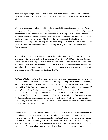The first thing to change when one cultural force overcomes another and takes over a society is language. When you control a people's way of describing things, you control their way of dealing with them.

We have a population "explosion," which makes a lot of babies sound ominous and harmful. We have pregnancy "planning" or pregnancy "termination" to make abortion sound clinically detached from life and death. We say "euthanasia" instead of "mercy killing," which somehow was too accurate a description even with the nice adjective. The most outrageous attempt to hide reality by changing vocabulary is the term "death with dignity." Now, death is all right under any circumstances as long as it's with "dignity." The funny thing is that in the [196] situations in which this term is most often employed, the act of "pulling the plug" removes all possibility of dignity from the event.

To me, all these death-oriented activities are frighteningly reminiscent of the Nazis. The medical profession in Germany drifted into these same activities prior to World War II. German doctors willingly got rid of "useless people" such as severely retarded and deformed children. Liberalized abortion and euthanasia were followed by the "death with dignity" of old people -- meaning they were allowed and encouraged to die. Later came the murder of gypsies; then the rounding up of anti-Nazis and Jews. The Nazis were fighting a Holy War, too.

As Modern Medicine's War on Life intensifies, hospitals are rapidly becoming unable to handle the overload. So we have to build "death centers" called -- again, using a very comfortable sounding word to hide the reality hospices. Death counselors are also moving into hospitals, which I've already identified as Temples of Doom, to prepare patients for the institution's major product. Of course, this is nothing if not good marketing strategy. What you have to do to sell anything is create a desire and an acceptance of your product. Since the product of Modern Medicine is death, we are "softened" to the idea of non-life first. Once we are alienated from our own instincts for life, accepting dehumanizing, dangerous procedures is easier. Finally, with only a purgatory [197] of drug-induced semi-life to look forward to, we welcome the salesman of death when they come to counsel us out of this world.

When that moment comes, the full attention of the Church is directed at your participation in the Central Mystery. Like the Catholic Mass, which celebrates the Resurrection, your death in the intensive care unit is the supreme sacrament. So sacred are the preliminary ceremonies that you are separated from your family, just as I'm sure sacrificial victims of earlier religions were kept apart from relatives who might interfere with the machinations of the priests. Instead of holding the hand of a family member, you're connected to the finest and most advanced electronic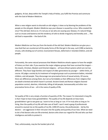gadgetry. At last, deep within the Temple's Holy of Holies, you fulfill the Promise and commune with the God of Modern Medicine.

When a new religion wants to discredit an old religion, it does so by blaming the problems of the people on the old gods. Modern Medicine says your disease is caused by a virus. Who created the virus? The old God. And so on. It's not you or we who are causing your disease, it's natural things such as viruses and bacteria and the tendency of cells to divide irregularly and heredity and .... The old God is responsible -- the God of Life.

Modern Medicine can free you from the bonds of the old God. Modern Medicine can give you a new God that can counterract all the pesky forms of life that get in the way, such [198] as bacteria, viruses, cells dividing out of control, inconvenient fetuses, deformed or retarded children, and old people.

Fortunately, the same natural processes that Modern Medicine attacks appear to have the weight of history on their side. If you examine the major religious groups that have survived the longest - the Jewish, Christian, Moslem and Oriental religions -- all have ethical systems which are not too different. They favor large families and respect of older generations by younger -- within limits, of course. All judge a society by its treatment of marginal groups such as premature babies, retarded children, and old people. They discourage non-procreative forms of sexual activity. Of course, there are differences among them, but not as formidable as their differences from religions that are death-oriented and which haven't survived. Ancient Greek and Roman religions favored population control, abortion, infanticide, killing of old people, homosexuality ard other nonprocreative forms of sex -- all in the name of quality of life.

Yet quality of life is very simply a function of quantity of life. The reason I'm interested in long life is that I hope to have many grandchildren. The quality of my life depends on how many grandchildren I get to see grow up. I want to live as long as I can. If I'm truly alive as long as I'm living, then the quality of my life will take care of itself. I won't need a gang of professionals around to counsel me on the quality of my life. [199] Of course, the professionals -- led by the doctors -- are aggressive in their intrusion into the quality and quantity of our lives. What we need to do is find doctors who are life-oriented, doctors who share our regard for life and who use their intelligence and skills to protect it.

That, unfortunately, may be the hardest job of all.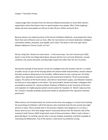Chapter 7 The Devil's Priests

I always laugh when someone from the American Medical Association or some other doctors' organization claims that doctors have no special powers over people. After I finish laughing, I always ask how many people can tell you to take off your clothes and you'll do it.

Because doctors are really the priests of the Church of Modern Medicine, most people don't deny them their extra influence over our lives. After all, most doctors are honest dedicated, intelligent, committed, healthy, educated, and capable, aren't they? The doctor is the rock upon which Modern Medicine's Church is built, isn't he?

Not by a long shot. Doctors are only human -- in the worst ways. You can't assume your [202] doctor is any of the nice things listed above, because doctors turn out to be dishonest, corrupt, unethical, sick, poorly educated, and downright stupid more often than the rest of society.

My favorite example of how doctors can be less intelligent than the situation calls for is a matter of public record. As part of the hearings before the Senate Health Subcommittee, Senator Edward Kennedy recalled a skiing injury to his shoulder, suffered when he was a young man. His father called in four specialists to examine the boy and recommend treatment. Three recommended surgery. The advice of the fourth doctor, who did not recommend surgery, was followed, however. He had just as many degrees as the others. The injury healed. Senator Kennedy's colleagues then proceeded to question Dr. Lawrence Weed, Professor of Medicine at the University of Vermont and originator of a highly popular patient record system for hospitals. Dr. Weed's reply was that the "senator's shoulder probably would have healed as satisfactorily if the 'operation had been performed."

When doctors are formally tested, the results are less than encouraging. In a recent test involving the prescribing of antibiotics, half of the doctors who voluntarily took the test scored sixty-eight percent or lower. We've already seen in the previous chapters how dangerous it is to have a doctor work on you. All of that danger doesn't necessarily derive from the inherent risks of the treatment itself. Doctors [203] simply botch some of those procedures. When I meet a doctor, I generally figure I'm meeting a person who is narrow-minded, prejudiced, and fairly incapable of reasoning and deliberation. Few of the doctors I meet prove my prediction wrong.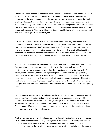Doctors can't be counted on to be entirely ethical, either. The dean of Harvard Medical School, Dr. Robert H. Ebert, and the dean of the Yale Medical School, Dr. Lewis Thomas, acted as paid consultants to the Squibb Corporation at the same time they were trying to persuade the Food and Drug Administration to lift the ban on Mysteclin, one of Squibb's biggest moneymakers. Dr. Ebert said that he "gave the best advice I could. These were honest opinions." But he also declined to specify the amount of the "modest retainer" Squibb Vice-President Norman R. Ritter admitted paying both him and Dr. Thomas. Dr. Ebert later became a paid director of the drug company and admitted to owning stock valued at \$15,000.

In 1972, Dr. Sariruel S. Epstein, then of Case-Western Reserve University, one of the world's authorities on chemical causes of cancer and birth defects, told the Senate Select Committee on Nutrition and Human Needs that "the National Academy of Sciences is riddled with confict of interest." He reported that panels that decide on crucial issues such as safety of food additives frequently are dominated by friends or direct associates of the interests that are supposed to be regulated. "In this country you [204] can buy the data you require to support your case,'he said.

Fraud in scientiffc research is commonplace enough to keep it off the front pages. The Food and Drug Administration has uncovered such niceties as overdosing and underdosing of patients, fabrication of records, and drug dumping when they investigate experimental drug trials. Of course, in these instances, doctors working for drug companies have as their goal producing results that will convince the FDA to approve the dnrg. Sometimes, with competition for grant money getting more and more fierce, doctors simply want to produce results that will keep the funding lines open. Since all the "good ol' boy" researchers are in the same boat, there seems to be a geat tolerance for sloppy experiments, unconfirmable results, and carelessness in interpreting results.

Dr. Ernest Borek, a University of Colorado microbiologist, said that "increasing amounts of faked data or, less flagrantly, data with body English put on them, make their way into scientific journals." Nobel Prize winner Salvadore E. Luria, a biologist at the Massachussetts Institute of Technology, said "I know of at least two cases in which highly respected scientists had to retract findings reported from their laboratories, because they discovered that these findings had been manufactured by one of their collaborators."

Another now classic example of fraud occurred in the Sloane-Kettering Insitute where investigator Dr. William Summerlin admitted [205] painting mice to make them look as though successful skin grafts had been done. A predecessor to Dr. Summerlin was Paul Kammerer, the Austrian geneticist, who early in the twentieth century was accused of injecting india ink into the foot of a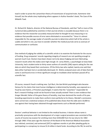toad in order to prove the Lamarchian theory of transmission of acquired traits. Kammerer shot himself, but the whole story implicating others appears in Authur Koestler's book, The Case of the Midwife Toad.

Dr. Richard W. Roberts, director of the National Bureau of Standards, said that "half or more of the numerical data published by scientists in their journal articles is unusable because there is no evidence that the researcher accurately measured what he thought he was measuring or no evidence that possible sources of error were eliminated or accounted for." Since it is almost impossible for the average reader of scientific journals to determine which half of the article is usable and which is not, you have to wonder whether the medical journals serve as avenues of communication or confusion.

One method of judging the validity of a scientific article is to examine the footnote for the source of funding. Drug companies' records regarding integrity of research are not sparkling enough to warrant much trust. Doctors have been shown not to be above fudging and even fabricating. research results when the stakes were high enough. Dr. Leroy Wolins, a psychologist at Iowa State University, had a student write to thirty-seven authors of scientific [206] reports asking for the raw data on which they based their conclusions. Of the thirty-two who replied, twenty-one said their data either had been lost or accidentally destroyed. Dr. Wolins analyzed seven sets of data that did come in and found errors in three significant enough to invalidate what had been passed off as scientific fact.

Of course, research fraud is nothing new. Cyril Burt, the late British psychologist who became famous for his claims that most human intelligence is determined by heredity, was exposed as a fraud by Leon Kamin, a Princeton psychologist. It seems that the "coworkers" responsible for Burt's research findings could not be found to have actually existed! There is even evidence that Gregor Mendel, father of the gene theory of heredity, may have doctored the results of his peabreeding experiments to make them conform more perfectly to his theory. Mendel's conclusions were correct but a statistical analysis of his published data shows that the odds were 10,000 to one against their having been obtained through experiments such as Mendel performed.

Doctors' unethical behavior is not limited to the medical business. A doctor whose name is practically synonymous with the development of a major surgical procedure was convicted of five counts of income tax evasion for omitting more than \$250,000 from his tax returns for 1964 through 1968. A few years ago the chairman of the Board of the American Medical Association was indicted, convicted, and sentenced [207] to eighteen months in jail after pleading guilty to participating in a conspiracy to misuse \$1.8 million in bank funds. According to the FBI, he and his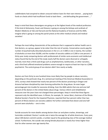codefendants had conspired to obtain unsound indirect loans for their own interest ... paying bank funds on checks which had insufficient funds to back them ... and defrauding the government ...."

Keep in mind that these shenanigans are going on at the highest levels of the medical profession. If this kind of dishonesty, fraud, and thievery is going on among the bishops and cardinals of Modern Medicine at Yale and Harvard and the National Academy of Sciences and the AMA, imagine what is going on among the parish priests at the other medical schools and medical societies!

Perhaps the most telling characteristic of the profession that is supposed to deliver health care is that doctors, as a group, appear to be sicker than the rest of society. Conservative counts peg the number of psychiatrically disturbed physicians in the U.S. at 17,000 or one in twenty, the number of alcoholics at more than 30,000, and the number of narcotics addicts at 3,500 or one percent. A thirty-year study comparing doctors with professionals of similar socio-economic and intellectual status found that by the end of the study nearly half the doctors were divorced or unhappily married, more than a third used drugs such as amphetamines, barbiturates, or other narcotics, and a third had suffered emotional problems severe enough to require at least ten trips to a [208] psychiatrist. The control group of non-doctors didn't fare nearly as badly.

Doctors are from thirty to one hundred times more likely than lay people to abuse narcotics, depending on the particular drug. At a semiannual meeting of the American Medical Association in 1972, surveys cited showed that nearly two percent of the doctors practicing in Oregon and Arizona had been disciplined by state licensing authorities for drug abuse. An even larger percentage got into trouble for excessive drinking. Even the AMA admits that one and one-half percent of the doctors in the United States abuse drugs. Various reform and rehabilitation measures over the years have not changed these percentages. Keep in mind that these figures represent only the identified cases. In lllinois, for example, Dr. James West, chairman of the Illinois Medical Society's Panel for the Impaired Physician, reported that four percent rather than two percent of Illinois doctors are narcotics addicts! He further estimated that eleven-and-one-half percent were alcoholics -- one in nine.

Suicide accounts for more deaths among doctors than car and plane crashes, drownings, and homicides combined. Doctors' suicide rate is twice the average for all white Americans. Every year, about 100 doctors commit suicide, a number equal to the graduating class of the average medical school. Furthermore, the suicide rate among female physicians is nearly four times higher than that for other women over age twenty-five.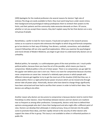[209] Apologists for the medical profession cite several reasons for doctors' high rate of sickness.The drugs are easily available to them; they must work long hours under severe stress; their background and psychological makeup predisposes them to stretech their powers to the limits; and their patients and the community make excessive demands on them. Of course, whether or not you accept these reasons, they don't explain away the fact that doctors are a very sick group of people.

Nonetheless, I prefer to look for more reasons. Fraud and corruption in the research process comes as no surprise to anyone who witnesses the lengths to which drug and formula companies go to lure doctors to their way of thinking. Free dinners, cocktails, conventions, and subsidized research fellowships still are only superficial explanations. When you examine the psychological and moral climate of Modern Medicine, you begin to get closer to understand why doctors are so unhealthy.

Medical politics, for example, is a cutthroatpower game of the most primitive sort. I much prefer political politics, because there you have the art of the possible, which means you have to compromise. Medical politics is the art of sheer power. There is no compromise: you go right for the jugular vein before your own is torn out. There is no room for compromise because churches never compromise on canon law. Instead of a relatively open process in which people with different interests get together to try to get the most out of the situation [210] that they can, in medical politics there is a rigid authoritarian power structure which can be moved only through winner-take-all power plays. Historically, doctors who have dared to change things significantly have been ostracized and have had to sacrifice their careers in order to hold to their ideas. Few doctors are willing to do either.

Another reason why doctors are less prone to compromise is because doctors tend to restrict their friendships to other doctors. Close friendships between doctors and non-doctors are nowhere near as frequent as among other professions. Consequently, doctors rarily have to defend their opinions among people who don't share their background and who might offer a different point of view. Doctors can develop their philosoply in relative privacy, foray at intervals into the public scene to promote these ideas, and then rapidly retreat to the security of other doctors who support the views of the in-group. This luxury is not available to others in influential positions in public life.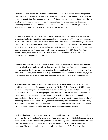Of course, doctors do see their patients. But they don't see them as people. The doctor-patient relationship is more like that between the master and the slave, since the doctor depends on the complete submission of the patient. In this kind of climate, ideas can hardly be interchanged with any hope of the doctor's being affected. Professional detachment boils down to the doctor rendering the entire relationship devoid of human influences or values. Doctors [211] rarely rub elbows with non-doctors in any other posture but the professional.

Furthermore, since the doctor's ambitions project him into the upper classes, that's where his sympathies lie. Doctors identify with the upper class and beyond, even. They view themselves as the true elite class in society. The doctor's lifestyle and professional behavior encourage autocratic thinking, so his conservative politics and economics are predictable. Most doctors are white, male, and rich -- hardly in a position to relate effectively with the poor, the non-white, and females. Even doctors who come from these groups rarely return to serve and "be with" them. They, too, become white, male, and rich for all practical purposes and treat their fellows with all the paternalistic contempt other doctors do.

When asked where doctors learn these bad habits, I used to reply that doctors learned them in medical school. Now I realize they learn them much earlier than that. By the time they get to premedical training, they've picked up the cheating, the competition, the vying for position -- all the tricks they know they need if they want to get into medical school. After all, our university system is modeled after the medical schools, and our high schools are modeled after our universities.

The admissions tests and policies of medical schools virtually guarantee that the students who get in will make poor doctors. The quantitative tests, the Medical College Admission [212] Test, and the reliance on grade point averages funnel through a certain type of personality who is unable and unwilling to communicate with people. Those who are chosen are the ones most subject to the authoritarian influences of the priests of Modern Medicine. They have the compulsion to succeed, but not the will or the integrity to rebel. The hierarchy in control wants students who will go through school passively and ask only those questions the professors can answer comfortably. That usually means they want only one question at a time. One of the things I advise my students to do in order to survive medical school is to ask one question but never ask two.

Medical school does its best to turn smart students stupid, honest students corrupt and healthy students sick. It isn't very hard to turn a smart student into a stupid one. First of all, the admissions people make sure the professors will get weak-willed, authority-abiding students to work on. Then they give them a curriculum that is absolutely meaningless as far as healing or health are concerned. The best medical educators themselves say that the half-life of medical education is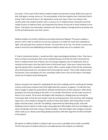four years. In four years half of what a medical student has learned is wrong. Within four years of that, half again is wrong, and so on. The only problem is that the students aren't told which half is wrong. They're forced to learn it all. Supervision can be very close. There is no school in the country where the student-teacher ratio is as low as it is in medical school. During the last [213] couple of years of medical school, you frequently find classes of only two or three students to one doctor. That doctor has tremendous influence over those students, through both his proximity and his life-and-death power over their careers.

Medical students are further softened up by being maliciously fatigued. The way to weaken a person's will in order to mold him to suit your purposes is to make him work hard, especially at night, and never give him a chance to recover. You teach the rat to race. The result is a person too weak to resist the most debilitating instrument medical school uses on its students: fear.

If I had to characterize doctors, I would say their major psychological attribute is fear. They have a drive to achieve security-plus that's never satisfied because of all the fear that's drummed into them in medical school: fear of failure, fear of missing a diagnosis, fear of malpractice, fear of remarks by their peers, fear that they'll have to find honest work. There was a movie some time ago that opened with a marathon dance contest. After a certain length of time all the contestants were eliminated except one. Everybody had to fail except the winner. That's what medical school has become. Since everybody can't win, everybody suffers from a loss of self esteem. Everybody comes out of medical school feeling bad.

Doctors are given one reward for swallowing the fear pill so willingly and for sacrificing the healing instincts and human emotions that [214] might help their practice: arrogance. To hide their fear, they're taught to adopt the authoritarian attitude and demeanor of their professors. With all this pushing at one end and pulling at the other, it's no wonder that doctors are the major sources of illness in our society. The process that begins with cheating on a biology exam by moving the microscope slide so that the next student views the wrong specimen, that continues with dropping sugar into a urine sample to change the results for those who follow, with hiring others to write papers and take exams, and with "dry labbing" experiments by fabricating results, ends with falsifying research reports in order to get a drug approved. What begins with fear and fatigue over exams and grades ends with a drug or alcohol problem. And what begins with arrogance towards others ends up as a doctor prescribing deadly procedures with little regard for the life and health of the patient.

My advice to medical students is always to get out as soon as possible and as easily as possible. The first two years of medical school are survivable because the students are relatively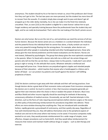anonymous. The student should try his or her best to remain so, since if the professors don't know him they can't get to him. The last two years are more personal, but the student has more time off to recover from the assaults. If a student simply does enough work to pass and doesn't get all wrapped up in the roller derby mentality, he or she can make it to the finish line relatively unscathed. Then, as soon [215] as the student is eligible for a state license I advise him to quit. Forget residency and specialty training because there the professionals have the student day and night, and he can really be brainwashed. That's when the real making of the Devil's priests occurs.

Doctors are only human. But so are the rest of us, and sometimes we need the services of all-toohuman doctors. Because the doctor-priest acts as a mediator or a conduit between the individual and the powerful forces the individual feels he cannot face alone, a faulty conduit can result in some very powerful energy flowing into the wrong places. For example, when doctors are compared with other people in evaluating retarded and other handicapped persons, those who always give the most dismal predictions and the lowest evaluations are the doctors. Nurses are next lowest, followed by psychologists. The group that always gives the most optimistic evaluation is the parents. When I'm faced with a doctor who tells me a child can't do certain things and parents who tell me that the can do them, I always listen to the parents. I really don't care which group is right or wrong. It's the attitude that counts. Whatever attitude is reinforced and encouraged will prove true. I know doctors are prejudiced against cripples and retarded people because of their education -- which teaches that anyone who is handicapped is a failure and is better off dead -- so I can protect my patients and myself against the doctors' self-fulfilling prophecies of doom.

[216] Yet doctors continue to get away with their attitude and their self-serving practices. Even though doctors derive a great deal of their economic status and power from insurance companies, the doctors are in control. So much in control, in fact, that insurance companies generally act against their own interests when the choice is that or weaken the power of doctors. Blue Cross and Blue Shield and other insurers logically should be searching for methods of decreasing unnecessary utilization of medical services. Occasionally, we see half- hearted attempts in this direction, such as the flurry of rules requiring second opinions before elective surgery or the everyso-often policy of discontinuing reimbursement for procedures long fallen into oblivion. These efforts are more window dressing than anything else. They are introduced with considerable fanfare, rapidly generate a groundswell of controversy, and then quietly slip away. Regardless of how well-intentioned they are, they still address themselves only to the peripheral aspects of medical care and not to the areas where real money is to be saved. If insurance companies really wanted to cut costs, they would promote reimbursement for a wide range of simpler, more effective, cheaper procedures such as home birth. And they would allow reimbursement for measures that restore and maintain health without drugs or surgery -- such as diet therapy and exercise.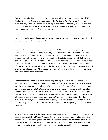One of the most fascinating statistics I've ever run across is one that was reported by the [217] Medical Economics Company, the publishers of the Physician's Desk Reference. Among other questions, they asked a representative sampling of more than 1,700 people, "If you learned that your doctor had lost a malpractice suit, would it alter your opinion of him?" What amazes me is that seventy-seven percent of the people said No!

Now I don't really know if that means that people expect their doctors to commit malpractice or if they don't care whether he does or not!

I do know that the insurance companies are bamboozled by the doctors into spending more money than they have to. I also know that only about seventy doctors lose their licenses every year dispite all the obvious corruption, sickness, and dangerous malpractice. Here we come to one of the truly wondrous mysteries of Modern Medicine. Despite (or because of?) all that fear and competition among medical students, doctors are extremely reluctant to report incompetent work or behavior on the part of their colleagues. If a hospital, for example, discovers malpractice by one of its doctors, the most that will habpen is the doctor will be asked to resign. He won't be reported to state medical authorities. When he seeks employment elsewhere, the hospital will most likely give him a shining recommendation.

When the famous Marcus twin-brother team of gynecologists were found dead of narcotics withdrawal during the summer of 1975, then news that the doctors were addicts came as a [218] surprise to everyone but their colleagues. When the brothers' "problems" were noticed the year before by the hospital staff, the twins were asked to take a leave of absence to seek medical care. When they returned to New York Hospital-Cornell Medical Center, they were watched for signs that they had improved. They had not. Were they then whisked off the staff and kept out of touch with patients before anyone was seriously harmed? Were they reported to state licensing authorities? No. They were told in May that as of July l, they would not be allowed to work in the hospital. They were found to have died within days after they lost the privilege to admit patients to the hospital.

Another favorite example of doctors allowing their colleagues to commit mayhem on unsuspecting patients occurred in New Mexico. A surgeon tied off the wrong duct in a gall bladder operation and the patient dies. Although the error was discovered at autopsy, the doctor was not disciplined. Apparently. he wasn't taught the right way to do the operation, because a few months later he performed it again, wrong -- and another patient died. Again, no punishment and no surgery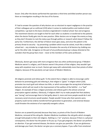lesson. Only after the doctor performed the operation a third time and killed another person was there an investigation resulting in the loss of his license.

If I had to answer the question of why doctors are so reluctant to report negligence in the practice of their colleagues yet so cutthroat [219] when it comes to medical politics and medical school competition, I go back to the basic emotions engendered in medical school: fear and arrogance. The resentment doctors are taught to feel for each other as students is transferred to the patients when the doctor finally gets into his own practice. Other doctors are no longer the enemy as long as they don't threaten to rock the status quo through politics or research which doesn't follow the party line. Furthermore, the old fear of failure never goes away, and since the patient is the primary threat to security -- by presenting a problem which must be solved, much like a medical school test -- any mistake by a single doctor threatens the security of all doctors by chalking one up for the other side. Arrogance on the part of any professional group is always directed at the outsiders that the group fears most -- never at the members of the same profession.

Obviously, doctors get away with more arrogance than any other professional group. If Modern Medicine weren't a religion, and if doctors weren't the priests of that religion, they wouldn't get away with anywhere near so much. Doctors get away with substantially more than priests of other religions, because of the peculiarly corrupt nature of Modern Medicine.

All religions promote and relieve guilt. To the extent that a religion is able to encourage useful behavior bv promoting guilt and relieving it, that religion is "good." A religion which [220] promotes too much guilt and relieves too little, or which encourages the wrong kind of behavior - behavior which will not result in the improvement of the welfare of the faithful -- is a "bad" religion. An example of how a religion promotes and relieves guilt is the almost universal proscription against adultery. Obviously, if religions didn't try to make people feel that adultery was "wrong" and encourage them to feel guilty about it, more and more people would do it and necessary social structures would weaken. People wouldn't know who their parents were, property could not be orderly transferred from generation to generation, and venereal disease could threaten the existence of an especially energetic culture.

Doctors are so powerful precisely because they have, as priests of the Church of Modern Medicine, removed all the old guilts. Modern Medicine invalidates the old guilts which strangely enough held people to their old religions. Nothing is a "sin" anymore, because if there is a physical consequence, the doctor has the power to fix you up. If you get pregnant, the doctor can perform an abortion. If you get venereal disease, the doctor can give you penicillin. If you are gluttonous and damage your heart, the doctor can give you a coronary bypass. If you suffer from emotional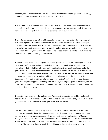problems, the doctor has Valium, Librium, and other narcotics to help you get by without caring, or feeling. If those don't work, there are plenty of psychiatrists.

There is one "sin" that Modern Medicine [221] will make you feel guilty about: not going to the doctor. That's OK, because the doctor is the priest, who takes away every other guilt. How much harm can there be in guilt that drives you to the doctor every time you feel sick?

The doctor-priest gets away with a lot because he can claim to be up against the very Forces of Evil. When a priest is in a touchy situation and the probability for success is dismal, he escapes blame by saying that he's up against the Devil. The doctor-priest does the same thing. When the prognosis is not good, he retreats into his mortality and admits that he's only a man up against the Devil. Then, if he wins, he's a hero. If he loses, he's a defeated hero -- but still a hero. Never is he seen in his true light -- as the agent of the Devil.

The doctor never loses, though he plays both sides against the middle and takes bigger risks than necessary. That's because he has succeeded in identifying his rituals as sacred and potent regardless of their real efficacy. He uses his holiest implements to raise the ante and make the game more ominous than it really needs to be. If a mother comes into the hospital with her baby in the breech position and the fetal monitor says the baby is in distress, the doctor loses no time in declaring it a life and death situation -- which, indeed, it becomes once he starts to perform a Caesarean-section delivery. Biologically, the doctor knows the C-section is dangerous. But the game is no longer being played by biological rules. It's a [222] religious game, a ceremony, and the priest calls the shots. If mother and child survive, the priest is a hero. If they die, well.. it was a lifeand-death situation anyway.

The doctor never loses: only the patients lose. The adage that a doctor buries his mistakes still applies. We used to refer mistakenly to doctors as airplane pilots. If the plane goes down, the pilot goes down with it. But the doctor never goes down with the patient.

Doctors also escape blame by claiming that their failures are caused by their successes. If you point out, for example, that a disproportionate number of premature babies seem to be turning up blind in premie nurseries, the doctor will say that it's the price you have to pay. "Gee, we managed to save these little 1- and 2-pound babies. Of course they all end up blind and deformed. They'd be dead if we didn't save them." Doctors use the same excuse with the problem of diabetic blindness. The reason we have so much diabetic blindness, they say, is because we have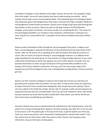succeeded in keeping so many diabetics alive longer. Doctors wiil use this "we managed to keep them alive longer" excuse for every disease they have trouble treating successfully -- which includes all the major causes of nonaccidental death. They absolutely ignore the biological death. They absolutely ignore the biological facts that creep in and point the finger at Modern Medicine's mismanagement of both health and disease. Doctors even manage to get away with blaming their own disease on their successes. When you point to the large numbers of [223] dishonest, unhappy, and just plain sick doctors, the excuse usually runs something like this: "The reason for the psychological disability is our tendency to be compulsive, perfectionistic, easily given to a sense of guilt if our clinical efforts fail." A president of the American Medical Associaton offered that one.

Doctors protect themselves further through the sacred language of the priest. A religion must have a sacred language to separate the discourse of the priesthood from the lowly banter of the masses. After all, the priests are on speaking terms with the powers that keep the universe on course. We can't have just anyone listening in. Sacred language of doctors is no different from jargon developed by any elitist group. Its main function is to keep outsiders ignorant. If you could understand everything your doctor was saying to you and to other doctors, his power over you would be diminished. So when you get sick because of the generally filthy conditions in the hospital, he'll call your lnfection nosocomial. That way, you'll not only not get angry at the hospital, but you'll feel privileged to have such a distinguished sounding disease. And too scared to get mad.

Doctors use their semantic privileges to make you feel stupid and convince you that they are genuinely privy to powers that you'd better not mess with. As long as their rituals are mysterious, as long as they don't have to justify them biologically, they can get away with anything. They're not even subject to the [224] laws of logic. Doctors will, for example, justify coronary bypasses by saying that everyone who has one feels better. But if you ask to be treated for cancer with laetrile because everyone you know who has been treated with it feels better, your doctor will tell you that it hasn't been scientifically proved effective.

Semantic isolation also serves to disenfranchise the individual from the healing process. Since the patient has no hope of knowing what's going on, let alone assisting, why allow him or her any part in the process at all? The patient gets in the way of the ritual, so get the patient out of the way. That's one reason why doctors aren't interested in helping patients maintain their health. To do that, they'd have to inform them rather than work on them. Doctors aren't going to share information, because that means sharing power.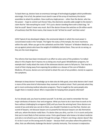To back them up, doctors have an enormous tonnage of technological gadgets which proliferates alarmingly. First of all, the patient must stand in awe of the array of machinery the doctor assembles to attack his problem. How could any single person -- other than the doctor, who has the power -- hope to control such forces? Also, the electronic wizardry adds weight to the doctor's claim that he "did everything he could." If it's just a doctor standing there with a black bag, "all that he could" doesn't mean very much. But if the doctor throws the switches on \$4 million worth of machinery that fills three rooms, that means he did "all that he could" and then some!

[225] Typical of any developed religion, the ceremonial objects in which the most power is concentrated reside in the Temple. The higher the status of the temple, the more machinery within the walls. When you get to the cathedrals and the little "Vaticans" of Modern Medicine, you are up against priests who have the weight of infallibility behind them. They can do no wrong, so they are the most dangerous.

The reforms that have been introduced in an effort to solve some of the problems I've talked about in this chapter don't impress me as doing very much good. Rehabilitation programs, for example don't really attack the roots of the sicknesses doctors seem to fall prey to. That may be a result of their shying away from exposing the problem as a disease of the core of Modern Medicine. Of course, doctors are not trained to attack the core of any problem, merely to suppress the symptoms.

Attempts to keep doctors' knowledge up-to-date also do little good, since what doctors don't need is more of the same kind of information they received in medical school. That's precisely what they get in most continuing medical education programs. They're taught by the same people who taught them in medical school. Who's responsible for keeping them properly informed?

As I've already said, you have to protect yourself. To do that, you need to remember the two major attributes of doctors: fear and arrogance. What you have to do is learn how to work on his fears without challenging his arrogance [226] until you have the winning hand. Since doctors are scared of you and what you can do to them, you shouldn't hesitate to use that fear. Doctors are scared of lawyers, not because lawyers are so powerful but because lawyers can ally themselves with you, whom the doctor really fears. If a doctor does you dirty, sue him. It is in courts and juries that you're most likely to find common sense. Find a good lawyer who knows a lot about medicine and who is not afraid to put a doctor through the wringer. If there's one thing a doctor doesn't like it's to be in court on the wrong end of a lawyer -- because that's one place where the patient has allies, that can effectively challenge the doctor's priestly immunity. The increase in malpractice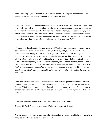suits is encouraging, since it means more and more people are being radicalized to the point where they challenge the doctor's power to determine the rules.

If your doctor gives you trouble but not enough to take him to court, you need to be careful about how much you challenge him -- not because of what he can or cannot do to you, but because how far you go will determine your effectiveness. If a doctor threatens you and becomes angry, you should stand up to him. Don't back down. Threaten him back. When a person really threatens a doctor, the doctor almost always backs down if the person shows that he means it. Doctors back down all the time because they figure, "What do I need this one kook for?"

It's important, though, not to threaten a doctor [227] unless you are prepared to carry through. In other words, don't reveal your rebellion until you have to, until you have the emotional commitment and the physical capability to carry on a successful campaign. Don't get into an argument with a doctor with the hope of changing his mind on anything. Never say to the doctor who's treating you for cancer with traditional chemotherapy, -"Doc, what do you think about laetrile? You won't get anywhere and you won't get any laetril, either. Don't say to the doctor who recommends a security bottle for your baby, "But I'm breastfeeding and I don't want to do that." Don't bring your doctor columns from the newspaper expecting him to change his mind or try something new. Don't challenge him until you're ready with an alternative action. Do your own homework.

What does a Catholic do when he decides that his priests are no good? Sometimes he directly challenges them, but very seldom. He just leaves the Church. And that's my answer. Leave the Cburch of Modern Medicine. I see a lot of people doing that today. I see a lot of people going to chiropractors, for example, who wouldn't have been caught dead in a chiropractor's office a few years ago.

I see more and more people patronizing the heretics of Modern Medicine.

Chapter 8 If This is Preventive Medicine, I'll Take My Chances with Disease

A fellow doctor once wrote and asked me how the medical profession "might play an inspirational and practical role in the quest for world peace."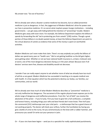My answer was: "Go out of business."

We've already seen what a disaster curative medicine has become, but so-called preventive medicine is just as dangerous. In fact, the juggernaut of Modern Medicine's drive for power over our lives is preventive medicine. It's no secret what mayhem power-hungry institutions -- including governments -- can get away with hiding behind the intention of "preventing" trouble. Modern Medicine gets away with even more. For example, the Defense Department explains the billions it spends by forwarding the old "we're protecting you from camels" [230] routine. Though a great portion of those billions is no doubt wasted money, at least the Defense Department can point to the virtual absence of camels as evidence that some of the money is spent on worthwhile activities.

Modern Medicine can't even make that claim. There's no way anybody can justify the billions of dollars we spend every year on "health care." We're not getting healthier as the bill gets higher, were getting sicker. Whether or not we have national health insurance is, at best, irrelevant and, at worst, one of the most dangerous decisions facing us in the years ahead. Because even if all doctors' services were free, disease and disability would not decrease.

I wonder if we can really expect anyone to ask whether more of what we already have too much of will do us any good. Modern Medicine has succeeded in teaching us to equate medical care with health. It is that equation which has the potential to destroy our bodys, our families, our communities, and our world.

We've already seen how much of what Modern Medicine describes as "preventive" medicine is not only ineffective but dangerous. The sacrament of the regular physical exam exposes you to the whole range of dangerous and ineffective procedures. From this "act of faith" you receive the absolution of the priest -- if you're lucky. First you have to give him a full confession, a complete and honest history, including things your wife and best friends don't even know. Then he'll pass the ceremonial [231] stethoscope over your vital parts -- a stethoscope that has a good chance of not working properly. The doctor will check your orifices, further the humiliation by having you give a bottle of urine to the nurse, hit you ceremoniously on the knee with a rubber hammer, and pronounce you saved! Or write out your penance in Latin.

Or -- if your sins have been legion -- send you to a specialist for really sophisticated punishments.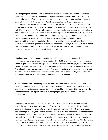Screening progams could be called a Comedy of Errors if the results weren't so often less than funny. The tuberculin test, for example was originally very valuable as a method of identifying people who required further investigation for tuberculosis. But the current very low incidence of tuberculosis means that the test has instead become used as a method of "preventive management." This means that in order to prevent the possible one case out of 10,000 or more, potent and dangerous drugs such as INH are given for months and months to people who are socalled "primary reactors." There is also considerable psychological damage that can result when a person becomes a social pariah because friends and neighbors find out that he or she is a positive reactor. Doctors now have to caution mothers against letting neighbors and even relatives know that a child has had a positive tuberculin test, since the test doesn't usually indicate communicability in a child. If you follow the sounds of medical-governmental [232] drum-beating in favor of a "preventive" procedure, you'll more often than not find yourself in the midst of one of the Church's least safe and effective sacraments. For instance, with some immunizations the danger in taking the shot may outweigh that of not taking it!

Diphtheria, once an important cause of disease and death, has all but disappeared. Yet immunizations continue. Even when a rare outbreak of diphtheria does occur, the immunization can be of questionable value. During a 1969 outbreak of diphtheria in Chicago, four of the sixteen victims had been "fully immunized against the disease," according to the Chicago Board of Health. Five others had received one or more doses of the vaccine, and two of these people had tested at full immunity. In another report of diphtheria cases, three of which were fatal, one person who died and fourteen out of twenty-three carriers had been fully immunized.

The effectiveness of the whooping cough vaccine is hotly debated all over the world. Only about half of its recipients benefit, and the possibility of high fevers, convulsions, and brain damage is too high to ignore. So great are the dangers that many public health authorities now prohibit the use of the vaccine after age six. Meanwhile, whooping cough itself has almost completely disappeared.

Whether or not the mumps vaccine is advisable is also in doubt. While the vaccine definitely lowers the incidence of mumps in those [233] who receive it, it does so at the risk of exposing them to the dangers of mumps later on after the immunity has worn off. Furthemore, diseases such as mumps, measles, and German measles -- for which vaccines have been developed over the past few years -- dont't have the dread implications of smallpox, tetanus, and diphtheria. Contrary to popular belief, measles cannot cause blindness. Photophobia, which is merely a sensitivity to light, can be treated as parents years ago did: by pulling down the windowshades. Measles vaccine is supposed to prevent measles encephalitis, which is said to occur in one out of 1,000 cases. Any doctor who has had decades of experience with measles knows that while the incidence may be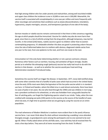that high among children who live under poverty and malnutrition, among well nourished middle and upper class children the incidence is one in 10,000 or even one in 100,000. Meanwhile, the vaccine itself is associated with encephalopathy in one case per million and more frequently with other neurologic and sometimes fatal conditions such as ataxia (discoordination), retardation, hyperactiviy, aseptic meningitis, seizures, and hemiparesis (paralysis of one side of the body).

German measles or rubella vaccine remains controversial in that there is little consensus regarding the age at which people should be immunized. Vaccine for rubella may also do more harm than good, since there is a risk of arthritis arising from the drug which, although temporary, may last for months. In the United [234] States, rubella vaccine is given to children rather than to women contemplating pregnancy. It's debatable whether this does any good in protecting unborn fetuses since the rate of deformed babies born to mothers with obvious, diagnosed rubella varies from one year to the next, from one epidemic to the next, and from one study to the next.

Immunization isn't the only factor determining whether or not a person contracts a disease. Numerous other factors such as nutrition, housing, and sanitation all figure strongly. Doubts persist as to whether the whooping cough (pettussis) vaccine has really had much to do with the decline in that disease -- as well as to whether the vaccine would pass Food and Drug Administration standards if introduced today.

Sometimes the vaccine itself can trigger the disease. In September, 1977, Jonas Salk testified along with some other scientists that of a handful of polio cases which had occurred in the United States since the early 1970s most were likely the byproduct of the live polio vaccine which is in standard use here. In Finland and Sweden, where the killed virus is used almost exclusively, there have been no cases of polio in ten years. No one who lived through the 194Os and saw children in iron lungs, saw a president confined to his wheelchair, or who was forbidden from using public beaches for fear of catching polio, can forget the frightening spectre raised in our minds. Today, when the man credited with stamping out polio [235] points to the vaccine as the source of the handful of cases which do exist, it's high time to question what we are gaining by using the vaccine on an entire population.

The mad vehemence of Modern Medicine is nowhere more evident than in the yearly infuenza vaccine farce. I can never think about flu shots without remembering a wedding I once attended. Strangely enough, no grandparents were among the participants and no one seemed to be over age 60. When I finally asked where all the old folks were, I was told they had all received their flu shots a few days before. They were all at home recovering from the shots' ill effects!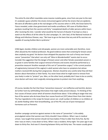The entire flu shot effort resembles some massive roulette game, since from one year to the next it's anybody's guess whether the strains immunized against will be the strains that are epidemic. We were all afforded a peek at the real dangers of flu vaccines when in 1976, the Great Swine Flu Fiasco revealed, under close government and media surveillance, 565 cases of Guillain-Barre paralysis resulting from the vaccine and thirty "unexplained deaths of older persons within hours after receiving the shot. I wonder what would be the harvest of disaster if we kept as close a watch on the effects of all the other flu shot campaigns. Dr. John Seal, of the National Institute of Allergy and Infectious Disease, says, "We have to go on the basis that any and all flu vaccines are capable of causing Guillain-Barre syndrome."

[236] Again, besides children and old people, women are more vulnerable and, therefore, more often abused by the medical profession. No good evidence exists that screening for breast cancer does anybody any good. Yet doctors have whipped the populace into such a frenzy over breast cancer "prevention" that what I can only call "Alice-in-Wonderlandish" events start to occur. Consider the suggestion that the danger of breast cancer and other female-associated cancers is so great in some families that surgical removal of breasts and ovaries should be performed as a preventive measure! Another example of this sort of "preventive surgery" is the current practice of vaginectomy (removal of the vagina) in adult women who have no symptoms but whose mothers received DES during their pregnancies. Women should be very careful what they tell their doctors about themselves or their family. You never know what he might want to remove from your body in order to "protect" you. Men, on the other hand, probably don't have to be so careful, since doctors will never start surgically removing penises to protect men from anything.

Of course, besides the fact that these "preventive measures" are ineffective and harmful, doctors do further harm by withholding information that might really prevent disease. I'm thinking of the four causes of breast cancer which all women should know about. I'd be willing to wager that very few of the women who do know these four causes found out [237] about them from their doctor. The four ingredients in the recipe for breast cancer are: small number of children or no children at all, bottle-feeding rather than breastfeeding, use of the Pill, and use of post-menopausal hormones such as Premarin.

Another campaign carried on against women in the name of "prevention" is the widely promulgated notion that women over thirty shouldn't have children. When I was in medical school, I was taught that women should not have babies if they're older than forty-five. By the time I was an intern, it was down to forty. When I was a resident, thirty-eight. Ten years ago it was down to thirty-five. And now it's hovering between thirty and thirty-two. The reason usually given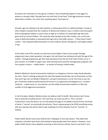by doctors for restrictions on the age of a mother is that something happens to the eggs of a woman as she gets older, they get worn out and tired. So we have "tired egg syndrome causing deformities in babies. You never hear anything about "tired sperms."

Actually, age has nothing to do with whether a mother gives birth to a deformed baby. A study at Johns Hopkins revealed that the incidence of dental and medical x-rays in mothers who have given birth to Mongoloid children is seven times as high as in mothers of comparable age who have given birth to normal children. This study has been backed up by other studies, too, so the real cause of deformed babies is associated with age only in that older women -- if they haven't been careful -- have exposed [238] themselves to more medical, dental, therapeutic, and largely useless x-rays.

At the other end of life, women are told not to have babies if they're too young! Teenage pregnancies have a bad reputation, but again, the real threat has nothing to do with the age of the mother. Teenage pregnancies get their bad reputation from the fact that most of them occur in poor women. If a middle or upper class, well-nourished and cared for teenager gets pregnant, she has as good a chance -- maybe better -- as anyone of having a healthy baby.

Modern Medicine's brand of preventive medicine is so dangerous that we really should abandon the term. There's nothing wrong with the idea that people should take care of themselves so that they won't get sick, but Modern Medicine's concept of prevention is as far from that as you can get. Preventive medicine performed by the Church is as oppressive and dangerous as "curative" medicine -- maybe more so, since doctors use the shield of preventive medicine to hide any number of truly aggressive procedures.

In the first place, Modern Medicine does not address itself to health. Most doctors don't know how to describe a healthy person. The most they can come up with is, "this is normal." Furthermore, since the doctor can run the patient through an incredible arsenal of tests, the limits of what is "normal" are practically all-exclusive. There's always going to be [239] something wrong with you, because the doctor doesn't get anything out of the situation if you're "normal," or healthy.

Public health doctors were once held by their colleagues in very low esteem. They dealt with sanitation and other basic items that tended to keep people away from doctors. However, since public health doctors have adopted screening as their primary activity, they're now held in very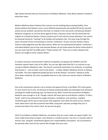high esteem because they are the procurers of Modern Medicine. They deliver patients instead of keep them away.

Modern Medicine doesn't believe that a person can do anything about staying healthy, since doctors believe that disease is just a curse inflicted anonymously and warded off not by concrete actions but by symbolic sacraments that bear no relation to the real world. And because Modern Medicine recognizes no slns but those against its laws, everyone comes into the world with the original sin of potential disease. Doctors assume you're sick until you prove otherwise. You cannot be cleansed merely by "claiming" to be healthy and symptom-free. You have to go through the exam, the proof of your immunizations, and the "confession" of your and your family's history. Doctors make judgments just like other priests. When you are questioned during the "confession," and asked whether you've ever had venereal disease, do you know what the doctor writes down if you say never had VD? He [240] writes: "Patient denies VD." There are no other diseases that doctors are taught to write "patient denies."

If a doctor practices real preventive medicine his patients are going to be healthier and will therefore require fewer visits to his office. You can see right away that this is as contrary as you can get to Modern Medicine's idea. The Church is primarily interested in its authority, so anything that lessens it -- such as fewer visits to the doctor -- is taboo. Modern Medicine thrives on disease, not health. The more frightened people become of all the disease "out there" waiting to strike them down randomly, the more susceptible they are to the come-ons and put-downs of Modern Medicine.

One of the mechanisms doctors use to enhance the general frenzy is the Blame The Victim game. It's your foult if you're sick, not because of disease-producing habits you developed and refused to exchange for health-producing ones, but because you didn't receive the sacraments of Modern Medicine soon enough or at all. Though a doctor will never give up and declare a patient "in God s hands" until he has exhausted his supply of potions, mutilations, and sacriftces, a patient sometimes goes all the way to God sooner than expected. Even when the worst occurs, doctors never admit that it was the sacrament that killed. Using their semantic privilege they turn it around and make it the victim's fault. He was too far gone.

[241] If you believe in Modern Medicine, you believe that you never really can expect health. You never really know what to expect, since disease is a random process. You live in a neurotic state of tension, fear, and guilt, anesthetized against your responsibilities and powers. You are primed to be passively taken over by the nearest will stronger than your own.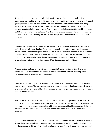The fact that patients often don't take their medicine drives doctors up the wall. Patient compliance is a very big research field, because Modern Medicine wants to improve its methods of getting patients to do what it tells them. The ideal would be a constant electronic monitoring system that would allow the doctor to keep tabs on the "compliance" of every patient, with perhaps an optional electronic buzzer or "cattle" prod to remind the patient to take his medicine. Until this kind of enforcement of doctor's orders becomes socially acceptable, Modern Medicine has to satisfy itself with keeping the flock in line through more conventional, indeed medieval, methods.

When enough people are radicalized by too good a look at a religion, that religion goes on the defensive and institutes a theology. To prevent heretics from unsettling a comfortable status quo, church fathers freeze the religion's beliefs and practices and invent or exaggerate the importance of already existing mytholggy. By harking back to previous successes, the doctor-priest glorifies contemporary practices by giving them the aura of divine revelation. [242] Then, to protect the priest's interpretation of the divine, Modern Medicine declares itself infallible.

Argue with that and you're a heretic. Anything outside the narrow sight of Church Law, any treatment not part of standard procedure, is termed unorthodox, thereby banishing it to a netherworld of suspicion [see footnote below].

I've already discussed how Modern Medicine neutralizes effective preventive action by ignoring true causes of disease. The same mechanism by which we are taught that heart disease is a matter of chance rather than diet and lifestyle is also used to divert our gaze from other causes of disease, namely, political causes.

Most of the diseases which are killing us nowadays are the result of "pollution" of our physical, political, economic, community, family, and individual psychologcal environments. True preventive medicine cannot ignore these issues when addressing a problem of health, yet doctors declare the problems strictly medical, thus solvable through the sacraments of the Church of Modern Medicine.

[243] One of my favorite examples of this process is lead poisoning. Doctors are taught in medical school that the cause of lead poisoning is pica. Pica is defined as any abnormal appetite for nonfood substances. In this case, the offending substance is lead. Where do the children get the lead?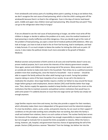From windowsills and various parts of a building where paint is peeling. As long as we believe that, we don't recognize the root cause of lead poisoning, which is that the child is eating paint off the windowsills because there's no food in the refrigerator. Even in the days of interior lead-based paint, middle and upper class children never got lead poisoning. Why should they eat paint? They can go to the refrigerator when they're hungry!

If we are allowed to see the real cause af lead poisoning as hungar, we either must write off the children in danger or decide to address the problem at its roots, since the medical treatment of lead poisoning is mostly ineffective and often dangerous. Once you decide to get at the roots of the problem of lead poisoning, you open a closet full of medical-political [244] skeletons. After you look at hunger, you have to look at lead in the air from fuel-burning, lead in toothpaste, and lead in baby formula. It's so much simpler to blame the mother for letting the child suck on paint. Of course, it also makes the political climate much more amenable to the growth of Modern Medicine.

Medical sanction and promotion of birth control at all costs and small families doesn't serve any proven medical purpose, but it sure serves the interests of the industry-government complex. Once again, women and children are on the wrong end of the process. Many women must work in an outside job merely to make ends meet in the household. That strikes me as a political-economic problem more than anything else, since the head of a household -- man or woman -- should be able to support the family without the other adult having to go to work. Facing that problem requires taking on some of the basic inequities of our society. So we call in the doctors to medicalize the situation. Since large families require a mother (or father) to stay around the house longer before going to seek employment, doctors declare [245] small families better than large ones. Then, doctors supply the apparatus needed to keep families small and put less strain on the institutions that like to maintain economic and political control, institutions that would have to yield some power if it suddenly became an issue that one wage-earner per family was simply not enough anymore.

Large families require more time and money, but they also provide a support for their members, which ultimately makes them more independent of the government and the industrial employer. If a man has brothers, sisters, aunts, uncles, and parents close-by, he can count on their support if conditions on the job make working more unhealthy than not working. But when the family is small and isolated from relatives, there is no such cushion at home. The nuclear family best serves the interests of the employer, since the worker has enough responsibility to require employment, but not enough to motivate him to exceed the limits acceptable to industry, When the home is strong, however, job, hospital, and government have less chance of appropriating the will of the people. Doctors [246] promise a woman "liberation" from her biology, but deliver her into the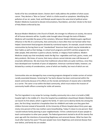hands of far less considerate slavers. Doctors don't really address the problem of what causes cancer. They declare a "War on Cancer" which is a futile assault on symptoms. Identifying the pollution of our air, water, food, and lifestyle would require the same kind of political action Modern Medicine mustered to elevate immunizations, fluoridation, and silver nitrate to the level of Holy Waters enforced by law.

Because Modern Medicine is the Church of Death, the stronger its influence on society, the worse off all human elements will be. A public order brought about through the tools of Modern Medicine will resemble the peace of the cemetery. Wherever Modern Medicine gains significant influence in the life of a community, that community is more often than not harmed rather than helped. Government food programs dictated by nutritional experts, for example, assault minority communities by forcing them to eat "standardized" American food, which may be intolerable to their habits as well as their biology. In school lunch programs and [247] nutrition programs for older people, little attention is paid to cultural, familial, or religious food traditions. Modern Medicine simply says that everybody needs the Big Four: vegetables and fruits, grains, meats, and dairy products. We know, of course, that many cultures cannot tolerate cows milk because of enzymatic deficiencies. We also know that traditional cultural diets are quite nutritious, since they have developed over hundreds of years of adaptation. American nutritional habits, however, are dictated by a variety of considerations, some of which are healthy, but most of which are not.

Communities also are damaged by mass screening programs designed to isolate carriers of certain racially-associated diseases. Screening for Tay-Sachs disease has been controversial within the Jewish community because of its effects on the morale and behavior of anyone who is identified as a carrier. The same is true within the black community, which must endure the invasion of community health officers screening for sickle cell anemia.

The first ingredient in my recipe for turning a healthy community into a slum is to build a [248] hospital right in the middle of it. Once the hospital has established a beachhead, Modern Medicine can launch its first attack, which is against the family. If I were out to destroy family ties among the poor, the first thing I would do is hospitalize them for childbirth and make sure they gave their children formula instead of breastmilk. At the University of Illinois Hospital about thirty years ago, ninety-nine percent of the new mothers were breastfeeding. Today it's down to one percent. Next I would institute family planning in poor neighborhoods. I'd hire a whole bunch of poor people to teach contraception to other poor people. The federal govenment started to do all this twenty-five years ago with the intentions of preventing illegitimacy and venereal disease. What has been the result after twenty-five years? The poor people have more illegitimacy and venereal disease than ever before, and family ties are weaker.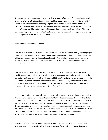The next thing I want to do, once I've softened them up with forays of infant formula and family planning, is to make the inhabitants of poor neighborhoods -- black people -- feel inferior. [249] So I institute a sickle cell anemia screening program which identifies one out of seven blacks as carriers. Then I reassure the carriers just as I reassure people with functional heart murmurs, that it doesn't mean anything to be a carrier. Of course, they don't believe it for a minute. They are convinced they've got "bad blood," so they have to be careful about whom they marry, and they let it weigh them down for the rest of their lives.

So much for the poor neighborhoods.

Doctors make sure other segments of society remain poor, too. Discrimination against old people begins with the "curse" on them, which says they will necessarily decline in all talents and abilities which make people worthwhile members of society. Thus medically cursed, the old person is forced to retire and become a ward of the state, or -- better still -- a ward of the Church as an inmate of a rest home.

Of course, the ultimate goal is that we would all become wards of Modern Medicine. Doctors exhibit a dangerous tendency to take advantage of every opportunity to force individuals to do things just for the sake of doing them, If doctors [250] didn't want more and more power over the individual, why would more and more medical procedures be showing up as laws? Why should you have to fight with a doctor in order to have your baby at home, breastfeed it, send it to school or treat its illnesses in any manner you believe effective?

I'm not too surprised that normally alert and powerful organizations like the labor unions and the American Civil Liberties Union haven't responded to this threat against our freedom. They fail to acknowledge the problem because they subscribe to the religion of Modern Medicine. Instead of saying that every person is entitled to not have an x-ray or an abortion, they say the opposite. They won't notice when the Church requires first older mothers, then all mothers, to submit to amniocentesis to rule out birth defects. They won't notice when the Church forces these mothers to have abortions, either. And when your turn before the Medical Authorities comes up -- who knows what for? Maybe you'll need preventive surgery -- you'll stand alone.

Whenever a revolutionary group adopts a [251] word, the reactionary group adopts it. This is precisely what Modern Medicine has done with the term "preventive medicine." By making a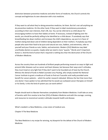distinction between preventive medicine and other forms of medicine, the Church controls the concept and legitimizes its own obsession with crisis medicine.

If they want to call what they're doing preventive medicine, let them. But let's not call anything we do preventive medicine. On the other hand, if they want to label revolutionary procedures according to their own interests, that's OK, too. You can be referred to as child abuser for encouraging mothers to have their babies at home. If necessary, instead of fighting over the words, you should be perfectly willing to be identified as a child abuser. If somebody says that breastfeeding ties down mothers and increases the child's dependency, say you're in favor of mothers being tied down and of children being dependent on their mothers. If anybody says that people who want their food to be pure and natural are nuts, faddists, and extremists, refer to yourself and your friends as nuts, fadists, and extremists. Modern [252] Medicine may label unorthodox doctors as quacks; maybe what we need is more "quacks." Words aren't important. Action is. And the kind of action that's required is nothing less than the destruction of the Church of Modern Medicine.

Across the country there are hundreds of brilliant people performing research on ways to fight and prevent killer diseases such as cancer and heart disease, but because their ways aren't orthodox, they must tread on very light feet if they don't want to be hounded out of town by the Church. Witness the denial of funds to Nobel Laureate Linus Pauling, who simply wanted the National Cancer Institute to grant a modicum of funds to find out if ascorbic acid really provided some benefit for cancer patients -- which his earlier research indicated. Witness the fact that more than one doctor I have spoken to has admitted that he would use outlawed cancer therapies on himself or his family. Is this the kind of system you can work within?

People should work to liberate themselves completely from Modern Medicine. It will take an army of heretics with firm resolve to be free [253] of Modern Medicine and with the courage, cunning, and resources to reconstruct society's attitudes towards health and disease.

What's needed is a New Medicine, a new vision of medical care.

Chapter 9 The New Medicine

The New Medicine is my recipe for winning, my blueprint for the defeat of the Church of Modern Medicine.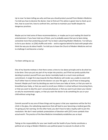Up to now I've been telling you why and how you should protect yourself from Modern Medicine. I've told you how to deceive the doctor, how to find out if his advice is good, how to check up on him, how to scare him, how to confront him, and how to maintain your health despite his dangerous practices.

Maybe you've tried some of these recommendations, or maybe you're just reading this book for entertainment. If you have tried any of them, you're probably aware that you've been doing somewhat more than protecting yourself. You've been subverting Modern Medicine. I've told you to lie to your doctor, to [256] shuffle and smile -- and to organize behind his back with people who think the way you do about health. I've told you to leave the Church of Modern Medicine and not to challenge it and become a martyr.

I've been setting you up.

One of my favorite mottoes is that there comes a time to rise above principle and to do what has to be done. Once you put any part of my recipe into practice, you'll find out pretty quickly that deciding to protect yourself from your doctor inevitably leads to a much more profound commitment. A single first step towards the New Medicine will render you unable to stand still. You'll either have to retreat and let the doctors run your life again, or you'll have to keep going forward. Maybe you'll start by deciding you want to have your baby at home, or that you want to breastfeed your baby, or that you want to enroll your children in school without immunizing them, or that you want to skip this year's annual job physical, or that you want to pin down your doctor on why he recommends surgery, or that you want the doctor to do something for you or your child without using drugs.

Commit yourself to any one of these things and my guess is that your experience will be the first chink in the glass, the radicalizing experience that will lead to your becoming a medical guerrilla. I'm giving you fair warning. On the other hand, you don't have to take a loyalty oath to join this revolutioin. We don't need symbolic protestations of devotion with [257] more symbolic than actual worth. The practice of the New Medicine immediately establishes you as loyal.

Taking on the responsibility for your own health and the health of your family constitutes a political act as long as Modern Medicine uses political power to execute its attack on the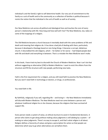individual's and the family's right to self-determine health. Our very act of commitment to the family as a unit of health and to the community as a collection of families is political because it resists the notion that the individual is the unit of health as well as of society.

Our New Medicine cuts across all political and ideological lines and touches the core of every person's relationship with life: How long and how well will I live? The New Medicine, too, takes on some of the trappings of a religion.

The Old Medicine became a church because it inevitably dealt with the same problems of life and death and meaning that religions do. It has done a bad job of dealing with them, particularly because it developed a theology based on non-living things. It became a corrupt, idolatrous church. It discredited the old religions, which -- for better or for worse -- had helped people deal with life and death and everything in between. That is a mistake the New Medicine won't make.

In this book, I have tried my best to discredit the Church of Modern Medicine. Now I can't do that without suggesting an alternative [258] to Modern Medicine. I want to evict the villains from the structure and fill the structure with new people, performing new tasks.

Faith is the first requirement for a religion, and you still need faith to practice the New Medicine. But you won't need faith in technology or doctors, or drugs, or professionals.

You need faith in life.

By faithfully, religiously if you will, regarding life -- and loving it -- the New Medicine immediately will discredit Modern Medicine. The New Medicine need not come between a person and whatever traditional religion he or she chooses, because the religions that have survived all support life.

Every person needs a system of value, an ethical sturcture to assist in fundamental decisions. A person who claims to get along without making value judgments is still abiding by a system -- of making no value judgments. There's no way to escape it, and that's what religion is all about. Religion defines a hierarchy of values and gives a perscription for action so that people can determine which way to go when alternatives are set before them.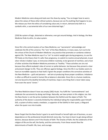Modern Medicine came along and took over the show by saying, "You no longer have to worry about the values of these other ethical systems, because we can fix anything that happens to you. We release you from the ethics of considering value and, in return, demand only faith in a symbolic ethic, a sacramental ethic of our own distorted logic."

[259] No system of logic, distorted or otherwise, ever got around biology. And in biology, the New Medicine finds its ethic, its value system.

Since life is the central mystery of our New Medicine, our "sacraments" acknowledge and celebrate the life of the universe. The "sins" of the New Medicine, in many cases, turn out to be the virtues of the Church of Modern Medicine: any practice that promotes or condones violence against life. The New Medicine says it's a "sin" to restrict weight gain during pregnancy, to use the Pill freely on the theory that it's safer than pregnancy, to submit to routine annual physicals, to put silver nitrate in babies' eyes, to immunize children routinely, to be ignorant of nutrition, and a host of other activities that Modern Medicine promotes as "healthy." These activities are sins not because they offend anybody's idea of correct or polite behavior, but because they present a clear and present danger to life. They are offenses against biology. Since the life in our bodies seems to have an incredible capacity to heal itself, if given the proper conditions the corrective activities of the New Medicine -- guilt and penance -- will aim at producing those proper conditions. Imbalance is often as difficult to avoid in human life as balance is desirable. Since this is a human medicine, not one bound to the deathly formality of machines, hope is one thing that is never taken away from even the worst "sinner."

The New Medicine doesn't have any empty [260] rituals. You fulfill the "commandments" and celebrate the sacraments by doing real things. Naturally, we have priests in this religion, too. But the New Doctor is not the prime mediator between the faithful and the object of faith. The authority of the doctor is severely limited by the individual taking the responsibility upon himself. Still, a system of ethics needs a mediator, a supporter of the faithful in their quest, a lifeguard when the quest runs into trouble.

Never forget that the New Doctor's goal is to work himself or herself right out of business, so your dependence on the professional should diminish every day. You have to learn to get along without doctors, because doctors aren't the Oracles of faith: The Oracles of faith, the the celebrants of the religion of life are the self, the family, and the community. From these vessels flow the determinants of health: life, love, and courage.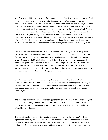Your first responsibility is to take care of your body and mind. Food is very important, but not food merely in the sense of bread, water, protein, fiber, and vitamins. You must try to eat pure food and drink pure water. You must find out all you can about which foods are best for you, since what goes into your mouth does make a difference in what comes out. We have other appetites that must be nourished, too. In a sense, everything that comes into your life and body is food. Whether it's nourishing or whether it's junk food is the individual's responsibility, and will determine the self's success [261] in reaching the goal of health. If you spend a lot of time in front of the televlsion, lost in a make-believe world that runs a poor second to real life, you're wasting the time of your life, time that should be used to nourish your self and those around you. Choose your food. Try to taste and see and hear and feel and touch things that will add to your supply of life.

Our New Medicine consecrates activities as well as food. Quite simply, there are things people should be doing and shouldn't be doing for themselves, for the sake of their own biological truths, for their own lives, The consecration of food governs what comes into the body. The consecration of activity governs what the individual does with the body and the mind, the muscles and the spirit. All religions have some form of vocation, but the calling from God is usually reserved for those who are going to enter the religion's priesthood. Our New Medicine says that everyone should choose his or her career as if called by God, because in a very real way everyone does have a vocation: Everyone is called to live a long and happy life.

Our New Medicine also requires people to gather together at significant moments of life, such as births, marriages, illnesses, anniversaries, and deaths. Since industrial employment is often geared for production, not for personal health, taking enough time to perform these obligations the way they should be performed [262] may create a dilemma. You may wind up self-employed, or unemployed.

The New Medicine calls for a more balanced approach to career. Build a life around personal goals and humanly satisfying activities. Life comes first, not the carrot-on-a-stick promises of the rat race. Organize your time and pursue a career in such a way as to allow participation in life events of significance and beauty.

The home is the Temple of our New Medicine, because the home is the individual's fortress against the unhealthy institutions such as industry and the Church of Modern Medicine. If an individual, for example, has to quit his or her job because it becomes a threat to health, the family is there to offer support until a new source of income can be set up. This may sound strange to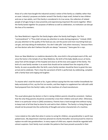those of us who have bought the industrial society's notion of the family as a liability rather than an asset. Industry's purposes are better served if the family is kept small, limited to two children and one or two adults, not if the family is considered in its true sense, the collection of related people of all ages living in close proximity and experiencing important life events together. When the family bands together for purposes of defense as well as celebration, no institution can disrupt the lives of its members.

Our New Medicine's regard for the family begins when the family itself begins. Our first "commandment" is "Thou shalt not pay any attention to scales during pregnancy." Instead, [263] you pay attention to the quality of the food you eat, eat the purest and most nourishing food you can get, and stop taking all medications. You don't take pills "only when necessary," because there are few doctors who don't believe that pills are always "necessary." Same goes for x-rays.

Since our New Medicine is a medicine devoted to life, since birth is the principal event of life, and since the home is the temple of our New Medicine, the birth of the baby ideally occurs at home, away from all the dangers of the hospital and close to all the love and support of the family. The birth of a new family member is an event that should not be isolated from the majority of the family. As soon as possible after the birth, every family member should be there to greet the new arrival and to celebrate. That is how the sacrament of birth is performed, by celebrating, complete with a family feast and singing and laughter.

To anyone who's read this book so far, it goes without saying that the new mother breastfeeds her baby exclusively at first, say the first six months, and then begins to supplement her milk with solid food prepared from the family's table, not the machines of a food manufacturer.

The usual advice given by doctors is that in raising children parents should be consistent. I believe that the only thing parents should do consistently is love their children and each other. Otherwise, there is no particular virtue in [264] consistency. Parents have a hard enough time without trying to keep track of all that they've done for and said to their children. The family is a living thing and should not be pressed into the conformity of thought and action characteristic of a machine.

I once stated on the radio that when it comes to caring for children, one grandmother is worth two pediatricians. My department chairman phoned me shortly thereafter and announced his intent to replace me with two grandmothers. In every aspect of child care, experts should be regarded with utmost suspicion. Each family must consider the patterns that have proved successful in their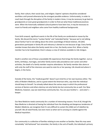family, their culture, their social class, and religion. Experts' opinions should be considered worthless until proved otherwise by the strongest possible evidence. Unfortunately, in order to reach back through the disruption of the family in modern times, it may be necessary to go back to grandparents or even great-grandparents in order to find out what these traditional practices were. When the historically validated cultural patterns have been lost, it may be necessary to resort to friends and neighbors who come from healthy traditional backgrounds.

From birth onward, significant events in the life of the family are cerebrated en masse by the family. We discard the terms "nuclear family" and "extended family," because we're not talking about family if we're not talking about the entire assemblage of blood relatives. All [265] generations participate in family life and relevancy is denied no one because of age. Every family member knows that when the family needs him or her, the family comes first. When a family member has to be hospitalized, there's always a crew of relatives available to ride shotgun.

Death is another one of those unavoidable life experiences that brings the family together. Just as births, birthdays, marriages, and other family events take precedence over career and other activities, the death of a family member requires attendance. No family member dies alone or with only the staff of the intensive care ward to note his or her passing. Life should end where it begins, in the home.

Outside of the home, the "medical guerilla" doesn't just mind his or her own business either. The ethic of Modern Medicine, and to a great extent the American ethic, says that the individual should keep to himself. I've already talked about the various ways in which the professional services of doctors and others destroy not only family ties but community ties as well. Our New Medicine, however, says we need those community ties. You are your brother's -- and sister's -keeper.

Our New Medicine needs community for a number of interesting reasons. First of all, though the New Medicine is directed at freeing the individual from the disabling and dangerous tendencies of Modern Medicine, we recognize that it's very difficult to sustain this [266] sort of rebellion by yourself. We all need friends, but even more so when we're carrying on a battle against the Medical Inquisition.

Our community is a collection of families relating to one another as families. Now this may seem remarkably "old-fashioned" but remember, the family is the unit of health, the individual's primary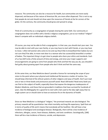resource. The community can also be a resource for health, but communities are more easily dispersed, and because of the nature of American life, are more often dispersed. This is not to say that people do not and should not draw upon the resources of friends at the far corners of the globe. On the contrary, the community should grow and spread its wings.

Think of a community as a congregation of people sharing the same faith. Our community or congregation does not conflict with a family's religious congregation, just as our medical "religion" doesn't compete with an individuals religious beliefs.

Of course, you may not be able to find a congregation. In that case, you should start your own. You may be able to start with your own family, or you may have to start with friends, or you may have to move. I often tell women who come to me and say they'd like to breastfeed their babies but are not sure they'll be able, to move next door to a woman who has suceessfully breastfed a number of babies. The important thing is to get close to people who share your ethics and standards. Each of us has [267] only a finite amount of time and energy, and since your major supports and encouragements are going to come from people who think and feel the way you do, you shouldn't feel guilty about growing apart from people who don't think and feel the same way.

At the same time, our New Medicine doesn't provide a license for narrowing the scope of your vision to the point where your physical and intellectual life become a matter of routine. You should keep informed of the ethical systems of other religions and ways of health. Don't just read one or two or three books and pronounce yourself saved. Read 100 books! Read every book you can find on the subject of health, especially those that expose the dangerous inadequacies of Modern Modicine, and those that are grounded in traditions that have survived for hundreds of years. (See the Bibliogaphy for a good list to start with.) Get used to the idea right away that no single system can or should claim to have an exclusive fix on the dynamics of health.

Since our New Medicine is a biological "religion," the promised rewards are also biological. The primary rewards will be quantitative: low infant mortality and long life expectancy. Spell that out in terms of quality of life and it means that everybody will be healthier. We will have a low incidence of biological and sociological disease. Biologically, there will be a low incidence of infections, allergies, cancer, heart disease, diabetes, and toxic conditions. Sociologically, [268] there will be a low incidence of divorce, suicide, and depression.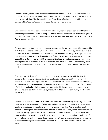With less disease, there will be less need for the doctor-priest. The number of visits to and by the doctor will drop, the number of procedures performed by doctors will drop, and the price tag for medical care will drop. The doctor will be transformed into a family friend and will no longer be considered the "outside technician" whose skills are the object of awe.

Our community will grow, both internally and externally, because of the liberation of the family from being considered a liability to being considered an asset. Internally, our numbers will grow as families grow larger. Externally, we will grow by attracting more and more people who want to be free of Modern Medicine.

Perhaps more important than the measurable rewards are the rewards that can't be expressed in statistics or dollars and cents. Ours is a medicine of hope, not despair; of joy, not sorrow; of love, not fear. All of our "sacraments" are celebrations. We don't note birthdays, marriages, and other milestones by sucking blood or demanding an offering. We ask for a party! When a woman has a baby at home, it's not only to avoid the dangers of the hospital. It's to make possible the joyous sharing of all family members in the truly blessed event. When a woman nurses her baby, she's going to feel joy she could never feel if the baby were sucking on a plastic nipple attached to a bottle!

[269] Our New Medicine offers the perfect antidote to the major disease afflicting American society today: depression. Depression is a slice of death, and our committment to life and joy denies us that morsel of despair. The recipe for depression is isolation, abandonment, frustration, and alienation. Our sacraments simply don't let those situations develop. It's very difficult to feel afraid, alone, and unloved when you've got somebody's birthday or baby or marriage or new job or ... whatever to celebrate. When we say that our New Medicine is a community of celebrants, we mean it.

Another reward we can promise is that once you have the alternative of participating in our New Medicine, you learn to regard the "other side" without the fear and hatred that are likely when you have no option, when you have to submit to Modern Medicine. Your original sense of frustration and depression is transformed, into amusement, even. Many recent books and movies have very cleverly exposed some of Modern Medicine's more obvious faults. When you're not aware of alternatlves to Modern Medicine, these revelations can hit pretty hard. I and some of my students have come close to being thrown out of movie theaters when our laughter has rung out over an audience's gasps at the screen's depiction of Modern Medicine at its slapstick best ... or worst.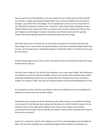Once you get into our New Medicine, once you realize that your health and the health of [270] your family is a happy and hopeful privilege rather than an ominous liability to be entrusted to strangers, you will feel freer and happier. A lot of people have come up to me and said that it's very difficult for someone to embrace this "revolution" unless they've been radicalized. Unless Modern Medicine has severely hurt them or someone close to them, people have told me, they won't begin to see the danger in doctors' procedures we all have come to take for granted. They've told me that people need to be scared before they can feel courage.

All of that may be true. This book has, in a way, been my answer to my friends who have said these things to me. I have written this book precisely to scare and to radicalize people before they are hurt. Let this book be your radicalizing experience. Remember what I've said the next time you go to the doctor.

Another thing people ask me is how to start. They want to join the revolution but they don't know exactly where to sign up.

You don't have to sign up. You can start the revolution in your own home tonight. Start thinking of your family as a resource instead of a liability. If you're not married, think seriously about finding somebody and getting married. If you're married, the most revolutionary act you can perform tonight is to conceive a child. Then plan on having the baby at home and breastfeeding him or her.

If your parents are alive, call them up and plan a visit over the phone for the next available [271] weekend. Or do the same with another relative.

Decide what your priorities are in life. Would you really rather work on an assembly line making sure this part fits into that part than making sure the pieces of a child's life all fit in place! Are the rewards of the rat race really worth selling so much of your time, energy, and emotional commitment that you don't have any left for your familv as well as where real other than closer to the coronary care ward?

Search for a community. Ask the next mother you see if she is breastfeeding or has breastfed her baby. The next time somebody says something derogatory about children or old people, say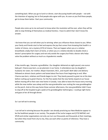something back. When you go to lunch or dinner, start discussing health with people -- not with the intention of arguing, but to find people who agree with you. As soon as you find these people, get to know them better. Start your community.

People also come up to me and want to know when the revolution will be over, when they will be able to stop thinking of themselves as medical heretics. I have to admit that I don't know the answer.

I do know that you can tell when you're winning: when you influence those closest to you. When your famly and friends start to feel and express the joy that comes from knowing that health is a matter of choice, not a mystery [272] of chance. That can happen when you or a relative breastfeeds a baby that's born at home, or when you or a relative decides to double-check a doctor's prescription for surgery and not only avoids the surgery but finds a doctor who helps solve the problem without as much as a hypodermic needle.

A few months ago, I became a grandfather. Our daughter delivered an eight-pound, one-ounce baby girl. Channa was born, as we planned, in our home. In attendance was my daughter's husband, her sister, her mother, Mayer Eisenstein, M.D., and myself. Both labor and delivery followed an almost classic pattern and lasted about five hours from beginning to end. After Channa was born, relatives and friends began to visit. They barely paused to greet me at the door before rushing up to greet Channa. For the five weeks that the new family stayed at our house before moving off to their own new home in Canada, I was able to leave the house every morning while the new mother was asleep and the new grandmother was rocking the new granddaughter on the porch. And on this way home those summer afternoons, the new grandfather didn't have to stop off at the hospital to get a peek at his granddaughter behind glass. I could go right home and gaze at her all through dinner.

So I can tell we're winning.

I can tell we're winning because the people I see already practicing our New Medicine appear to be the healthiest people in our society. The people of the Leche League and [273] NAPSAC and SPUN and similar organizations not only can turn out thousands and thousands at their meetings, but when they travel from city to city, they use each other as points of reference. They have a community.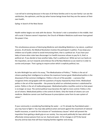I can tell we're winning because in the eyes of all these families and in my own family I can see the satisfaction, the optimism, and the joy when human beings know that they are the owners of their own health..

Epilog: In Search of the New Doctor

Health neither begins nor ends with the doctor. The doctor's role is somewhere in the middle. And still crucial. If doctors weren't important, the Church of Modern Medicine could never have gained the power it has.

This simultaneous process of destroying Medicine and rebuilding Medicine is, by nature, a political process. At all levels, the Medical Revolution involves the participant in politics: If you keep your children out of public school to avoid immunizing them, that is a political act. If you have your baby at home when state laws discourage it or health insurance refuses to pay for it, that's a political act. If you decide to have another baby, that's a political act. While we turn our backs on the Inquisition, we turn towards and embrace the [276] New Medicine as we need to in order to survive and prosper. That is going to require action which is explicity political, too.

As John McKnight has said in his essay, "The Medicalization of Politics," "Politics is the act of citizens pooling their intelligence to achieve the maximum human good. Medicalized politics is the disavowal of that common intelligence. Politics is the art of the possible -- a process that recognizes limits and grapples with the questions of equity imposed by those limits. Medicalized politics is the art of the impossible -- the process by which an unlimited promise is substituted for justice. Politics is the art of reallocating power. Medicalized politics mystifies control so that power is no longer an issue. The central political issue becomes the right to more control. Politics is the act of citizens. Medicalized politics is the control of clients. Only the hands of citizens can cure medicine. Medicine cannot cure itself because its prescriptions came from its own system of values."

If your community is considering fluoridating the water -- or if it already has fluoridated water - you may have to fight it. You may take political action and work against the enactment of national health insurance, or work for the inclusion of "revolutionary clauses" which will prevent the Inquisition from getting a death grip on our society. You may work politically for laws which will effectively remove poisons from our air, food and water. Or for changes in [277] the Social Security and tax laws that will favor keeping families together and strong.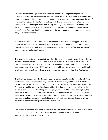I recently was asked by a group of Latin-American mothers in Chicago to help promote breastfeeding among the members of their organization for better child raising. They knew their biggest problem was that the community hospitals these women were using sanctioned the use of formula. The mothers decided to do something with their organization. They visited the heads of the hospitals and tried to persuade them to stop encouraging bottlefeeding by handing out free sixpacks of formula and special "supplementary feeding packs" to mothers who already were breastfeeding. They said that if the hospital heads did not respond to their requests, they were going to picket the hospitals.

It seems to me that the New Doctor has to be in the front lines of these struggles. He or she will have to be involved politically if only in response to his patients' needs. He or she will be visible through the newspapers and other media when these issues come to the fore. And if they don't come there, he'll make sure they do.

This is one of the major differences between the ethics of Modern Medicine and those of the New Medicine. Modern Medicine tells doctors to stay out of politics. Of course, this is merely to hide the fact that doctors are already into politics in an immensely powerful way. The Church likes the status quo, since it is in control, [278] so it wants to be able to scare away potential troublemakers and blacken the reputations of those who can't be scared away, by labeling them "politicians."

The New Medicine says that the doctor is not a monastic priest sitting in his monastery, but is a participant in the life of the community. Doctors will be community leaders active in politics because concern for the health of the community demands it. When the water company wants to fluoridate the public water, the New Doctor will be right there to make sure people know the biological consequences. When the power company wants to build a nuclear power plant, the New Doctor will not stand by and let the health of the community be threatened. Rather than allow political issues to become medicalized and thus defused -- the New Doctor will acknowledge the need for political power to be applied to matters of health and disease. He or she will not shrink from identifying "bad" politics as factors in disease.

Community involvement of this nature implies a certain type of doctor with the sensitivities, skills, and motivation to help build the New Medicine. Any collection of ideas-for-action can be subverted by the people who do the acting.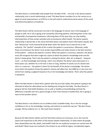The New Doctor is comfortable with people from all walks of life -- not only in the doctor-patient relationship, but in social relationships as well. The New Doctor considers his or her service as an agent of social improvement, so [279] he or she will need to understand and be aware of the social and ethical foundations of medicine.

The New Doctor will be conversant not only in the language of science, but in the language of people as well. He or she is going to be constantly informing patients: informing them of the risks and benefits of prospective treatments, informing them of the ways they can stay healthy, informing them of how certain activities and circumstances affect health. The doctor-patient relationship is democratic in the sense that both doctor and patient share information equally. But that "democracy" must necessarily break down when the doctor has to exercise his or her authority. The "perfect" example of this is when the patient is unconscious. Obviously, under those circumstances the doctor must accept responsibility and make choices in the best interests of the patient -- without the patient's consent. When the patient is conscious, however, the doctor must still recognize that there might be a point at which the patient's knowledge ends and the doctor's keeps going. That's why the patient is seeing the doctor, after all, to depend -- however much -- on that knowledge and training. I don't care whether the doctor wears blue jeans or a three-piece suit, whether his or her hair is short or long, whether he works out of a brand-new clinic or a used van -- the patient is there for the benefit of the doctor's knowledge. The doctor must inform the patient of how the patient's choices will affect him, but [280] he or she must not shrink from making a judgment based on his or her knowledge and talents. That's what the patient is paying for.

When the New Doctor is faced with a patient who has just had a baby, that patient is going to be informed of what her alternatives are for feeding and caring for that baby. The New Doctor is going to tell her that bottle feeding is not as safe or healthy as breastfeeding and that the difference in benefit and risk is great enough so that if she chooses to bottle feed, she is going to have to find another doctor.

The New Doctor is not afraid to act on evidence that's available today. He or she has enough confidence in his or her knowledge, training, and instincts to avoid the cop out: "We don't know enough. All the evidence isn t in. We need more research."

Because the New Doctor admits up front that these choices are necessary, he or she must be aware and responsive to the ethics of the doctor-patient relationship. To what extent do people have stewardship over life, death, and health? How far can medicine increase our control over life and death? What issues are involved in the choices to use artificial organs, transplanted organs,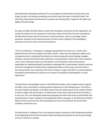and artificial life-extending machinery? It's not enough for the New Doctor to know how to do things, but why. Just because something can be done, does that mean it should be done? The ethic that will permeate the New Doctor's practice and training [281] is regard for the rights and dignity of human beings.

As maker of health, the New Doctor is aware that the patient and nature are the ingredients, not merely the medium for the expression of technique. Aware of the limits of human competence, the New Doctor knows when to intervene in natural processes, when to encourage natural processes, and when to let natural processes run their course. Implied in this knowledge is awareness of the harm that can be done by doctors.

"The art of medicine," accordlng to a colleague and good frlend of mine, Leo I. Jacobs, M.D., Medical Director of Forest Hospital, Des Plalnes, Illinois, "flows from the physician's ability to be introspective and to understand the patient as a human being with certain feelings, thoughts, attitudes, interpersonal relationships, aspirations, and expectations rather than a mere symptom carrier. Such a physician tends to see the patient, and not himself, as the primary person responsible for maintaining health, by leading a meaningful life in which proper nutrition, exercise, and stress management combine with an appropriate balance of love, play, and work within a harmonious family. Such a physician will resort to drugs or surgery only after his understanding of the patient's predicament has ruled out non-invasive or educational, psychological, or social approaches."

The New Doctor acknowledges nature as the [282] prime healer, and so regards natural supports of health, such as the family, as having supreme importance in the healing process. The family is the unit of health and disease, so the New Doctor treats the whole person in the context of family as well as religion and social system. The New Doctor makes house calls and meets the family on its own turf. He or she disregards professional language and advice that tends to split families into warring factions. Proper avoidance of hospitalization will be a key goal, so the New boctor delivers babies at home and scorns the idea that people must come into and leave this world under conditions of intensive care.

The New Doctor is a lifeguard. He or she stands by ready to intervene in life-threatening situations. At the beginning of life he lets the mother deliver the baby and stands by for the tiny percentage of cases in which he is needed.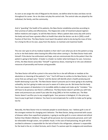As soon as we assign the role of lifeguard to the doctor, we define what he does and does not do throughout his career. He or she does not play the central role. The central roles are played by the individual, the family, and the community.

And in "guarding" the health of his patients, the New Doctor establishes priorities according to their promise of safety and effectiveness. The Hippocratic order of treatment placed regimen before medicine and surgery. So will the New Doctor. What a patient does every day with and to the body and soul have a greater effect on health than what the doctor can do in [283] a small fraction of that time. The New Doctor must teach the patient what to do during the mass of time he is living his life on his own, away from the doctor, to maintain and maximize health.

The one rule I give to all my medical students is that I don't care what you do to the patient as long as he or she feels better when leaving the office than when coming in. The New Doctor heals with himself. If the doctor has enthusiasm and hope, and can communicate this to the patien! then the patient is going to feel better. A healer is a healer no matter what techniques he uses. Conscious of this, the New Doctor prescribes "himself" in generous doses, meaning he or she uses whatever resources of personality and human caring possible.

The New Doctor still will be a priest in the sense that he or she will officiate or mediate at the absolution or cleansing of the patient's "sins." You'll still have to confess to the New Doctor, in the sense that you will give your "history" and the doctor wlll identify what is health-producing and health-destroying in your life. The New Doctor doesn't presume you're never going to do anything unhealthy, but he's going to make sure you're aware of it when you do. We know that the body has its own powers of absolution in its incredible ability to adapt and make up for "mistakes." You still have to do penance, but there's a difference. The New Doctor doesn't sprinkle you with holy water and pronounce you saved if you take this drug [284] or let him mutilate you. The New Doctor doesn't sacrifice you to any vengeful gods. Your penance is biological, it's the price you have to pay to get back in balance. You have to overcompensate for a while to make up for going too far.

Naturally, the New Doctor tries to motivate people to avoid disease, too. I believe guilt is one of the strongest motives for changing one's behavior. The New Doctor, being concerned with causes of disease rather than superficial symptoms, is going to ascribe guilt in a more rational and ethical fashion than Modern Medicine. The guilt will be personal, but not exclusively personal, and it will be relieveable through action, not symbolic rituals. In the case of lead poisoning, the guilt will be ascribed to whoever is responsible for the lack of food in the refrigerator, whoever is responsible for the lead in the air, in infant formula, and in food. If a woman opts for analgesia and anesthesia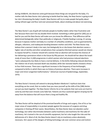during childbirth, she deserves some guilt because these things are not good for the baby. If a mother tells the New Doctor she's planning to bottle feed her baby, the New Doctor is going to tell her she's threatening the baby's health. New Doctors will try to make people feel guilty about eating refined sugar and flour and over-processed foods, about smoking and about not exercising.

The New Doctor's use of guilt will motivate people to healthy habits rather than frustration and fear because there won't be any double-think involved. Something is either good for [285] you or bad for you and the New Doctor will make sure you know the difference. That difference will be determined biologically rather than politically or religiously. If bottle feeding is wrong, it's wrong because it exposes mother and baby to a number of unhealthy conditions, such as gastroenteritis, allergies, infections, and inadequate bonding between mother and child. The New Doctor may believe that a woman's body is her own; but biologically he or she knows that abortion causes a higher rate of sterility and other complications that a properly informed woman would not choose to expose herself to. A doctor should tell a women that an abortion will increase the chances of her delivering a premature infant in the future by fifty percent. He should tell her about the Israeli study of more than 11,000 pregnancies in which women who had previous induced abortions "were subsequently less likely to have a normal delivery. In the births following induced abortions, the relative risk of early neonatal death was doubled, while late neonatal deaths showed a threeto four-fold increase. There was a significant increase in the frequency of low birthweight, compared to births in which there was no history of previous abortion. There were increases in major and minor congenital malformations." (American Journal of Epidemiology, September, 1975)

The New Doctor's honesty will extend to denying Modern Medicine's' mythical claim that everything can be cured, that no matter how you mess yourself up the skills of the [286] doctor can put you back together. The New Doctor informs his or her patients that real cures are hard to come by and that even miracle cures fade fast. Patients are thus cautioned against straying too far away from the balance that will insure them a long and healthy life.

The New Doctor will be skeptical of the promised benefits of drugs and surgery. One of his or her major areas of responsibility is to protect people against the excesses of surgeons and drug companies in foisting off their wares. Nevertheless, the New Doctor does not abandon useful technology, but rather discriminates between useful machinery and machinery for-the-sake-ofmachinery. He's trained in the use of scientific equipment, but he's also taught the risks and the deficiencies of it. Most of all, the New Doctor doesn't rely on machinery unless absolutely necessary. He's aware of the dangers of letting technology rule over common sense and instinct.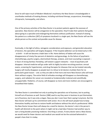Since he will reject much of Modern Medicine's machinery the New Doctor is knowledgeable in unorthodox methods of treating disease, including nutritional therapy, acupuncture, kinesiology, chiropractic, homeopathy, and others.

One of the primary activities of the New Doctor is to protect patients against the excesses of specialists. New Doctors will be antagonists to the specialists: they'll make their patients feel guilty about going to a specialist and endangering themselves without justification. Instead of viewing the patient as a collection [287] of symptoms localized in a single spot, the New Doctor will see the whole person as the context and possible cause for disease.

Eventually, in the light of ethics, iatrogenic considerations and exposure, and generalist education of doctors, the specialties will largely disappear. If the hospital addiction can be licked early in life - - at birth -- it will not become a habit later in life. Home delivery of babies will cause the disappearance of ninety-five percent of obstetrics and gynecology. As the failure of psychiatric chemotherapy, psycho-surgery, electroshock therapy, analysis, and most counseling is exposed - in favor of strong familial, friendship, self-esteem support networks -- most of psychiatry will disappear. Internal medicine will go under with its highly lucrative recruiting practices: annual exams, screening for hypertension, and drug therapies for diseases that can be treated naturally. Surgery will mostly disappear as people learn to refuse to let doctors mutilate them for no particularlv good reason -- and. as they are able to find more and more New Doctors who will treat them without surgery. The entire field of orthodox oncology will disappear as chemotherapy, surgery, and radiation for cancer are revealed as fundamentally irrational and scientifically unsupportable. Pediatrics. of course, will disappear as more and more mothers are encouraged to breastfeed their babies.

The New Doctor is committed not only to putting the specialists out of business, but to putting himself out of business as well. Doctors [288] used to say they were in business to put themselves out of business, but it was only a slogan. Now you don t even hear them saying it anymore. But the New Doctor will back up his commitment with action. He or she will teach people how to keep themselves healthy and how to restore health and balance without the aid of a professional. While the New Doctor knows there will always be a need for doctors, the doctor's role in the person's health will diminish to the point where it might not be a bad idea if doctors had another way to earn a living besides practicing medicine. One thing is certain, if every doctor were a New Doctor, we would need far fewer doctors and medical care would not be the outsized behemoth in people's lives that it is today.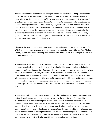The New Doctor must be prepared for courageous behavior, which means doing what has to be done even though it means giving up the wealth, power, and status associated with being a conventional physician. I don't think we'll have any trouble instilling courage in New Doctors. The ones I've met -- as both doctors and doctors-to-be -- seem to come equipped with both courage and the cunning to defend themselves. I met a young doctor recently who had quit his formal medical education as soon as he was eligible for a license -- immediately after his internship. I asked him where he was licensed, and he told me in five states. He said he anticipated having trouble with the medical establishment, so he's prepared if they start taking his license away. [289] Smartest fellow I've met in a long time. The New Doctor knows what he has to do to survive long enough to work himself out of business.

Obviously, the New Doctor exists despite his or her medical education rather than because of it. With this in mind, I and a number of my colleagues have created a blueprint for the New Medical School, which is now actively seeking state approval and looking forward to taking on its first class of New Doctors-to-be.

The education of the New Doctor will include not only medical and clinical sciences but ethics and literature as well. All students in the New Medical School will be shown how human behavior relates to health and disease. New Doctors will be trained to comnunicate by means of the written as well as the spoken word. They also will learn the basic techniques and social implications of other media, such as television. New Doctors must not only be able to communicate effectively with the community, but they must be aware of the processes by which they and their patients are influenced. Since legal procedures are important not only to the doctor's protection of his practice but to the protection of his patients as well, New Doctors will learn to deal with lawyers and the law.

The New Medical School will have a Department of Ethics and Justice. A community's concept of justice determines the health of its members in terms of life expectancy, infant mortality, morbidity statistics, and quality of [290] medical care. Theoretical economic structures are irrelevant. A free enterprise system saturated with justice can provide good medical care, while a socialized medical system devoid of justice can provide deadly medical care. An immoral society that sets arbitrary limits on technological achievements can be harmful, while a moral society that strives for the best that technology has to offer can produce healthy people. In our Department of Ethics, the traditional medical disciplines will be required to expose their material to the fight of various ethical systems: Jewish, Christian, Hindu, Islamic, utilitarian, situational, etc.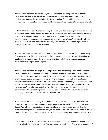The New Medical School will have a very strong Department of Iatrogenic Disease. In this department all medical disciplines and specialties will be required to demonstrate how their methods can produce disease and disability. Doctors and professors will be paid to find out how medical care does more harm than good, and how proposed new treatments might prove harmful.

Instead of the New Medical School providing the same specialist-encouraging instruction and role models that conventional schools do, it will stress generalism. The New Medical School will be an open form of ideas on healing. Students will be taught not only by medical doctors, but by osteopaths and chiropractors and naturopaths and nutritionists. We don't want the New Doctors to learn about these ideas and practices as if they were abstract [291] academic principles. We want them to see them practiced firsthand.

The New Doctor will be educated in methods and principles that do not become obsolete every few years. Once the fifty-to-ninety percent of what is now being taught is rejected as either wrong, outdated or irrelevant, we will have enough time to teach what has to be taught, such as fundamentals of diagnosis and prognosis.

The New Medical School will begin producing New Doctors by selecting a different kind of person to be a student. Students who score highly on traditional medical school entrance exams tend to be too compulsively achivement-oriented. They lose contact with the genuine goals of medicine and become wrapped up in competition and in the application of technology to subdue rather than restore the balance of Nature. The New Medical School will downplay quantitative tests and look for people who are comfortable being with people rather than doing something for or to them. We don't want insecure people with so little self-esteem that they always need to be proving themselves by challenging their peers and defending their status. Such characters are unhealthy to those around them as well as to themselves.

To help avoid the social pathology that seems to affect physicians as a group, the New Medical School will concern itself with supporting and strengthening the family life of [292] each New Doctor. We will encourage students to marry and have families, because we want them to experience their profession from both sides, as real people. The New Doctor will also have strong roots in the community, since the local culture of a people is always a factor in health and disease.

I remember some years back I was asked to give the speech to incoming medical students at a medical school. The title of my talk was "How to Survive Medical School." I gave them a number of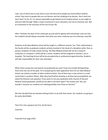rules, one of which was to stay close to your farmily and to people you knew before medical school. Stay close to people who are not doctors and not studying to be doctors. Don't work too hard. Dont' try for A's. It's almost impossible to get kicked out of medical school, so you might as well just slide through. Make a major investment in your education, but not an exclusive one. Not an investment to the exclusion of the rest of your life.

After I finished, the dean of the school got up and said he agreed with everything I said, but that the students should always remember that when you enter medicine you are entering a new life!

Students at the New Medical school will be taught in a different manner, too. Their relationship to the faculty will be as graduate students actively involved in the shudy of a discipline rather than as passive recipients of trade school training. The New Medical School will not be a research institution or a hospital. It [293] will be a school. Students will be assigned to teachers, not to hospitals. The teaching format will be by preceptorship or professional apprenticeship. Students will take responsibility for their own education.

When those young men and women are graduated you won't have any trouble distinguishing them from the rest of the pack. For in preparing the state application form for our New Medical School, we visited a number of other medical schools. One of them was a new school in a small community in southern Illinois. After they had finished showing us all they had accomplished, we asked the directors one question: If you were to mix your graduates with a bunch of Harvard Medical School graduates, would you be able to tell them apart? The answer was "No, you wouldn't, because our students are indistinguishable from those at Harvard."

We then decided that we wanted nothing further to do with that school. Our students are going to be easily identifiable:

Their first rule is going to be First, Do No Harm.

Footnote

Footnote from page [242]: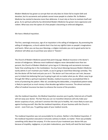Modern Medicine has grown so corrupt that not only does its Vision fail to inspire faith and devotion, but its sacraments and symbols cannot move people to a better life. So Modern Medicine has started to become more than defensive. It must rely on force to maintain itself and grow. As its spiritual authority has diminished Modern Medicine has grown more oppressive and violent. What was once the option of a free people is becoming an enforced obligation.

We have a Medical Inquisition.

The first, seemingly innocuous, sign of an inquisition is the selling of indulgences. By promoting the selling of indulgences, a church admits that it has lost any rightful claim on people's imaginations and hearts. When you can buy your blessings, a religion motivates you not to good works but to whatever will allow you to purchase your place in "heaven."

The Church of Modern Medicine passed that point long ago. Medical insurance is the doctor's version of indulgences. Whereas most traditional religions never demanded more than ten percent, the Church of Modern Medicine's price tag on it's blessings and sacraments increases faster than anything else in the marketplace. You buy future blessings because Modern Medicine tacitly admits it can't maintain your health, so you're going to need these blessings someday. This lets the doctor off the hook and puts you on it. The doctor can't lose and you can't win, because you're tricked into believing that you're going to get sick no matter what you do. What a way to go through life! What a spiritual inspiration! Besides, medical insurance has accomplished little in terms of protecting the patient. After all, considering the deductibles, a hospitalized patient today is likely to spend just as much money a few decades ago before insurance. The almost exclusive effect of medical insurance has been to enhance the income of the providers.

Like the medieval Inqusition, the Medical Inquisition assumes you're guilty. External acts of health will not sway your doctor. The fact that you can run marathon distances will only make your doctor suspicious of you, and won't convince him that you're healthy. He's more likely to warn you against hurting yourself. Also like the medieval Inquisition, all your business with the Church is secret -- even from you. Try getting copies of your medical records.

The medieval Inquisition was not accountable for its actions. Neither is the Medical Inquisition. If the medieval Inquisition executed or tortured a witness to death, no matter. There was probably something sinful about him anyway. If in the course of your treatment your doctor kills you because of stupidity, negligence, or just plain malevolence, your family will need the best lawyer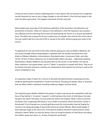money can buy to have a chance of getting justice. If your doctor kills you because the recognized sacred treatment he uses on you is bogus though no one will admit it, then the best lawyer in the won't be able to get justice. This happens thousands of times each day.

Most people have some idea of the dictionary definition of the Inquisition; the detection and punishment of heretics. What isn't obvious in the definition is that the Inquisition was actually a very effective tool for enforcing Church laws and maintaining the Church as a cultural and political force. The effect was to keep the Church a potent force in people's lives and the life of the culture. You just couldn't get from one end of life or society to the other without paying your dues to the Church.

Try getting from one end of life to the other without paying your dues to Modern Medicine. No one passes through without being dipped or splashed with the already mentioned four holy Waters of Modern Medicine: immunizations, fluoridated water, intravenous fluids, and silver nitrate. All four of these substances are of questionable safety and value -- objectively speaking. Nevertheless, Modern Medicine has elevated them to the sacred. To the faithful, not only do these substances carry great power, but it is "taboo" to question or tamper with them. They are to be treated only with reverence, and they are maintained in their holiness by civil law as well as the Church of Medicine's law.

An Inquisition makes it easier for a church to discredit and disenfranchise competing churches, simply by declaring the competition's rituals to be heresy. Any group of people, ideas, or practices that can affect health is attacked, including traditional religions and the family.

The Inquisition gives Modern Medicine the power it needs to prosecute the competition with the force of law behind it. If a doctor "suspects" a child had been the victim of child abuse, the state has given the doctor the power to incarcerate the child in the hospital. What is there to prevent the doctor from suspecting child abuse in any number of situations where the doctor's power is threatened? A lot of people are currently getting around the immunization laws by forging the records or by taking advantage of slack enforcement by school officials. What would happen if both sides got tough at the same time. If the parents publicly refused to submit and the school refused to admit? What's to stop the doctors from accusing the parents of child abuse and taking the children away from them, or, at least, fining them punitively?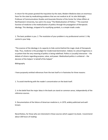In return for the power granted the Inquisition by the state, Modern Medicine does an enormous favor for the state by medicalizing problems that are not medical at all. As John McKnight, Professor of Communications Studies and Associate Director of the Center for Urban Affairs at Northwestern University, has said in his essay "The Medicalization of Politics," "The essential function of medicine is the medicalization of politics through the propagation of therapeutic ideology. This ideology, stripped of its mystifying symbols, is a simple triadic credo:

1. The basic problem is you. 2. The resolution of your problem is my professional control. 3. My control is your help.

"The essence of the ideology is its capacity to hide control behind the magic cloak of therapeutic help. Thus, medicine is the paradigm for modernized domination. Indeed, its cultural hegemony is so potent that the very meaning of politics is being redefined. Politics is (usually) interactive -- the debate of citizens regarding purpose, value, and power. Medicalized politics is unilateral -- the decision of the helpers' in behalf of the helped."

Bibliography

I have purposely omitted references from the text itself or in footnotes for three reasons:

1. To avoid interfering with the reader's concentration on the book itself.

2. In the belief that the major ideas in the book can stand on common sense, independently of the reference sources.

3. Documentation of the failure of American medicine is, in 1979, widely publicized and wellknown.

Nevertheless, for those who are interested in those sources which support my book, I recommend about 100 hours of reading: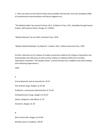1. There are dozens of anti-doctor books easily available. My favorites, from the standpoint [296] of comprehensive documentation and literary elegance are:

"The Medicine Men" by Leonard Tushnet, M.D., St.Martin's Press, 1971. (Available through Caveat Emptor, 620 Freeman Street, Orange, N.J. 07050.)

"Medical Nemesis" by Ivan Illich, Pantheon Press, 1976.

"Modern Medical Mistakes" by Edward C. Lambert, M.D., Indiana University Press, 1978.

[Further references to (2) critiques of modern preventive medicine (3) critiques of psychiatry and psychoanalysis (4) references on ethics and its relation to medicine [297] (5) his monthly subscription newsletter "The Peoples Doctor" and (6) Prenatal Care, Childbirth and Infant feeding and mothering organizations.]

Index

### A

Annual physicals, lack of necessity for, 34-37 Anti-arthritis drugs, dangers of, 67-68 Antibiotics, unnecessary administration of, 53-56 Antihypertension drugs, dangers of, 65-67 Aspirin, dangerous side effects of, 79 Atromid S, dangers of, 39

B Birth control pills, dangers of, 63-64 Birthing rooms in hospitals, 139-40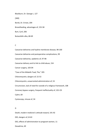Blackburn, Dr. George L. 127 [300] Borek, Dr. Ernest, 204 Breastfeeding, advantages of, 155-58 Burt, Cyril, 206 Butazolidin alka, 68-69

### C

Caesarian deliveries and hyaline membrane disease, 98-100 Caesarian deliveries and postoperative complications, 99 Caesarian deliveries, epidemic of, 97-98 Caesarian delivery and its link to child abuse, 154 Cancer surgery, 103-04 "Case of the Midwife Toad, The," 205 Chloromycetin, dangers of, 52-53 Chloromycetin, unwarranted administration of, 53 Circumcision, lack of need for outside of a religious framework, 108 Coronary bypass surgery, frequent ineffectuality of, 101-O3 Cylert, 69 Cystoscopy, misuse of, 34

# D

Death, modern medicine's attitude toward, 191-92 DES, dangers of, 6l-63 DES, effects of administration to pregnant women, 11 Dexadrine, 69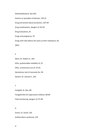Diethylstibesterol, See DES Doctors as spreaders of disease, 120-22 Drug and alcohol abuse by doctors, 207-09 Drug combinations, dangers of, 81-82 Drug Evaluations, 8l Drugs and pregnancy, 78 Drugs with side eftects the same as their indications, 82 [301]

#### E

Ebert, Dr. Robert H., 203

EEGs, questionable reliability of, 25

EKGs, unnecessary use of, 23-26

Episiotomy, lack of necessity for, 96

Epstein, Dr. Samuel S., 203

## F

Feingold, Dr. Ben, 88 Feingold Diet for hyperactive children, 88-89 Fetal monitoring, dangers of, 97-98

## G

Green, Dr. David, 130

Guillain-Barre syndrome, 235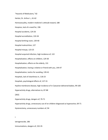"Hazards of Medicaions," 82

Herbst, Dr. Arthur L., 61-62

Homosexuality, modern medicine's attitude toward, 188

Hospices, lack of a need for, 196

Hospital accidents, 124-26

Hospital accreditation, 133-34

Hospital birthing room, 139-40

Hospital malnutrition, 127

Hospital mixups, 123-25

Hospital-acquired infection, high incidence of, 122

Hospitalization, effects on chlldren, 129-30

Hospitalization, effects on the elderly, 131

Hospitalization, having a relative or friend with you, 144-47

Hospitalization, tactics for avoiding, 139-41

Hospitals, lack of cleanliness in, 118-23

Hospitals, psychologcal effects of, 127-31

Hyaline membrane disease, high incidence of in Caesarian-delivered babies, 99-100

Hyperactivity drugs, alternatives to, 87-88

[302]

Hyperactivity drugs, dangers of, 70-71

Hyperactivity drugs, unnecessary use of on children diagnosed as hyperactive, 69-71

Hysterectomy, unnecessary numbers of, 94

I

Iatrogenocide, 186

Immunizations, dangers of, 232-35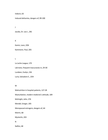Indocin, 63

Induced deliveries, dangers of, 99-100

#### J

Jacobs, Dr. Leo I., 281

### K

Kamin, Leon, 2O6

Kammerer, Paul, 205

### L

La Leche League, 179 Lab tests, frequent inaccuracies in, 29-30 Lundeen, Evelyn, 156 Luria, Salvadore E., 2O4

### M

Malnutrition in hospital patients, 127-28 Masturbation, modern medicine's attitude, 189 McKnight, John, 276 Mendel, Gregor, 205 Menopausal estrogens, dangers of, 64 Motrin, 68 Mysteclin, 203 N Nalfon, 68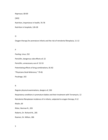Naprosyn, 68-69

[303]

Nutrition, importance in health, 76-78

Nutrition in hospitals, 126-28

#### O

Oxygen therapy for premature infants and the risk of retrolenta fibroplasia, 11-12

#### P

Pauling, Linus, 252

Penicillin, dangerous side effects of, 52

Penicillin, unnecessary use of. 52-53

Potentiating effects of drug combinations, 81-82

"Physicians Desk Reference," 79-81

Poudrage, 102

## R

Regular physical examinations, dangers of, 230 Respiratory conditions in premature babies and their treatment with Terramycin, 12 Retrolenta fibroplasian incidence of in infants, subjected to orygen therapy, ll-12 Ritalin, 69 Ritter, Norman R., 203 Roberts, Dr. Richard W., 205 Roemer, Dr. Milton, 186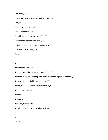Salk, Jonas, 234 Scales, misuse of in pediatrics and obstetrics, 31 Seal, Dr. John, 135 Semmelweis, Dr. lgnaz Philipp, 96 Sickle Cell anemia, 247 Steroid drugs, unnecessary use of, 59-66 Stethoscope, lack of necessity for, 22 Suicide among doctors, high incidence of, 208 Summerlin, Dr. William, 204 [304]

### T

Tay-Sachs disease, 247 Temperature taking, frequent misuse of, 32-33 Terramycin, use of in treating respiratory conditions in premature babies, 12 Tetracycline, undesirable side effects of, 53 Tetracycline, unnecessary administration of, 53 Thomas, Dr. Lewis, 203 Tofranil, 69 Tolectin, 63 Tompson, Marian, 179

Tonsillectomy, unproved usefullness of, 93

V

Valium, 82